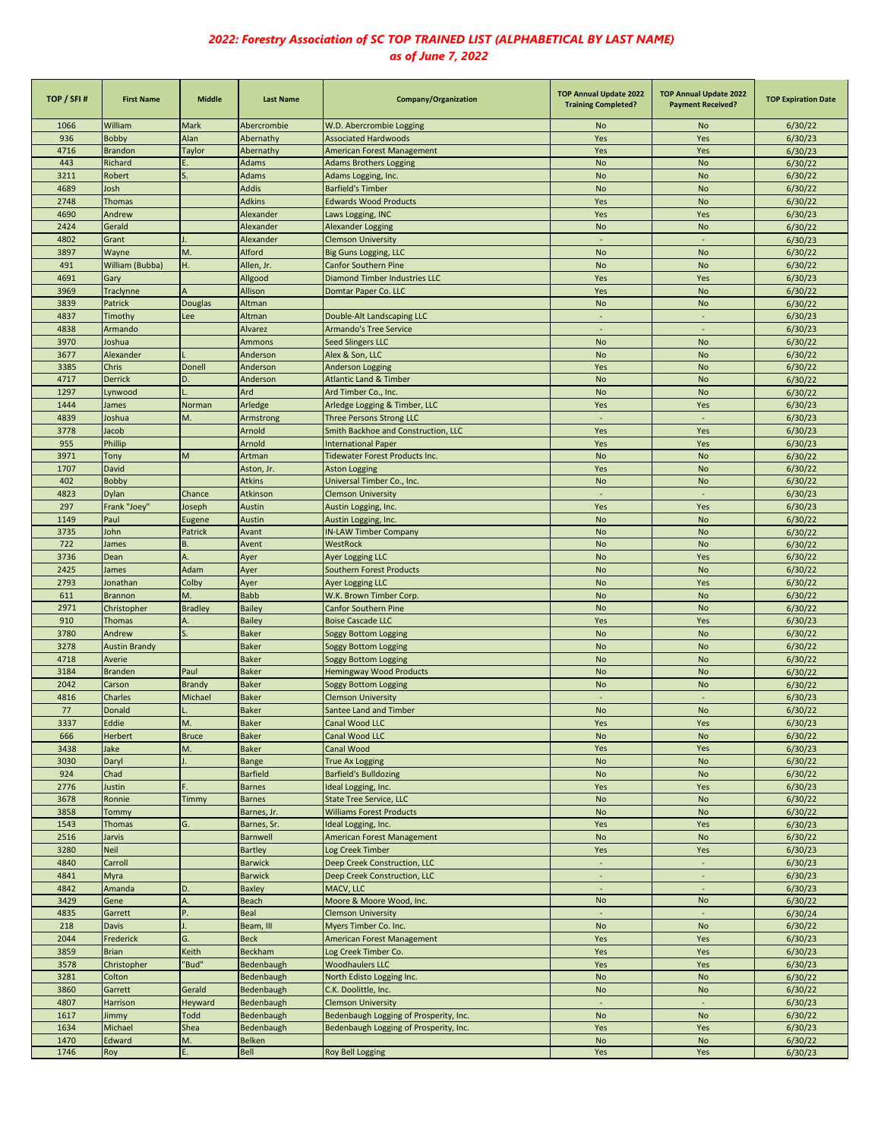| TOP / SFI#   | <b>First Name</b>       | <b>Middle</b>  | <b>Last Name</b>               | Company/Organization                                  | <b>TOP Annual Update 2022</b><br><b>Training Completed?</b> | <b>TOP Annual Update 2022</b><br><b>Payment Received?</b> | <b>TOP Expiration Date</b> |
|--------------|-------------------------|----------------|--------------------------------|-------------------------------------------------------|-------------------------------------------------------------|-----------------------------------------------------------|----------------------------|
| 1066         | William                 | Mark           | Abercrombie                    | W.D. Abercrombie Logging                              | No                                                          | No                                                        | 6/30/22                    |
| 936          | <b>Bobby</b>            | Alan           | Abernathy                      | <b>Associated Hardwoods</b>                           | Yes                                                         | Yes                                                       | 6/30/23                    |
| 4716         | <b>Brandon</b>          | Taylor         | Abernathy                      | American Forest Management                            | Yes                                                         | Yes                                                       | 6/30/23                    |
| 443          | Richard                 | Е.             | Adams                          | <b>Adams Brothers Logging</b>                         | <b>No</b>                                                   | <b>No</b>                                                 | 6/30/22                    |
| 3211         | Robert                  |                | Adams                          | Adams Logging, Inc.                                   | <b>No</b>                                                   | <b>No</b>                                                 | 6/30/22                    |
| 4689         | losh                    |                | <b>Addis</b>                   | <b>Barfield's Timber</b>                              | <b>No</b>                                                   | <b>No</b>                                                 | 6/30/22                    |
| 2748         | <b>Thomas</b>           |                | <b>Adkins</b>                  | <b>Edwards Wood Products</b>                          | Yes                                                         | <b>No</b>                                                 | 6/30/22                    |
| 4690<br>2424 | Andrew<br>Gerald        |                | Alexander<br>Alexander         | Laws Logging, INC                                     | Yes                                                         | Yes<br><b>No</b>                                          | 6/30/23                    |
| 4802         | Grant                   |                | Alexander                      | <b>Alexander Logging</b><br><b>Clemson University</b> | <b>No</b><br>$\sim$                                         | $\omega$                                                  | 6/30/22<br>6/30/23         |
| 3897         | Wayne                   | M.             | Alford                         | <b>Big Guns Logging, LLC</b>                          | <b>No</b>                                                   | <b>No</b>                                                 | 6/30/22                    |
| 491          | William (Bubba)         | Η.             | Allen, Jr.                     | <b>Canfor Southern Pine</b>                           | <b>No</b>                                                   | <b>No</b>                                                 | 6/30/22                    |
| 4691         | Gary                    |                | Allgood                        | <b>Diamond Timber Industries LLC</b>                  | Yes                                                         | Yes                                                       | 6/30/23                    |
| 3969         | Traclynne               | $\overline{A}$ | Allison                        | Domtar Paper Co. LLC                                  | Yes                                                         | <b>No</b>                                                 | 6/30/22                    |
| 3839         | Patrick                 | Douglas        | Altman                         |                                                       | <b>No</b>                                                   | <b>No</b>                                                 | 6/30/22                    |
| 4837         | Timothy                 | Lee            | Altman                         | Double-Alt Landscaping LLC                            | $\sim$                                                      | $\sim$                                                    | 6/30/23                    |
| 4838         | Armando                 |                | Alvarez                        | Armando's Tree Service                                |                                                             | $\sim$                                                    | 6/30/23                    |
| 3970         | Joshua                  |                | Ammons                         | <b>Seed Slingers LLC</b>                              | <b>No</b>                                                   | <b>No</b>                                                 | 6/30/22                    |
| 3677         | Alexander               |                | Anderson                       | Alex & Son, LLC                                       | <b>No</b>                                                   | <b>No</b>                                                 | 6/30/22                    |
| 3385         | Chris                   | Donell         | Anderson                       | Anderson Logging                                      | Yes                                                         | <b>No</b>                                                 | 6/30/22                    |
| 4717         | Derrick                 | D.             | Anderson                       | <b>Atlantic Land &amp; Timber</b>                     | <b>No</b>                                                   | <b>No</b>                                                 | 6/30/22                    |
| 1297         | Lynwood                 |                | Ard                            | Ard Timber Co., Inc.                                  | <b>No</b>                                                   | <b>No</b>                                                 | 6/30/22                    |
| 1444         | James                   | Norman         | Arledge                        | Arledge Logging & Timber, LLC                         | Yes                                                         | Yes                                                       | 6/30/23                    |
| 4839         | Joshua                  | M.             | Armstrong                      | Three Persons Strong LLC                              | $\sim$                                                      | ÷,                                                        | 6/30/23                    |
| 3778         | Jacob                   |                | Arnold                         | Smith Backhoe and Construction, LLC                   | Yes                                                         | Yes                                                       | 6/30/23                    |
| 955          | Phillip                 |                | Arnold                         | <b>International Paper</b>                            | Yes                                                         | Yes                                                       | 6/30/23                    |
| 3971         | Tony                    | M              | Artman                         | Tidewater Forest Products Inc.                        | <b>No</b>                                                   | <b>No</b>                                                 | 6/30/22                    |
| 1707         | David                   |                | Aston, Jr.                     | <b>Aston Logging</b>                                  | Yes                                                         | <b>No</b>                                                 | 6/30/22                    |
| 402          | <b>Bobby</b>            |                | <b>Atkins</b>                  | Universal Timber Co., Inc.                            | <b>No</b>                                                   | No                                                        | 6/30/22                    |
| 4823         | Dylan                   | Chance         | Atkinson                       | <b>Clemson University</b>                             |                                                             | ÷,                                                        | 6/30/23                    |
| 297          | Frank "Joey"            | Joseph         | Austin                         | Austin Logging, Inc.                                  | Yes                                                         | Yes                                                       | 6/30/23                    |
| 1149         | Paul<br>John            | Eugene         | Austin                         | Austin Logging, Inc.                                  | <b>No</b>                                                   | <b>No</b>                                                 | 6/30/22                    |
| 3735<br>722  | James                   | Patrick<br>В.  | Avant<br>Avent                 | <b>IN-LAW Timber Company</b><br>WestRock              | <b>No</b><br><b>No</b>                                      | <b>No</b><br><b>No</b>                                    | 6/30/22<br>6/30/22         |
| 3736         | Dean                    | A.             | Ayer                           |                                                       | <b>No</b>                                                   | Yes                                                       | 6/30/22                    |
| 2425         | James                   | Adam           | Ayer                           | <b>Ayer Logging LLC</b><br>Southern Forest Products   | <b>No</b>                                                   | <b>No</b>                                                 | 6/30/22                    |
| 2793         | Jonathan                | Colby          | Ayer                           | <b>Ayer Logging LLC</b>                               | <b>No</b>                                                   | Yes                                                       | 6/30/22                    |
| 611          | <b>Brannon</b>          | M.             | <b>Babb</b>                    | W.K. Brown Timber Corp.                               | <b>No</b>                                                   | <b>No</b>                                                 | 6/30/22                    |
| 2971         | Christopher             | <b>Bradley</b> | <b>Bailey</b>                  | <b>Canfor Southern Pine</b>                           | <b>No</b>                                                   | <b>No</b>                                                 | 6/30/22                    |
| 910          | <b>Thomas</b>           | Α.             | <b>Bailey</b>                  | <b>Boise Cascade LLC</b>                              | Yes                                                         | Yes                                                       | 6/30/23                    |
| 3780         | Andrew                  |                | <b>Baker</b>                   | <b>Soggy Bottom Logging</b>                           | <b>No</b>                                                   | <b>No</b>                                                 | 6/30/22                    |
| 3278         | <b>Austin Brandy</b>    |                | <b>Baker</b>                   | Soggy Bottom Logging                                  | <b>No</b>                                                   | <b>No</b>                                                 | 6/30/22                    |
| 4718         | Averie                  |                | <b>Baker</b>                   | Soggy Bottom Logging                                  | <b>No</b>                                                   | <b>No</b>                                                 | 6/30/22                    |
| 3184         | <b>Branden</b>          | Paul           | <b>Baker</b>                   | <b>Hemingway Wood Products</b>                        | <b>No</b>                                                   | <b>No</b>                                                 | 6/30/22                    |
| 2042         | Carson                  | Brandy         | <b>Baker</b>                   | Soggy Bottom Logging                                  | <b>No</b>                                                   | <b>No</b>                                                 | 6/30/22                    |
| 4816         | <b>Charles</b>          | Michael        | <b>Baker</b>                   | <b>Clemson University</b>                             |                                                             |                                                           | 6/30/23                    |
| 77           | Donald                  |                | <b>Baker</b>                   | Santee Land and Timber                                | <b>No</b>                                                   | <b>No</b>                                                 | 6/30/22                    |
| 3337         | Eddie                   | M.             | <b>Baker</b>                   | Canal Wood LLC                                        | Yes                                                         | Yes                                                       | 6/30/23                    |
| 666          | Herbert                 | <b>Bruce</b>   | <b>Baker</b>                   | Canal Wood LLC                                        | No                                                          | No                                                        | 6/30/22                    |
| 3438         | lake                    | M.             | <b>Baker</b>                   | Canal Wood                                            | Yes                                                         | Yes                                                       | 6/30/23                    |
| 3030         | Daryl                   |                | Bange                          | <b>True Ax Logging</b>                                | <b>No</b>                                                   | No                                                        | 6/30/22                    |
| 924          | Chad                    |                | <b>Barfield</b>                | <b>Barfield's Bulldozing</b>                          | <b>No</b>                                                   | No                                                        | 6/30/22                    |
| 2776         | Justin                  |                | <b>Barnes</b>                  | Ideal Logging, Inc.                                   | Yes                                                         | Yes                                                       | 6/30/23                    |
| 3678         | Ronnie                  | Timmy          | <b>Barnes</b>                  | State Tree Service, LLC                               | <b>No</b>                                                   | No                                                        | 6/30/22                    |
| 3858         | Tommy                   |                | Barnes, Jr.                    | <b>Williams Forest Products</b>                       | <b>No</b>                                                   | No                                                        | 6/30/22<br>6/30/23         |
| 1543<br>2516 | <b>Thomas</b><br>Jarvis | G.             | Barnes, Sr.<br><b>Barnwell</b> | Ideal Logging, Inc.                                   | Yes<br>No                                                   | Yes<br>No                                                 |                            |
| 3280         | Neil                    |                | <b>Bartley</b>                 | American Forest Management<br>Log Creek Timber        | Yes                                                         | Yes                                                       | 6/30/22<br>6/30/23         |
| 4840         | Carroll                 |                | <b>Barwick</b>                 | Deep Creek Construction, LLC                          | $\sim$                                                      | $\sim$                                                    | 6/30/23                    |
| 4841         | Myra                    |                | <b>Barwick</b>                 | Deep Creek Construction, LLC                          | $\sim$                                                      | $\blacksquare$                                            | 6/30/23                    |
| 4842         | Amanda                  | D.             | <b>Baxley</b>                  | MACV, LLC                                             | $\overline{\phantom{a}}$                                    |                                                           | 6/30/23                    |
| 3429         | Gene                    | A.             | <b>Beach</b>                   | Moore & Moore Wood, Inc.                              | <b>No</b>                                                   | No                                                        | 6/30/22                    |
| 4835         | Garrett                 | P.             | Beal                           | <b>Clemson University</b>                             | ÷,                                                          |                                                           | 6/30/24                    |
| 218          | <b>Davis</b>            |                | Beam, III                      | Myers Timber Co. Inc.                                 | No                                                          | No                                                        | 6/30/22                    |
| 2044         | Frederick               | G.             | <b>Beck</b>                    | American Forest Management                            | Yes                                                         | Yes                                                       | 6/30/23                    |
| 3859         | <b>Brian</b>            | Keith          | Beckham                        | Log Creek Timber Co.                                  | Yes                                                         | Yes                                                       | 6/30/23                    |
| 3578         | Christopher             | "Bud"          | Bedenbaugh                     | <b>Woodhaulers LLC</b>                                | Yes                                                         | Yes                                                       | 6/30/23                    |
| 3281         | Colton                  |                | Bedenbaugh                     | North Edisto Logging Inc.                             | <b>No</b>                                                   | No                                                        | 6/30/22                    |
| 3860         | Garrett                 | Gerald         | Bedenbaugh                     | C.K. Doolittle, Inc.                                  | <b>No</b>                                                   | No                                                        | 6/30/22                    |
| 4807         | Harrison                | Heyward        | Bedenbaugh                     | <b>Clemson University</b>                             |                                                             |                                                           | 6/30/23                    |
| 1617         | Jimmy                   | <b>Todd</b>    | Bedenbaugh                     | Bedenbaugh Logging of Prosperity, Inc.                | No                                                          | No                                                        | 6/30/22                    |
| 1634         | Michael                 | Shea           | Bedenbaugh                     | Bedenbaugh Logging of Prosperity, Inc.                | Yes                                                         | Yes                                                       | 6/30/23                    |
| 1470         | Edward                  | M.             | Belken                         |                                                       | <b>No</b>                                                   | $\mathsf{No}$                                             | 6/30/22                    |
| 1746         | Roy                     | Ε.             | Bell                           | Roy Bell Logging                                      | Yes                                                         | Yes                                                       | 6/30/23                    |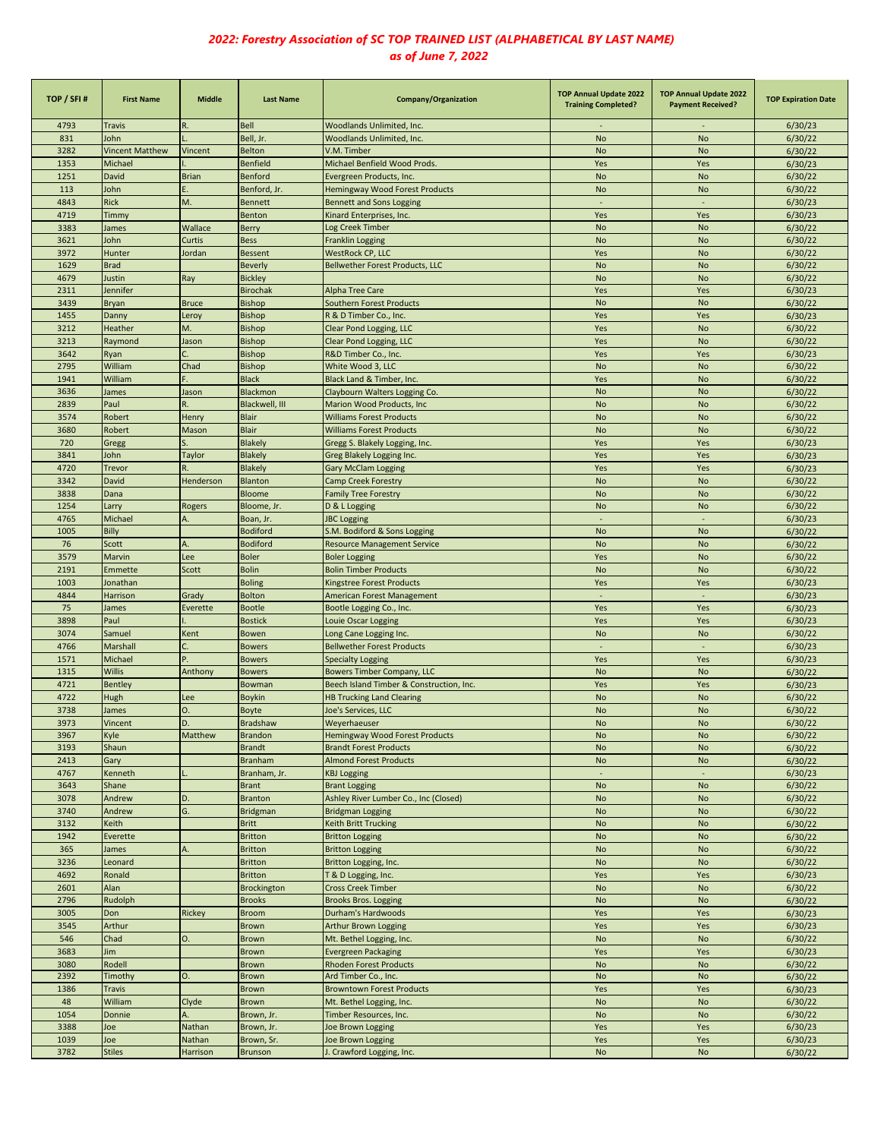| TOP / SFI#   | <b>First Name</b>                                                                                                      | <b>Middle</b>    | <b>Last Name</b>                 | Company/Organization                                     | <b>TOP Annual Update 2022</b><br><b>Training Completed?</b> | <b>TOP Annual Update 2022</b><br><b>Payment Received?</b> | <b>TOP Expiration Date</b> |
|--------------|------------------------------------------------------------------------------------------------------------------------|------------------|----------------------------------|----------------------------------------------------------|-------------------------------------------------------------|-----------------------------------------------------------|----------------------------|
| 4793         | <b>Travis</b>                                                                                                          |                  | <b>Bell</b>                      | Woodlands Unlimited, Inc.                                |                                                             |                                                           | 6/30/23                    |
| 831          | John                                                                                                                   |                  | Bell, Jr.                        | Woodlands Unlimited, Inc.                                | <b>No</b>                                                   | <b>No</b>                                                 | 6/30/22                    |
| 3282         | <b>Vincent Matthew</b>                                                                                                 | Vincent          | <b>Belton</b>                    | V.M. Timber                                              | <b>No</b>                                                   | No                                                        | 6/30/22                    |
| 1353         | Michael                                                                                                                |                  | <b>Benfield</b>                  | Michael Benfield Wood Prods.                             | Yes                                                         | Yes                                                       | 6/30/23                    |
| 1251         | David                                                                                                                  | <b>Brian</b>     | <b>Benford</b>                   | Evergreen Products, Inc.                                 | <b>No</b>                                                   | <b>No</b>                                                 | 6/30/22                    |
| 113          | lohn                                                                                                                   |                  | Benford, Jr.                     | Hemingway Wood Forest Products                           | No                                                          | No                                                        | 6/30/22                    |
| 4843         | <b>Rick</b>                                                                                                            | M.               | <b>Bennett</b>                   | <b>Bennett and Sons Logging</b>                          |                                                             |                                                           | 6/30/23                    |
| 4719         | Timmy                                                                                                                  |                  | Benton                           | Kinard Enterprises, Inc.                                 | Yes                                                         | Yes                                                       | 6/30/23                    |
| 3383         | James                                                                                                                  | Wallace          | <b>Berry</b>                     | Log Creek Timber                                         | <b>No</b>                                                   | <b>No</b>                                                 | 6/30/22                    |
| 3621<br>3972 | <b>lohn</b><br>Hunter                                                                                                  | Curtis<br>Jordan | <b>Bess</b><br><b>Bessent</b>    | <b>Franklin Logging</b><br><b>WestRock CP, LLC</b>       | <b>No</b><br>Yes                                            | <b>No</b><br><b>No</b>                                    | 6/30/22                    |
| 1629         | <b>Brad</b>                                                                                                            |                  | <b>Beverly</b>                   | <b>Bellwether Forest Products, LLC</b>                   | <b>No</b>                                                   | <b>No</b>                                                 | 6/30/22<br>6/30/22         |
| 4679         | Justin                                                                                                                 | Ray              | <b>Bickley</b>                   |                                                          | <b>No</b>                                                   | <b>No</b>                                                 | 6/30/22                    |
| 2311         | lennifer                                                                                                               |                  | <b>Birochak</b>                  | Alpha Tree Care                                          | Yes                                                         | Yes                                                       | 6/30/23                    |
| 3439         | Bryan                                                                                                                  | <b>Bruce</b>     | <b>Bishop</b>                    | <b>Southern Forest Products</b>                          | <b>No</b>                                                   | No                                                        | 6/30/22                    |
| 1455         | Danny                                                                                                                  | Leroy            | <b>Bishop</b>                    | R & D Timber Co., Inc.                                   | Yes                                                         | Yes                                                       | 6/30/23                    |
| 3212         | Heather                                                                                                                | M.               | <b>Bishop</b>                    | Clear Pond Logging, LLC                                  | Yes                                                         | <b>No</b>                                                 | 6/30/22                    |
| 3213         | Raymond                                                                                                                | Jason            | <b>Bishop</b>                    | <b>Clear Pond Logging, LLC</b>                           | Yes                                                         | No                                                        | 6/30/22                    |
| 3642         | Ryan                                                                                                                   |                  | <b>Bishop</b>                    | R&D Timber Co., Inc.                                     | Yes                                                         | Yes                                                       | 6/30/23                    |
| 2795         | William                                                                                                                | Chad             | <b>Bishop</b>                    | White Wood 3, LLC                                        | <b>No</b>                                                   | <b>No</b>                                                 | 6/30/22                    |
| 1941         | William                                                                                                                | F.               | <b>Black</b>                     | Black Land & Timber, Inc.                                | Yes                                                         | <b>No</b>                                                 | 6/30/22                    |
| 3636         | James                                                                                                                  | Jason            | Blackmon                         | Claybourn Walters Logging Co.                            | <b>No</b>                                                   | <b>No</b>                                                 | 6/30/22                    |
| 2839         | Paul                                                                                                                   | R.               | Blackwell, III                   | Marion Wood Products, Inc                                | <b>No</b>                                                   | <b>No</b>                                                 | 6/30/22                    |
| 3574         | Robert                                                                                                                 | Henry            | <b>Blair</b>                     | <b>Williams Forest Products</b>                          | <b>No</b>                                                   | <b>No</b>                                                 | 6/30/22                    |
| 3680         | Robert                                                                                                                 | Mason            | <b>Blair</b>                     | <b>Williams Forest Products</b>                          | <b>No</b>                                                   | <b>No</b>                                                 | 6/30/22                    |
| 720          | Gregg                                                                                                                  |                  | <b>Blakely</b>                   | Gregg S. Blakely Logging, Inc.                           | Yes                                                         | Yes                                                       | 6/30/23                    |
| 3841<br>4720 | John                                                                                                                   | Taylor<br>R.     | <b>Blakely</b><br><b>Blakely</b> | Greg Blakely Logging Inc.                                | Yes<br>Yes                                                  | Yes                                                       | 6/30/23<br>6/30/23         |
| 3342         | <b>Trevor</b><br>David                                                                                                 | Henderson        | Blanton                          | <b>Gary McClam Logging</b><br><b>Camp Creek Forestry</b> | <b>No</b>                                                   | Yes<br><b>No</b>                                          | 6/30/22                    |
| 3838         | Dana                                                                                                                   |                  | <b>Bloome</b>                    | <b>Family Tree Forestry</b>                              | <b>No</b>                                                   | <b>No</b>                                                 | 6/30/22                    |
| 1254         | Larry                                                                                                                  | Rogers           | Bloome, Jr.                      | D & L Logging                                            | <b>No</b>                                                   | No                                                        | 6/30/22                    |
| 4765         | Michael                                                                                                                | А.               | Boan, Jr.                        | <b>JBC Logging</b>                                       | $\sim$                                                      | $\sim$                                                    | 6/30/23                    |
| 1005         | <b>Billy</b>                                                                                                           |                  | <b>Bodiford</b>                  | S.M. Bodiford & Sons Logging                             | <b>No</b>                                                   | No                                                        | 6/30/22                    |
| 76           | Scott                                                                                                                  | A.               | <b>Bodiford</b>                  | <b>Resource Management Service</b>                       | <b>No</b>                                                   | No                                                        | 6/30/22                    |
| 3579         | Marvin                                                                                                                 | Lee              | <b>Boler</b>                     | <b>Boler Logging</b>                                     | Yes                                                         | No                                                        | 6/30/22                    |
| 2191         | <b>Emmette</b>                                                                                                         | Scott            | <b>Bolin</b>                     | <b>Bolin Timber Products</b>                             | <b>No</b>                                                   | No                                                        | 6/30/22                    |
| 1003         | Jonathan                                                                                                               |                  | <b>Boling</b>                    | <b>Kingstree Forest Products</b>                         | Yes                                                         | Yes                                                       | 6/30/23                    |
| 4844         | Harrison                                                                                                               | Grady            | <b>Bolton</b>                    | <b>American Forest Management</b>                        | $\overline{\phantom{a}}$                                    | $\overline{\phantom{a}}$                                  | 6/30/23                    |
| 75           | James                                                                                                                  | Everette         | <b>Bootle</b>                    | Bootle Logging Co., Inc.                                 | Yes                                                         | Yes                                                       | 6/30/23                    |
| 3898         | Paul                                                                                                                   |                  | <b>Bostick</b>                   | Louie Oscar Logging                                      | Yes                                                         | Yes                                                       | 6/30/23                    |
| 3074         | Samuel                                                                                                                 | Kent             | Bowen                            | Long Cane Logging Inc.                                   | <b>No</b>                                                   | No                                                        | 6/30/22                    |
| 4766         | Marshall                                                                                                               |                  | <b>Bowers</b>                    | <b>Bellwether Forest Products</b>                        |                                                             |                                                           | 6/30/23                    |
| 1571         | Michael                                                                                                                | P.               | <b>Bowers</b>                    | <b>Specialty Logging</b>                                 | Yes                                                         | Yes                                                       | 6/30/23                    |
| 1315         | <b>Willis</b>                                                                                                          | Anthony          | <b>Bowers</b>                    | <b>Bowers Timber Company, LLC</b>                        | <b>No</b>                                                   | <b>No</b>                                                 | 6/30/22                    |
| 4721         | <b>Bentley</b>                                                                                                         |                  | Bowman                           | Beech Island Timber & Construction, Inc.                 | Yes                                                         | Yes                                                       | 6/30/23                    |
| 4722<br>3738 | Hugh                                                                                                                   | Lee<br>O.        | <b>Boykin</b>                    | <b>HB Trucking Land Clearing</b>                         | <b>No</b>                                                   | <b>No</b><br><b>No</b>                                    | 6/30/22<br>6/30/22         |
| 3973         | James<br>Vincent                                                                                                       | D.               | <b>Boyte</b><br><b>Bradshaw</b>  | Joe's Services, LLC<br>Weyerhaeuser                      | No<br>No                                                    | No                                                        | 6/30/22                    |
| 3967         | Kyle                                                                                                                   | Matthew          | <b>Brandon</b>                   | <b>Hemingway Wood Forest Products</b>                    | <b>No</b>                                                   | <b>No</b>                                                 | 6/30/22                    |
| 3193         | Shaun                                                                                                                  |                  | <b>Brandt</b>                    | <b>Brandt Forest Products</b>                            | No                                                          | No                                                        | 6/30/22                    |
| 2413         | Gary                                                                                                                   |                  | <b>Branham</b>                   | <b>Almond Forest Products</b>                            | No                                                          | No                                                        | 6/30/22                    |
| 4767         | Kenneth                                                                                                                |                  | Branham, Jr.                     | <b>KBJ Logging</b>                                       | ÷,                                                          | ÷.                                                        | 6/30/23                    |
| 3643         | Shane                                                                                                                  |                  | <b>Brant</b>                     | <b>Brant Logging</b>                                     | No                                                          | No                                                        | 6/30/22                    |
| 3078         | Andrew                                                                                                                 | D.               | <b>Branton</b>                   | Ashley River Lumber Co., Inc (Closed)                    | No                                                          | No                                                        | 6/30/22                    |
| 3740         | Andrew                                                                                                                 | G.               | <b>Bridgman</b>                  | <b>Bridgman Logging</b>                                  | No                                                          | No                                                        | 6/30/22                    |
| 3132         | <eith< td=""><td></td><td><b>Britt</b></td><td>Keith Britt Trucking</td><td>No</td><td>No</td><td>6/30/22</td></eith<> |                  | <b>Britt</b>                     | Keith Britt Trucking                                     | No                                                          | No                                                        | 6/30/22                    |
| 1942         | Everette                                                                                                               |                  | <b>Britton</b>                   | <b>Britton Logging</b>                                   | No                                                          | No                                                        | 6/30/22                    |
| 365          | lames                                                                                                                  |                  | <b>Britton</b>                   | <b>Britton Logging</b>                                   | No                                                          | No                                                        | 6/30/22                    |
| 3236         | Leonard                                                                                                                |                  | <b>Britton</b>                   | Britton Logging, Inc.                                    | <b>No</b>                                                   | <b>No</b>                                                 | 6/30/22                    |
| 4692         | Ronald                                                                                                                 |                  | <b>Britton</b>                   | T & D Logging, Inc.                                      | Yes                                                         | Yes                                                       | 6/30/23                    |
| 2601         | Alan                                                                                                                   |                  | Brockington                      | <b>Cross Creek Timber</b>                                | No                                                          | No                                                        | 6/30/22                    |
| 2796         | Rudolph                                                                                                                |                  | <b>Brooks</b>                    | <b>Brooks Bros. Logging</b>                              | No                                                          | No                                                        | 6/30/22                    |
| 3005         | Don                                                                                                                    | <b>Rickey</b>    | <b>Broom</b>                     | Durham's Hardwoods                                       | Yes                                                         | Yes                                                       | 6/30/23                    |
| 3545         | Arthur                                                                                                                 |                  | <b>Brown</b>                     | Arthur Brown Logging                                     | Yes                                                         | Yes                                                       | 6/30/23                    |
| 546          | Chad                                                                                                                   | 0.               | <b>Brown</b>                     | Mt. Bethel Logging, Inc.                                 | No                                                          | No                                                        | 6/30/22                    |
| 3683         | Jim                                                                                                                    |                  | Brown                            | <b>Evergreen Packaging</b>                               | Yes                                                         | Yes<br>No                                                 | 6/30/23                    |
| 3080<br>2392 | Rodell<br>Timothy                                                                                                      | 0.               | Brown<br>Brown                   | <b>Rhoden Forest Products</b><br>Ard Timber Co., Inc.    | No<br>No                                                    | No                                                        | 6/30/22<br>6/30/22         |
| 1386         | <b>Travis</b>                                                                                                          |                  | Brown                            | <b>Browntown Forest Products</b>                         | Yes                                                         | Yes                                                       | 6/30/23                    |
| 48           | William                                                                                                                | Clyde            | Brown                            | Mt. Bethel Logging, Inc.                                 | No                                                          | No                                                        | 6/30/22                    |
| 1054         | Donnie                                                                                                                 | Α.               | Brown, Jr.                       | Timber Resources, Inc.                                   | No                                                          | No                                                        | 6/30/22                    |
| 3388         | loe                                                                                                                    | Nathan           | Brown, Jr.                       | Joe Brown Logging                                        | Yes                                                         | Yes                                                       | 6/30/23                    |
| 1039         | loe                                                                                                                    | Nathan           | Brown, Sr.                       | Joe Brown Logging                                        | Yes                                                         | Yes                                                       | 6/30/23                    |
| 3782         | <b>Stiles</b>                                                                                                          | Harrison         | <b>Brunson</b>                   | I. Crawford Logging, Inc.                                | No                                                          | No                                                        | 6/30/22                    |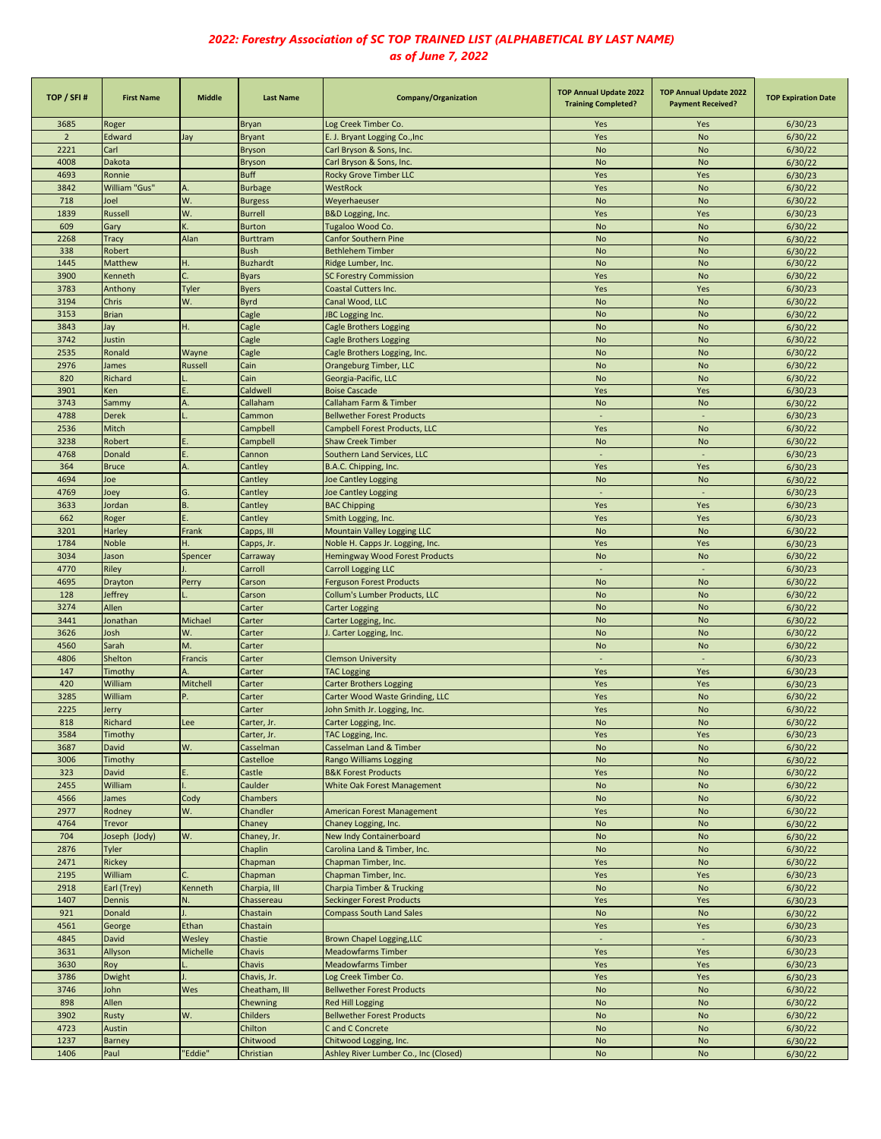| TOP / SFI#     | <b>First Name</b> | <b>Middle</b>  | <b>Last Name</b> | Company/Organization                  | <b>TOP Annual Update 2022</b><br><b>Training Completed?</b> | <b>TOP Annual Update 2022</b><br><b>Payment Received?</b> | <b>TOP Expiration Date</b> |
|----------------|-------------------|----------------|------------------|---------------------------------------|-------------------------------------------------------------|-----------------------------------------------------------|----------------------------|
| 3685           | Roger             |                | <b>Bryan</b>     | Log Creek Timber Co.                  | Yes                                                         | Yes                                                       | 6/30/23                    |
| $\overline{2}$ | Edward            | Jay            | <b>Bryant</b>    | E. J. Bryant Logging Co., Inc.        | Yes                                                         | No                                                        | 6/30/22                    |
| 2221           | Carl              |                | <b>Bryson</b>    | Carl Bryson & Sons, Inc.              | <b>No</b>                                                   | <b>No</b>                                                 | 6/30/22                    |
| 4008           | Dakota            |                | <b>Bryson</b>    | Carl Bryson & Sons, Inc.              | <b>No</b>                                                   | <b>No</b>                                                 | 6/30/22                    |
| 4693           | Ronnie            |                | <b>Buff</b>      | <b>Rocky Grove Timber LLC</b>         | Yes                                                         | Yes                                                       | 6/30/23                    |
| 3842           | William "Gus"     | А.             | <b>Burbage</b>   | WestRock                              | Yes                                                         | <b>No</b>                                                 | 6/30/22                    |
| 718            | Joel              | W.             | <b>Burgess</b>   | Weyerhaeuser                          | <b>No</b>                                                   | <b>No</b>                                                 | 6/30/22                    |
| 1839           | <b>Russell</b>    | W.             | <b>Burrell</b>   | B&D Logging, Inc.                     | Yes                                                         | Yes                                                       | 6/30/23                    |
| 609            | Gary              |                | <b>Burton</b>    | Tugaloo Wood Co.                      | <b>No</b>                                                   | <b>No</b>                                                 | 6/30/22                    |
| 2268           | Tracy             | Alan           | <b>Burttram</b>  | <b>Canfor Southern Pine</b>           | <b>No</b>                                                   | <b>No</b>                                                 | 6/30/22                    |
| 338            | Robert            |                | <b>Bush</b>      | <b>Bethlehem Timber</b>               | <b>No</b>                                                   | <b>No</b>                                                 | 6/30/22                    |
| 1445           | Matthew           | H.             | <b>Buzhardt</b>  | Ridge Lumber, Inc.                    | <b>No</b>                                                   | <b>No</b>                                                 | 6/30/22                    |
| 3900           | Kenneth           | C.             | <b>Byars</b>     | <b>SC Forestry Commission</b>         | Yes                                                         | <b>No</b>                                                 | 6/30/22                    |
| 3783           | Anthony           | Tyler          | <b>Byers</b>     | Coastal Cutters Inc.                  | Yes                                                         | Yes                                                       | 6/30/23                    |
| 3194           | Chris             | W.             | Byrd             | Canal Wood, LLC                       | <b>No</b>                                                   | <b>No</b>                                                 | 6/30/22                    |
| 3153           | <b>Brian</b>      |                | Cagle            | <b>JBC</b> Logging Inc.               | <b>No</b>                                                   | <b>No</b>                                                 | 6/30/22                    |
| 3843           | Jay               | н.             | Cagle            | <b>Cagle Brothers Logging</b>         | <b>No</b>                                                   | <b>No</b>                                                 | 6/30/22                    |
| 3742           | Justin            |                | Cagle            | <b>Cagle Brothers Logging</b>         | <b>No</b>                                                   | <b>No</b>                                                 | 6/30/22                    |
| 2535           | Ronald            | Wayne          | Cagle            | Cagle Brothers Logging, Inc.          | <b>No</b>                                                   | <b>No</b>                                                 | 6/30/22                    |
| 2976           | James             | <b>Russell</b> | Cain             |                                       | <b>No</b>                                                   | <b>No</b>                                                 |                            |
|                |                   |                |                  | Orangeburg Timber, LLC                |                                                             |                                                           | 6/30/22                    |
| 820            | Richard           |                | Cain             | Georgia-Pacific, LLC                  | <b>No</b>                                                   | <b>No</b>                                                 | 6/30/22                    |
| 3901           | Ken               |                | Caldwell         | <b>Boise Cascade</b>                  | Yes                                                         | Yes                                                       | 6/30/23                    |
| 3743           | Sammy             | А.             | Callaham         | Callaham Farm & Timber                | <b>No</b>                                                   | <b>No</b>                                                 | 6/30/22                    |
| 4788           | <b>Derek</b>      |                | Cammon           | <b>Bellwether Forest Products</b>     | ÷.                                                          | $\omega$                                                  | 6/30/23                    |
| 2536           | Mitch             |                | Campbell         | <b>Campbell Forest Products, LLC</b>  | Yes                                                         | No                                                        | 6/30/22                    |
| 3238           | Robert            |                | Campbell         | <b>Shaw Creek Timber</b>              | <b>No</b>                                                   | No                                                        | 6/30/22                    |
| 4768           | Donald            |                | Cannon           | Southern Land Services, LLC           | ٠                                                           | ÷,                                                        | 6/30/23                    |
| 364            | <b>Bruce</b>      |                | Cantley          | B.A.C. Chipping, Inc.                 | Yes                                                         | Yes                                                       | 6/30/23                    |
| 4694           | Joe               |                | Cantley          | <b>Joe Cantley Logging</b>            | <b>No</b>                                                   | <b>No</b>                                                 | 6/30/22                    |
| 4769           | Joey              | G.             | Cantley          | Joe Cantley Logging                   |                                                             |                                                           | 6/30/23                    |
| 3633           | Jordan            | B.             | Cantley          | <b>BAC Chipping</b>                   | Yes                                                         | Yes                                                       | 6/30/23                    |
| 662            | Roger             | Ē.             | Cantley          | Smith Logging, Inc.                   | Yes                                                         | Yes                                                       | 6/30/23                    |
| 3201           | Harley            | Frank          | Capps, III       | Mountain Valley Logging LLC           | <b>No</b>                                                   | <b>No</b>                                                 | 6/30/22                    |
| 1784           | <b>Noble</b>      | Ĥ.             | Capps, Jr.       | Noble H. Capps Jr. Logging, Inc.      | Yes                                                         | Yes                                                       | 6/30/23                    |
| 3034           | Jason             | Spencer        | Carraway         | Hemingway Wood Forest Products        | <b>No</b>                                                   | <b>No</b>                                                 | 6/30/22                    |
| 4770           | Riley             |                | Carroll          | <b>Carroll Logging LLC</b>            | $\sim$                                                      | $\sim$                                                    | 6/30/23                    |
| 4695           | Drayton           | Perry          | Carson           | <b>Ferguson Forest Products</b>       | <b>No</b>                                                   | <b>No</b>                                                 | 6/30/22                    |
| 128            | Jeffrey           |                | Carson           | Collum's Lumber Products, LLC         | <b>No</b>                                                   | No                                                        | 6/30/22                    |
| 3274           | Allen             |                | Carter           | <b>Carter Logging</b>                 | <b>No</b>                                                   | <b>No</b>                                                 | 6/30/22                    |
| 3441           | Jonathan          | Michael        | Carter           | Carter Logging, Inc.                  | <b>No</b>                                                   | No                                                        | 6/30/22                    |
| 3626           | Josh              | W.             | Carter           | I. Carter Logging, Inc.               | <b>No</b>                                                   | <b>No</b>                                                 | 6/30/22                    |
| 4560           | Sarah             | M.             | Carter           |                                       | <b>No</b>                                                   | <b>No</b>                                                 | 6/30/22                    |
| 4806           | <b>Shelton</b>    | Francis        | Carter           | <b>Clemson University</b>             | $\sim$                                                      | $\sim$                                                    | 6/30/23                    |
| 147            | Timothy           | А              | Carter           | <b>TAC Logging</b>                    | Yes                                                         | Yes                                                       | 6/30/23                    |
| 420            | William           | Mitchell       | Carter           | <b>Carter Brothers Logging</b>        | Yes                                                         | Yes                                                       | 6/30/23                    |
| 3285           | William           |                | Carter           | Carter Wood Waste Grinding, LLC       | Yes                                                         | <b>No</b>                                                 | 6/30/22                    |
|                |                   |                |                  |                                       | Yes                                                         | <b>No</b>                                                 |                            |
| 2225           | Jerry             |                | Carter           | John Smith Jr. Logging, Inc.          |                                                             |                                                           | 6/30/22                    |
| 818            | Richard           | Lee            | Carter, Jr.      | Carter Logging, Inc.                  | No.                                                         | <b>No</b>                                                 | 6/30/22<br>6/30/23         |
| 3584           | Timothy           |                | Carter, Jr.      | TAC Logging, Inc.                     | Yes                                                         | Yes                                                       |                            |
| 3687           | David             | W.             | Casselman        | Casselman Land & Timber               | <b>No</b>                                                   | <b>No</b>                                                 | 6/30/22                    |
| 3006           | Timothy           |                | Castelloe        | Rango Williams Logging                | No                                                          | No                                                        | 6/30/22                    |
| 323            | David             |                | Castle           | <b>B&amp;K Forest Products</b>        | Yes                                                         | No                                                        | 6/30/22                    |
| 2455           | William           |                | Caulder          | White Oak Forest Management           | <b>No</b>                                                   | <b>No</b>                                                 | 6/30/22                    |
| 4566           | James             | Cody           | Chambers         |                                       | <b>No</b>                                                   | <b>No</b>                                                 | 6/30/22                    |
| 2977           | Rodney            | W.             | Chandler         | American Forest Management            | Yes                                                         | <b>No</b>                                                 | 6/30/22                    |
| 4764           | <b>Trevor</b>     |                | Chaney           | Chaney Logging, Inc.                  | No                                                          | No                                                        | 6/30/22                    |
| 704            | Joseph (Jody)     | W.             | Chaney, Jr.      | New Indy Containerboard               | <b>No</b>                                                   | <b>No</b>                                                 | 6/30/22                    |
| 2876           | <b>Tyler</b>      |                | Chaplin          | Carolina Land & Timber, Inc.          | <b>No</b>                                                   | <b>No</b>                                                 | 6/30/22                    |
| 2471           | Rickey            |                | Chapman          | Chapman Timber, Inc.                  | Yes                                                         | <b>No</b>                                                 | 6/30/22                    |
| 2195           | William           |                | Chapman          | Chapman Timber, Inc.                  | Yes                                                         | Yes                                                       | 6/30/23                    |
| 2918           | Earl (Trey)       | Kenneth        | Charpia, III     | <b>Charpia Timber &amp; Trucking</b>  | No                                                          | No                                                        | 6/30/22                    |
| 1407           | Dennis            | N.             | Chassereau       | <b>Seckinger Forest Products</b>      | Yes                                                         | Yes                                                       | 6/30/23                    |
| 921            | Donald            |                | Chastain         | <b>Compass South Land Sales</b>       | No                                                          | No                                                        | 6/30/22                    |
| 4561           | George            | Ethan          | Chastain         |                                       | Yes                                                         | Yes                                                       | 6/30/23                    |
| 4845           | David             | Wesley         | Chastie          | Brown Chapel Logging, LLC             | $\sim$                                                      |                                                           | 6/30/23                    |
| 3631           | Allyson           | Michelle       | Chavis           | <b>Meadowfarms Timber</b>             | Yes                                                         | Yes                                                       | 6/30/23                    |
| 3630           | Roy               |                | Chavis           | <b>Meadowfarms Timber</b>             | Yes                                                         | Yes                                                       | 6/30/23                    |
| 3786           | Dwight            |                | Chavis, Jr.      | Log Creek Timber Co.                  | Yes                                                         | Yes                                                       | 6/30/23                    |
| 3746           | John              | Wes            | Cheatham, III    | <b>Bellwether Forest Products</b>     | No                                                          | No                                                        | 6/30/22                    |
| 898            | Allen             |                | Chewning         | Red Hill Logging                      | <b>No</b>                                                   | <b>No</b>                                                 | 6/30/22                    |
| 3902           | Rusty             | W.             | Childers         | <b>Bellwether Forest Products</b>     | No                                                          | <b>No</b>                                                 | 6/30/22                    |
| 4723           | <b>Austin</b>     |                | Chilton          | C and C Concrete                      | No                                                          | No                                                        | 6/30/22                    |
| 1237           | <b>Barney</b>     |                | Chitwood         | Chitwood Logging, Inc.                | No                                                          | $\mathsf{No}$                                             | 6/30/22                    |
| 1406           | Paul              | "Eddie"        | Christian        | Ashley River Lumber Co., Inc (Closed) | No                                                          | <b>No</b>                                                 | 6/30/22                    |
|                |                   |                |                  |                                       |                                                             |                                                           |                            |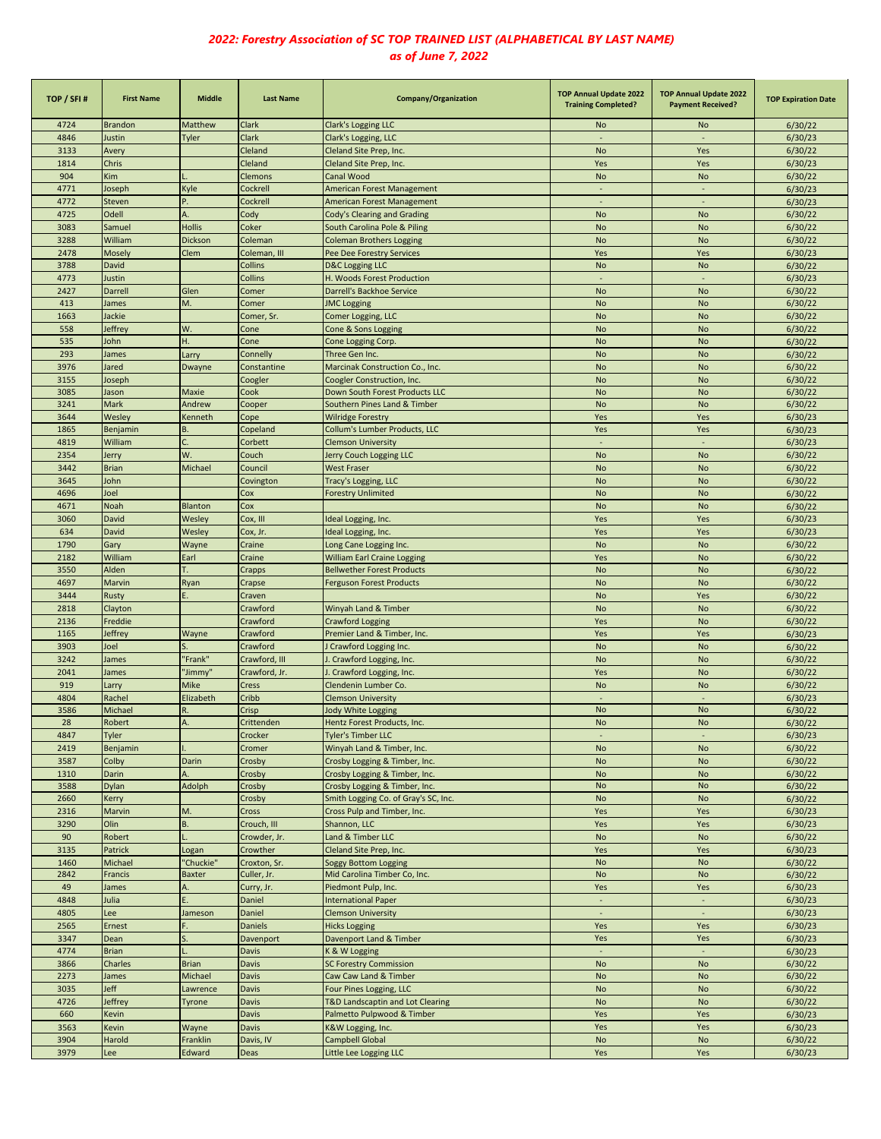| TOP / SFI#   | <b>First Name</b>     | <b>Middle</b>            | <b>Last Name</b>     | Company/Organization                                         | <b>TOP Annual Update 2022</b><br><b>Training Completed?</b> | <b>TOP Annual Update 2022</b><br><b>Payment Received?</b> | <b>TOP Expiration Date</b> |
|--------------|-----------------------|--------------------------|----------------------|--------------------------------------------------------------|-------------------------------------------------------------|-----------------------------------------------------------|----------------------------|
| 4724         | <b>Brandon</b>        | Matthew                  | Clark                | Clark's Logging LLC                                          | No                                                          | No                                                        | 6/30/22                    |
| 4846         | Justin                | Tyler                    | Clark                | Clark's Logging, LLC                                         |                                                             |                                                           | 6/30/23                    |
| 3133         | Avery                 |                          | Cleland              | Cleland Site Prep, Inc.                                      | <b>No</b>                                                   | Yes                                                       | 6/30/22                    |
| 1814         | Chris                 |                          | Cleland              | Cleland Site Prep, Inc.                                      | Yes                                                         | Yes                                                       | 6/30/23                    |
| 904          | Kim                   |                          | Clemons              | Canal Wood                                                   | <b>No</b>                                                   | No                                                        | 6/30/22                    |
| 4771         | Joseph                | Kyle                     | Cockrell             | American Forest Management                                   |                                                             |                                                           | 6/30/23                    |
| 4772         | Steven                | P.                       | Cockrell             | American Forest Management                                   |                                                             |                                                           | 6/30/23                    |
| 4725         | Odell                 |                          | Cody<br>Coker        | Cody's Clearing and Grading                                  | <b>No</b>                                                   | <b>No</b>                                                 | 6/30/22                    |
| 3083<br>3288 | Samuel<br>William     | <b>Hollis</b><br>Dickson | Coleman              | South Carolina Pole & Piling                                 | <b>No</b><br><b>No</b>                                      | <b>No</b><br><b>No</b>                                    | 6/30/22<br>6/30/22         |
| 2478         | Mosely                | Clem                     | Coleman, III         | <b>Coleman Brothers Logging</b><br>Pee Dee Forestry Services | Yes                                                         | Yes                                                       | 6/30/23                    |
| 3788         | David                 |                          | Collins              | <b>D&amp;C Logging LLC</b>                                   | <b>No</b>                                                   | No                                                        | 6/30/22                    |
| 4773         | Justin                |                          | Collins              | H. Woods Forest Production                                   |                                                             |                                                           | 6/30/23                    |
| 2427         | Darrell               | Glen                     | Comer                | Darrell's Backhoe Service                                    | <b>No</b>                                                   | <b>No</b>                                                 | 6/30/22                    |
| 413          | James                 | M.                       | Comer                | <b>JMC Logging</b>                                           | <b>No</b>                                                   | No                                                        | 6/30/22                    |
| 1663         | Jackie                |                          | Comer, Sr.           | Comer Logging, LLC                                           | <b>No</b>                                                   | No                                                        | 6/30/22                    |
| 558          | leffrey               | W.                       | Cone                 | Cone & Sons Logging                                          | <b>No</b>                                                   | No                                                        | 6/30/22                    |
| 535          | John                  | H.                       | Cone                 | Cone Logging Corp.                                           | <b>No</b>                                                   | <b>No</b>                                                 | 6/30/22                    |
| 293          | James                 | Larry                    | Connelly             | Three Gen Inc.                                               | <b>No</b>                                                   | No                                                        | 6/30/22                    |
| 3976         | Jared                 | Dwayne                   | Constantine          | Marcinak Construction Co., Inc.                              | <b>No</b>                                                   | No                                                        | 6/30/22                    |
| 3155         | Joseph                |                          | Coogler              | Coogler Construction, Inc.                                   | <b>No</b>                                                   | No                                                        | 6/30/22                    |
| 3085         | Jason                 | Maxie                    | Cook                 | Down South Forest Products LLC                               | <b>No</b>                                                   | <b>No</b>                                                 | 6/30/22                    |
| 3241         | Mark                  | Andrew                   | Cooper               | Southern Pines Land & Timber                                 | <b>No</b>                                                   | <b>No</b>                                                 | 6/30/22                    |
| 3644         | Wesley                | Kenneth                  | Cope                 | <b>Wilridge Forestry</b>                                     | Yes                                                         | Yes                                                       | 6/30/23                    |
| 1865         | Benjamin              | B.                       | Copeland             | Collum's Lumber Products, LLC                                | Yes                                                         | Yes                                                       | 6/30/23                    |
| 4819<br>2354 | William               | W.                       | Corbett<br>Couch     | <b>Clemson University</b><br>Jerry Couch Logging LLC         | <b>No</b>                                                   | <b>No</b>                                                 | 6/30/23<br>6/30/22         |
| 3442         | Jerry<br><b>Brian</b> | Michael                  | Council              | <b>West Fraser</b>                                           | <b>No</b>                                                   | No                                                        | 6/30/22                    |
| 3645         | John                  |                          | Covington            | Tracy's Logging, LLC                                         | <b>No</b>                                                   | <b>No</b>                                                 | 6/30/22                    |
| 4696         | Joel                  |                          | Cox                  | <b>Forestry Unlimited</b>                                    | <b>No</b>                                                   | <b>No</b>                                                 | 6/30/22                    |
| 4671         | Noah                  | Blanton                  | Cox                  |                                                              | <b>No</b>                                                   | <b>No</b>                                                 | 6/30/22                    |
| 3060         | David                 | Wesley                   | Cox, III             | Ideal Logging, Inc.                                          | Yes                                                         | Yes                                                       | 6/30/23                    |
| 634          | David                 | Wesley                   | Cox, Jr.             | Ideal Logging, Inc.                                          | Yes                                                         | Yes                                                       | 6/30/23                    |
| 1790         | Gary                  | Wayne                    | Craine               | Long Cane Logging Inc.                                       | <b>No</b>                                                   | <b>No</b>                                                 | 6/30/22                    |
| 2182         | William               | Earl                     | Craine               | William Earl Craine Logging                                  | Yes                                                         | No                                                        | 6/30/22                    |
| 3550         | Alden                 |                          | Crapps               | <b>Bellwether Forest Products</b>                            | <b>No</b>                                                   | <b>No</b>                                                 | 6/30/22                    |
| 4697         | Marvin                | Ryan                     | Crapse               | <b>Ferguson Forest Products</b>                              | <b>No</b>                                                   | No                                                        | 6/30/22                    |
| 3444         | Rusty                 |                          | Craven               |                                                              | <b>No</b>                                                   | Yes                                                       | 6/30/22                    |
| 2818         | Clayton               |                          | Crawford             | Winyah Land & Timber                                         | <b>No</b>                                                   | No                                                        | 6/30/22                    |
| 2136         | Freddie               |                          | Crawford             | <b>Crawford Logging</b>                                      | Yes                                                         | <b>No</b>                                                 | 6/30/22                    |
| 1165         | Jeffrey               | Wayne                    | Crawford             | Premier Land & Timber, Inc.                                  | Yes                                                         | Yes                                                       | 6/30/23                    |
| 3903         | Joel                  |                          | Crawford             | <b>Crawford Logging Inc.</b>                                 | <b>No</b>                                                   | <b>No</b>                                                 | 6/30/22                    |
| 3242         | James                 | "Frank"                  | Crawford, III        | J. Crawford Logging, Inc.                                    | <b>No</b>                                                   | No                                                        | 6/30/22                    |
| 2041         | James                 | "Jimmy"                  | Crawford, Jr.        | J. Crawford Logging, Inc.                                    | Yes                                                         | <b>No</b>                                                 | 6/30/22                    |
| 919          | Larry                 | Mike                     | Cress                | Clendenin Lumber Co.                                         | <b>No</b>                                                   | <b>No</b>                                                 | 6/30/22                    |
| 4804<br>3586 | Rachel<br>Michael     | Elizabeth<br>R.          | Cribb<br>Crisp       | <b>Clemson University</b><br><b>Jody White Logging</b>       | <b>No</b>                                                   | <b>No</b>                                                 | 6/30/23<br>6/30/22         |
| 28           | Robert                |                          | Crittenden           | Hentz Forest Products, Inc.                                  | No                                                          | No                                                        | 6/30/22                    |
| 4847         | <b>Tyler</b>          |                          | Crocker              | <b>Tyler's Timber LLC</b>                                    |                                                             |                                                           | 6/30/23                    |
| 2419         | Benjamin              |                          | Cromer               | Winyah Land & Timber, Inc.                                   | <b>No</b>                                                   | No                                                        | 6/30/22                    |
| 3587         | Colby                 | Darin                    | Crosby               | Crosby Logging & Timber, Inc.                                | No                                                          | No                                                        | 6/30/22                    |
| 1310         | Darin                 |                          | Crosby               | Crosby Logging & Timber, Inc.                                | <b>No</b>                                                   | <b>No</b>                                                 | 6/30/22                    |
| 3588         | Dylan                 | Adolph                   | Crosby               | Crosby Logging & Timber, Inc.                                | <b>No</b>                                                   | No                                                        | 6/30/22                    |
| 2660         | Kerry                 |                          | Crosby               | Smith Logging Co. of Gray's SC, Inc.                         | <b>No</b>                                                   | No                                                        | 6/30/22                    |
| 2316         | Marvin                | M.                       | Cross                | Cross Pulp and Timber, Inc.                                  | Yes                                                         | Yes                                                       | 6/30/23                    |
| 3290         | Olin                  | B.                       | Crouch, III          | Shannon, LLC                                                 | Yes                                                         | Yes                                                       | 6/30/23                    |
| 90           | Robert                |                          | Crowder, Jr.         | Land & Timber LLC                                            | No                                                          | No                                                        | 6/30/22                    |
| 3135         | Patrick               | Logan                    | Crowther             | Cleland Site Prep, Inc.                                      | Yes                                                         | Yes                                                       | 6/30/23                    |
| 1460         | Michael               | 'Chuckie"                | Croxton, Sr.         | <b>Soggy Bottom Logging</b>                                  | No                                                          | <b>No</b>                                                 | 6/30/22                    |
| 2842         | Francis               | <b>Baxter</b>            | Culler, Jr.          | Mid Carolina Timber Co, Inc.                                 | <b>No</b>                                                   | No                                                        | 6/30/22                    |
| 49           | James                 | A.                       | Curry, Jr.           | Piedmont Pulp, Inc.                                          | Yes                                                         | Yes                                                       | 6/30/23                    |
| 4848         | Julia                 |                          | Daniel               | <b>International Paper</b>                                   | $\overline{\phantom{a}}$                                    | $\blacksquare$<br>$\sim$                                  | 6/30/23                    |
| 4805         | Lee                   | Jameson                  | Daniel               | <b>Clemson University</b>                                    | $\sim$                                                      |                                                           | 6/30/23                    |
| 2565<br>3347 | Ernest<br>Dean        |                          | Daniels<br>Davenport | <b>Hicks Logging</b><br>Davenport Land & Timber              | Yes<br>Yes                                                  | Yes<br>Yes                                                | 6/30/23<br>6/30/23         |
| 4774         | <b>Brian</b>          |                          | <b>Davis</b>         | K & W Logging                                                |                                                             |                                                           | 6/30/23                    |
| 3866         | Charles               | <b>Brian</b>             | <b>Davis</b>         | <b>SC Forestry Commission</b>                                | <b>No</b>                                                   | No                                                        | 6/30/22                    |
| 2273         | James                 | Michael                  | <b>Davis</b>         | Caw Caw Land & Timber                                        | <b>No</b>                                                   | No                                                        | 6/30/22                    |
| 3035         | Jeff                  | Lawrence                 | <b>Davis</b>         | Four Pines Logging, LLC                                      | <b>No</b>                                                   | No                                                        | 6/30/22                    |
| 4726         | Jeffrey               | Tyrone                   | <b>Davis</b>         | T&D Landscaptin and Lot Clearing                             | <b>No</b>                                                   | No                                                        | 6/30/22                    |
| 660          | Kevin                 |                          | <b>Davis</b>         | Palmetto Pulpwood & Timber                                   | Yes                                                         | Yes                                                       | 6/30/23                    |
| 3563         | Kevin                 | Wayne                    | <b>Davis</b>         | K&W Logging, Inc.                                            | Yes                                                         | Yes                                                       | 6/30/23                    |
| 3904         | Harold                | Franklin                 | Davis, IV            | Campbell Global                                              | <b>No</b>                                                   | No                                                        | 6/30/22                    |
| 3979         | Lee                   | Edward                   | Deas                 | Little Lee Logging LLC                                       | Yes                                                         | Yes                                                       | 6/30/23                    |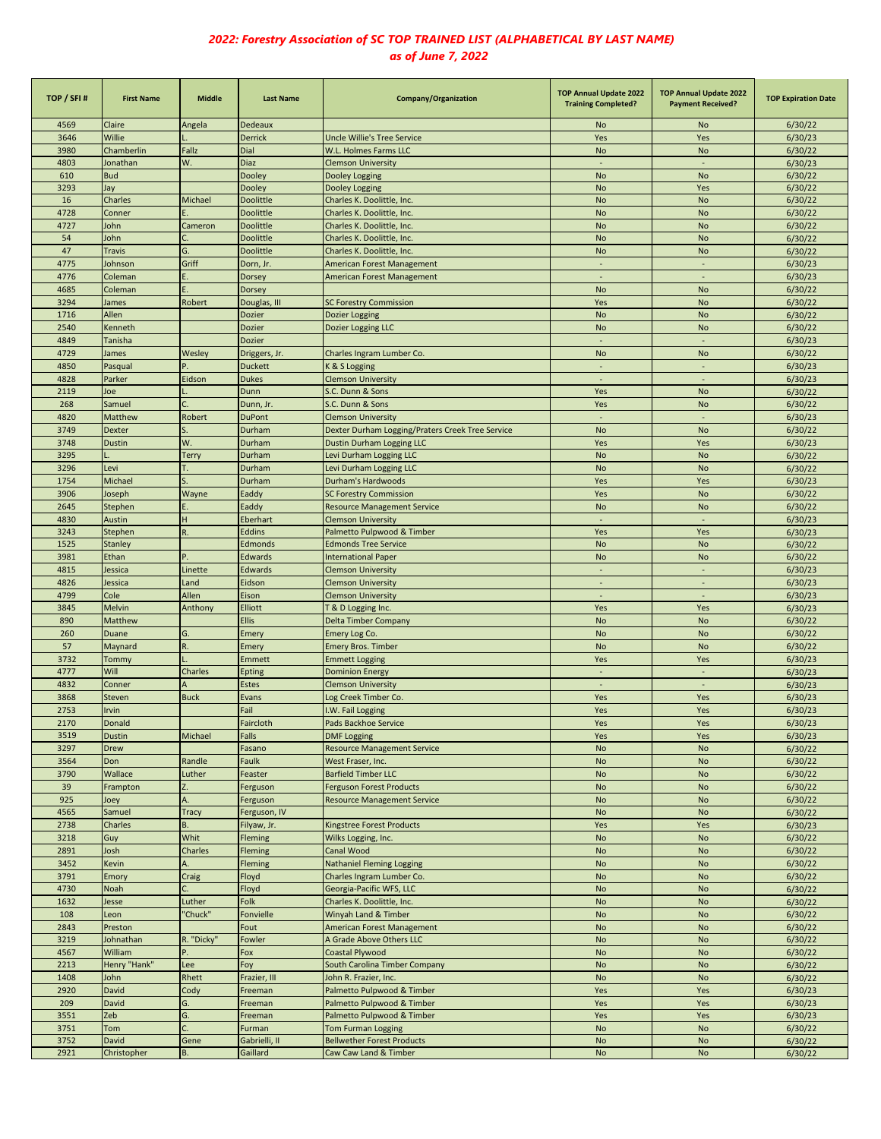| TOP / SFI# | <b>First Name</b> | <b>Middle</b> | <b>Last Name</b> | <b>Company/Organization</b>                      | <b>TOP Annual Update 2022</b><br><b>Training Completed?</b> | <b>TOP Annual Update 2022</b><br><b>Payment Received?</b> | <b>TOP Expiration Date</b> |
|------------|-------------------|---------------|------------------|--------------------------------------------------|-------------------------------------------------------------|-----------------------------------------------------------|----------------------------|
| 4569       | Claire            | Angela        | Dedeaux          |                                                  | No                                                          | No                                                        | 6/30/22                    |
| 3646       | Willie            |               | <b>Derrick</b>   | Uncle Willie's Tree Service                      | Yes                                                         | Yes                                                       | 6/30/23                    |
| 3980       | Chamberlin        | Fallz         | Dial             | W.L. Holmes Farms LLC                            | <b>No</b>                                                   | No                                                        | 6/30/22                    |
| 4803       | Jonathan          | W.            | Diaz             | <b>Clemson University</b>                        | $\sim$                                                      | $\overline{\phantom{a}}$                                  | 6/30/23                    |
| 610        | <b>Bud</b>        |               | Dooley           | Dooley Logging                                   | <b>No</b>                                                   | <b>No</b>                                                 | 6/30/22                    |
| 3293       | Jay               |               | Dooley           | Dooley Logging                                   | <b>No</b>                                                   | Yes                                                       | 6/30/22                    |
| 16         | Charles           | Michael       | Doolittle        | Charles K. Doolittle, Inc.                       | <b>No</b>                                                   | No                                                        | 6/30/22                    |
| 4728       | Conner            |               | Doolittle        | Charles K. Doolittle, Inc.                       | <b>No</b>                                                   | <b>No</b>                                                 | 6/30/22                    |
| 4727       | John              | Cameron       | Doolittle        | Charles K. Doolittle, Inc.                       | <b>No</b>                                                   | <b>No</b>                                                 | 6/30/22                    |
| 54         | John              |               | Doolittle        | Charles K. Doolittle, Inc.                       | <b>No</b>                                                   | <b>No</b>                                                 | 6/30/22                    |
| 47         | <b>Travis</b>     | G.            | <b>Doolittle</b> | Charles K. Doolittle, Inc.                       | <b>No</b>                                                   | <b>No</b>                                                 | 6/30/22                    |
| 4775       | Johnson           | Griff         | Dorn, Jr.        | American Forest Management                       | $\overline{\phantom{a}}$                                    | $\overline{\phantom{a}}$                                  | 6/30/23                    |
| 4776       | Coleman           | Е.            | Dorsey           | American Forest Management                       | $\overline{\phantom{a}}$                                    |                                                           | 6/30/23                    |
| 4685       | Coleman           | F             | <b>Dorsey</b>    |                                                  | <b>No</b>                                                   | <b>No</b>                                                 | 6/30/22                    |
| 3294       | James             | Robert        | Douglas, III     | <b>SC Forestry Commission</b>                    | Yes                                                         | <b>No</b>                                                 | 6/30/22                    |
| 1716       | Allen             |               | Dozier           | Dozier Logging                                   | <b>No</b>                                                   | <b>No</b>                                                 | 6/30/22                    |
| 2540       | Kenneth           |               | Dozier           | Dozier Logging LLC                               | No                                                          | No                                                        | 6/30/22                    |
| 4849       | Tanisha           |               | Dozier           |                                                  | $\sim$                                                      | $\sim$                                                    | 6/30/23                    |
| 4729       | James             | Wesley        | Driggers, Jr.    | Charles Ingram Lumber Co.                        | <b>No</b>                                                   | No                                                        | 6/30/22                    |
| 4850       | Pasqual           |               | <b>Duckett</b>   | K & S Logging                                    | $\sim$                                                      | $\sim$                                                    | 6/30/23                    |
| 4828       | Parker            | Eidson        | <b>Dukes</b>     | <b>Clemson University</b>                        | $\overline{\phantom{a}}$                                    |                                                           | 6/30/23                    |
| 2119       | Joe               |               | Dunn             | S.C. Dunn & Sons                                 | Yes                                                         | <b>No</b>                                                 | 6/30/22                    |
| 268        | Samuel            |               | Dunn, Jr.        | S.C. Dunn & Sons                                 | Yes                                                         | No                                                        | 6/30/22                    |
| 4820       | Matthew           | Robert        | <b>DuPont</b>    | <b>Clemson University</b>                        | ÷                                                           |                                                           | 6/30/23                    |
| 3749       | <b>Dexter</b>     |               | Durham           | Dexter Durham Logging/Praters Creek Tree Service | <b>No</b>                                                   | <b>No</b>                                                 | 6/30/22                    |
| 3748       | <b>Dustin</b>     | W.            | Durham           | <b>Dustin Durham Logging LLC</b>                 | Yes                                                         | Yes                                                       | 6/30/23                    |
| 3295       |                   | Terry         | Durham           | Levi Durham Logging LLC                          | <b>No</b>                                                   | <b>No</b>                                                 | 6/30/22                    |
| 3296       | Levi              | т.            | Durham           | Levi Durham Logging LLC                          | <b>No</b>                                                   | <b>No</b>                                                 | 6/30/22                    |
| 1754       | Michael           |               | Durham           | Durham's Hardwoods                               | Yes                                                         | Yes                                                       | 6/30/23                    |
| 3906       | Joseph            | Wayne         | Eaddy            | <b>SC Forestry Commission</b>                    | Yes                                                         | No                                                        | 6/30/22                    |
| 2645       | <b>Stephen</b>    |               | Eaddy            | <b>Resource Management Service</b>               | <b>No</b>                                                   | No                                                        | 6/30/22                    |
| 4830       | Austin            | H.            | Eberhart         | <b>Clemson University</b>                        |                                                             | ÷,                                                        | 6/30/23                    |
| 3243       | <b>Stephen</b>    | R.            | Eddins           | Palmetto Pulpwood & Timber                       | Yes                                                         | Yes                                                       | 6/30/23                    |
| 1525       | <b>Stanley</b>    |               | <b>Edmonds</b>   | <b>Edmonds Tree Service</b>                      | <b>No</b>                                                   | <b>No</b>                                                 | 6/30/22                    |
| 3981       | Ethan             |               | <b>Edwards</b>   | <b>International Paper</b>                       | No                                                          | No                                                        | 6/30/22                    |
| 4815       | Jessica           | Linette       | <b>Edwards</b>   | <b>Clemson University</b>                        | $\sim$                                                      | $\bar{a}$                                                 | 6/30/23                    |
| 4826       | Jessica           | Land          | Eidson           | <b>Clemson University</b>                        | $\sim$                                                      | $\overline{\phantom{a}}$                                  | 6/30/23                    |
| 4799       | Cole              | Allen         | Eison            |                                                  | $\sim$                                                      | $\overline{\phantom{a}}$                                  | 6/30/23                    |
| 3845       | Melvin            | Anthony       | Elliott          | <b>Clemson University</b>                        | Yes                                                         | Yes                                                       | 6/30/23                    |
| 890        |                   |               | <b>Ellis</b>     | T & D Logging Inc.                               | <b>No</b>                                                   | <b>No</b>                                                 | 6/30/22                    |
|            | Matthew           |               |                  | <b>Delta Timber Company</b>                      |                                                             |                                                           |                            |
| 260        | Duane             | G.            | Emery            | Emery Log Co.                                    | <b>No</b>                                                   | <b>No</b>                                                 | 6/30/22                    |
| 57         | Maynard           | Ŕ.            | Emery            | <b>Emery Bros. Timber</b>                        | <b>No</b>                                                   | <b>No</b>                                                 | 6/30/22                    |
| 3732       | Tommy             |               | Emmett           | <b>Emmett Logging</b>                            | Yes                                                         | Yes                                                       | 6/30/23                    |
| 4777       | Will              | Charles       | Epting           | <b>Dominion Energy</b>                           | ٠                                                           | $\overline{\phantom{a}}$                                  | 6/30/23                    |
| 4832       | Conner            |               | <b>Estes</b>     | <b>Clemson University</b>                        |                                                             |                                                           | 6/30/23                    |
| 3868       | <b>Steven</b>     | <b>Buck</b>   | Evans            | Log Creek Timber Co.                             | Yes                                                         | Yes                                                       | 6/30/23                    |
| 2753       | rvin              |               | Fail             | I.W. Fail Logging                                | Yes                                                         | Yes                                                       | 6/30/23                    |
| 2170       | Donald            |               | Faircloth        | Pads Backhoe Service                             | Yes                                                         | Yes                                                       | 6/30/23                    |
| 3519       | Dustin            | Michael       | Falls            | <b>DMF Logging</b>                               | Yes                                                         | Yes                                                       | 6/30/23                    |
| 3297       | Drew              |               | Fasano           | <b>Resource Management Service</b>               | <b>No</b>                                                   | <b>No</b>                                                 | 6/30/22                    |
| 3564       | Don               | Randle        | Faulk            | West Fraser, Inc.                                | $\mathsf{No}$                                               | No                                                        | 6/30/22                    |
| 3790       | Wallace           | Luther        | Feaster          | <b>Barfield Timber LLC</b>                       | <b>No</b>                                                   | <b>No</b>                                                 | 6/30/22                    |
| 39         | Frampton          |               | Ferguson         | <b>Ferguson Forest Products</b>                  | No                                                          | No                                                        | 6/30/22                    |
| 925        | Joey              | А             | Ferguson         | <b>Resource Management Service</b>               | $\mathsf{No}$                                               | No                                                        | 6/30/22                    |
| 4565       | Samuel            | <b>Tracy</b>  | Ferguson, IV     |                                                  | No                                                          | No                                                        | 6/30/22                    |
| 2738       | Charles           | <b>B.</b>     | Filyaw, Jr.      | Kingstree Forest Products                        | Yes                                                         | Yes                                                       | 6/30/23                    |
| 3218       | Guy               | Whit          | Fleming          | Wilks Logging, Inc.                              | <b>No</b>                                                   | No                                                        | 6/30/22                    |
| 2891       | Josh              | Charles       | Fleming          | Canal Wood                                       | No                                                          | <b>No</b>                                                 | 6/30/22                    |
| 3452       | Kevin             | А.            | Fleming          | <b>Nathaniel Fleming Logging</b>                 | No                                                          | No                                                        | 6/30/22                    |
| 3791       | Emory             | Craig         | Floyd            | Charles Ingram Lumber Co.                        | No                                                          | <b>No</b>                                                 | 6/30/22                    |
| 4730       | Noah              | С.            | Floyd            | Georgia-Pacific WFS, LLC                         | No                                                          | No                                                        | 6/30/22                    |
| 1632       | Jesse             | Luther        | Folk             | Charles K. Doolittle, Inc.                       | No                                                          | <b>No</b>                                                 | 6/30/22                    |
| 108        | Leon              | "Chuck"       | Fonvielle        | Winyah Land & Timber                             | <b>No</b>                                                   | No                                                        | 6/30/22                    |
| 2843       | Preston           |               | Fout             | American Forest Management                       | No                                                          | <b>No</b>                                                 | 6/30/22                    |
| 3219       | Johnathan         | R. "Dicky'    | Fowler           | A Grade Above Others LLC                         | <b>No</b>                                                   | No                                                        | 6/30/22                    |
| 4567       | William           | P.            | Fox              | Coastal Plywood                                  | <b>No</b>                                                   | <b>No</b>                                                 | 6/30/22                    |
| 2213       | Henry "Hank"      | Lee           | Foy              | South Carolina Timber Company                    | <b>No</b>                                                   | <b>No</b>                                                 | 6/30/22                    |
| 1408       | John              | Rhett         | Frazier, III     | John R. Frazier, Inc.                            | No                                                          | No                                                        | 6/30/22                    |
| 2920       | David             | Cody          | Freeman          | Palmetto Pulpwood & Timber                       | Yes                                                         | Yes                                                       | 6/30/23                    |
| 209        | David             | G.            | Freeman          | Palmetto Pulpwood & Timber                       | Yes                                                         | Yes                                                       | 6/30/23                    |
| 3551       | Zeb               | G.            | Freeman          | Palmetto Pulpwood & Timber                       | Yes                                                         | Yes                                                       | 6/30/23                    |
| 3751       | Tom               |               | Furman           | Tom Furman Logging                               | No                                                          | No                                                        | 6/30/22                    |
| 3752       | David             | Gene          | Gabrielli, II    | <b>Bellwether Forest Products</b>                | <b>No</b>                                                   | No                                                        | 6/30/22                    |
| 2921       | Christopher       | <b>B.</b>     | Gaillard         | Caw Caw Land & Timber                            | <b>No</b>                                                   | No                                                        | 6/30/22                    |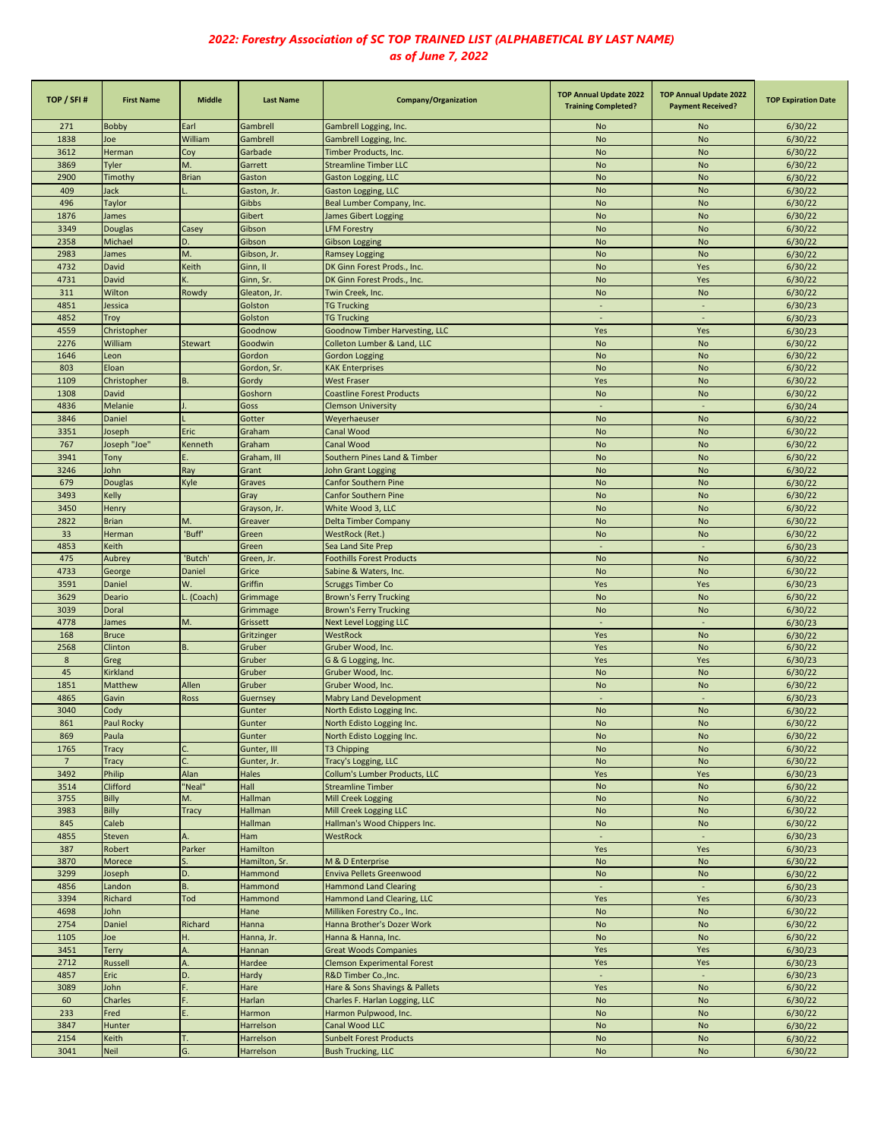| TOP / SFI#     | <b>First Name</b>   | <b>Middle</b>  | <b>Last Name</b>        | Company/Organization                                       | <b>TOP Annual Update 2022</b><br><b>Training Completed?</b> | <b>TOP Annual Update 2022</b><br><b>Payment Received?</b> | <b>TOP Expiration Date</b> |
|----------------|---------------------|----------------|-------------------------|------------------------------------------------------------|-------------------------------------------------------------|-----------------------------------------------------------|----------------------------|
| 271            | <b>Bobby</b>        | Earl           | Gambrell                | Gambrell Logging, Inc.                                     | <b>No</b>                                                   | No                                                        | 6/30/22                    |
| 1838           | Joe                 | William        | Gambrell                | Gambrell Logging, Inc.                                     | <b>No</b>                                                   | No                                                        | 6/30/22                    |
| 3612           | Herman              | Coy            | Garbade                 | Timber Products, Inc.                                      | <b>No</b>                                                   | No                                                        | 6/30/22                    |
| 3869           | Tyler               | M.             | Garrett                 | <b>Streamline Timber LLC</b>                               | <b>No</b>                                                   | No                                                        | 6/30/22                    |
| 2900           | Timothy             | <b>Brian</b>   | Gaston                  | Gaston Logging, LLC                                        | <b>No</b>                                                   | <b>No</b>                                                 | 6/30/22                    |
| 409            | Jack                |                | Gaston, Jr.             | Gaston Logging, LLC                                        | <b>No</b>                                                   | No                                                        | 6/30/22                    |
| 496            | Taylor              |                | Gibbs                   | Beal Lumber Company, Inc.                                  | <b>No</b>                                                   | <b>No</b>                                                 | 6/30/22                    |
| 1876           | James               |                | Gibert                  | James Gibert Logging                                       | <b>No</b>                                                   | <b>No</b>                                                 | 6/30/22                    |
| 3349           | Douglas             | Casey          | Gibson                  | <b>LFM Forestry</b>                                        | <b>No</b>                                                   | <b>No</b>                                                 | 6/30/22                    |
| 2358           | Michael             | D.<br>M.       | Gibson                  | <b>Gibson Logging</b>                                      | <b>No</b>                                                   | <b>No</b>                                                 | 6/30/22                    |
| 2983<br>4732   | James<br>David      | Keith          | Gibson, Jr.<br>Ginn, II | <b>Ramsey Logging</b>                                      | <b>No</b><br><b>No</b>                                      | <b>No</b><br>Yes                                          | 6/30/22<br>6/30/22         |
| 4731           | David               |                | Ginn, Sr.               | DK Ginn Forest Prods., Inc.<br>DK Ginn Forest Prods., Inc. | <b>No</b>                                                   | Yes                                                       | 6/30/22                    |
| 311            | Wilton              | Rowdy          | Gleaton, Jr.            | Twin Creek, Inc.                                           | <b>No</b>                                                   | No                                                        | 6/30/22                    |
| 4851           | Jessica             |                | Golston                 | <b>TG Trucking</b>                                         |                                                             |                                                           | 6/30/23                    |
| 4852           | Troy                |                | Golston                 | <b>TG Trucking</b>                                         | $\sim$                                                      | $\sim$                                                    | 6/30/23                    |
| 4559           | Christopher         |                | Goodnow                 | Goodnow Timber Harvesting, LLC                             | Yes                                                         | Yes                                                       | 6/30/23                    |
| 2276           | William             | <b>Stewart</b> | Goodwin                 | Colleton Lumber & Land, LLC                                | <b>No</b>                                                   | No                                                        | 6/30/22                    |
| 1646           | Leon                |                | Gordon                  | <b>Gordon Logging</b>                                      | <b>No</b>                                                   | No                                                        | 6/30/22                    |
| 803            | Eloan               |                | Gordon, Sr.             | <b>KAK Enterprises</b>                                     | <b>No</b>                                                   | No                                                        | 6/30/22                    |
| 1109           | Christopher         | B.             | Gordy                   | West Fraser                                                | Yes                                                         | No                                                        | 6/30/22                    |
| 1308           | <b>David</b>        |                | Goshorn                 | <b>Coastline Forest Products</b>                           | <b>No</b>                                                   | <b>No</b>                                                 | 6/30/22                    |
| 4836           | Melanie             |                | Goss                    | <b>Clemson University</b>                                  |                                                             |                                                           | 6/30/24                    |
| 3846           | Daniel              |                | Gotter                  | Weyerhaeuser                                               | <b>No</b>                                                   | <b>No</b>                                                 | 6/30/22                    |
| 3351           | Joseph              | Eric           | Graham                  | Canal Wood                                                 | <b>No</b>                                                   | <b>No</b>                                                 | 6/30/22                    |
| 767            | Joseph "Joe"        | Kenneth        | Graham                  | Canal Wood                                                 | <b>No</b>                                                   | <b>No</b>                                                 | 6/30/22                    |
| 3941           | Tony                |                | Graham, III             | Southern Pines Land & Timber                               | <b>No</b>                                                   | <b>No</b>                                                 | 6/30/22                    |
| 3246           | John                | Ray            | Grant                   | <b>John Grant Logging</b>                                  | <b>No</b>                                                   | <b>No</b>                                                 | 6/30/22                    |
| 679<br>3493    | Douglas             | Kyle           | Graves                  | <b>Canfor Southern Pine</b>                                | <b>No</b>                                                   | <b>No</b><br><b>No</b>                                    | 6/30/22                    |
| 3450           | Kelly<br>Henry      |                | Gray                    | <b>Canfor Southern Pine</b>                                | <b>No</b><br><b>No</b>                                      | <b>No</b>                                                 | 6/30/22<br>6/30/22         |
| 2822           | <b>Brian</b>        | M.             | Grayson, Jr.<br>Greaver | White Wood 3, LLC<br><b>Delta Timber Company</b>           | <b>No</b>                                                   | <b>No</b>                                                 | 6/30/22                    |
| 33             | Herman              | 'Buff'         | Green                   | WestRock (Ret.)                                            | <b>No</b>                                                   | No                                                        | 6/30/22                    |
| 4853           | Keith               |                | Green                   | Sea Land Site Prep                                         |                                                             |                                                           | 6/30/23                    |
| 475            | Aubrey              | 'Butch'        | Green, Jr.              | <b>Foothills Forest Products</b>                           | <b>No</b>                                                   | No                                                        | 6/30/22                    |
| 4733           | George              | Daniel         | Grice                   | Sabine & Waters, Inc.                                      | <b>No</b>                                                   | <b>No</b>                                                 | 6/30/22                    |
| 3591           | Daniel              | W.             | Griffin                 | <b>Scruggs Timber Co</b>                                   | Yes                                                         | Yes                                                       | 6/30/23                    |
| 3629           | Deario              | (Coach)        | Grimmage                | <b>Brown's Ferry Trucking</b>                              | <b>No</b>                                                   | <b>No</b>                                                 | 6/30/22                    |
| 3039           | Doral               |                | Grimmage                | <b>Brown's Ferry Trucking</b>                              | <b>No</b>                                                   | No                                                        | 6/30/22                    |
| 4778           | James               | M.             | Grissett                | <b>Next Level Logging LLC</b>                              | ٠                                                           |                                                           | 6/30/23                    |
| 168            | <b>Bruce</b>        |                | Gritzinger              | WestRock                                                   | Yes                                                         | No                                                        | 6/30/22                    |
| 2568           | Clinton             | B.             | Gruber                  | Gruber Wood, Inc.                                          | Yes                                                         | <b>No</b>                                                 | 6/30/22                    |
| 8              | Greg                |                | Gruber                  | G & G Logging, Inc.                                        | Yes                                                         | Yes                                                       | 6/30/23                    |
| 45             | Kirkland            |                | Gruber                  | Gruber Wood, Inc.                                          | <b>No</b>                                                   | <b>No</b>                                                 | 6/30/22                    |
| 1851           | Matthew             | Allen          | Gruber                  | Gruber Wood, Inc.                                          | <b>No</b>                                                   | <b>No</b>                                                 | 6/30/22                    |
| 4865           | Gavin               | Ross           | Guernsey                | <b>Mabry Land Development</b>                              |                                                             |                                                           | 6/30/23                    |
| 3040<br>861    | Cody                |                | Gunter                  | North Edisto Logging Inc.                                  | <b>No</b><br><b>No</b>                                      | <b>No</b>                                                 | 6/30/22                    |
| 869            | Paul Rocky<br>Paula |                | Gunter<br>Gunter        | North Edisto Logging Inc.<br>North Edisto Logging Inc.     | <b>No</b>                                                   | No<br>No                                                  | 6/30/22<br>6/30/22         |
| 1765           | Tracy               |                | Gunter, III             | T3 Chipping                                                | <b>No</b>                                                   | No                                                        | 6/30/22                    |
| $\overline{7}$ | Tracy               |                | Gunter, Jr.             | Tracy's Logging, LLC                                       | <b>No</b>                                                   | No                                                        | 6/30/22                    |
| 3492           | Philip              | Alan           | Hales                   | Collum's Lumber Products, LLC                              | Yes                                                         | Yes                                                       | 6/30/23                    |
| 3514           | Clifford            | "Neal"         | Hall                    | <b>Streamline Timber</b>                                   | <b>No</b>                                                   | No                                                        | 6/30/22                    |
| 3755           | Billy               | M.             | Hallman                 | Mill Creek Logging                                         | <b>No</b>                                                   | No                                                        | 6/30/22                    |
| 3983           | Billy               | Tracy          | Hallman                 | Mill Creek Logging LLC                                     | <b>No</b>                                                   | No                                                        | 6/30/22                    |
| 845            | Caleb               |                | Hallman                 | Hallman's Wood Chippers Inc.                               | <b>No</b>                                                   | No                                                        | 6/30/22                    |
| 4855           | Steven              | A.             | Ham                     | WestRock                                                   | $\Box$                                                      | $\omega$                                                  | 6/30/23                    |
| 387            | Robert              | Parker         | Hamilton                |                                                            | Yes                                                         | Yes                                                       | 6/30/23                    |
| 3870           | Morece              |                | Hamilton, Sr.           | M & D Enterprise                                           | <b>No</b>                                                   | No                                                        | 6/30/22                    |
| 3299           | Joseph              | D.             | Hammond                 | Enviva Pellets Greenwood                                   | No                                                          | No                                                        | 6/30/22                    |
| 4856           | Landon              | <b>B.</b>      | Hammond                 | <b>Hammond Land Clearing</b>                               | ÷.                                                          | ÷.                                                        | 6/30/23                    |
| 3394           | Richard             | Tod            | Hammond                 | Hammond Land Clearing, LLC                                 | Yes                                                         | Yes                                                       | 6/30/23                    |
| 4698           | John                |                | Hane                    | Milliken Forestry Co., Inc.                                | <b>No</b>                                                   | No                                                        | 6/30/22                    |
| 2754<br>1105   | Daniel<br>Joe       | Richard<br>H.  | Hanna<br>Hanna, Jr.     | Hanna Brother's Dozer Work<br>Hanna & Hanna, Inc.          | No<br>No                                                    | No<br>No                                                  | 6/30/22                    |
| 3451           | Terry               |                | Hannan                  | <b>Great Woods Companies</b>                               | Yes                                                         | Yes                                                       | 6/30/22<br>6/30/23         |
| 2712           | Russell             |                | Hardee                  | <b>Clemson Experimental Forest</b>                         | Yes                                                         | Yes                                                       | 6/30/23                    |
| 4857           | Eric                | D.             | Hardy                   | R&D Timber Co., Inc.                                       |                                                             |                                                           | 6/30/23                    |
| 3089           | John                |                | Hare                    | Hare & Sons Shavings & Pallets                             | Yes                                                         | No                                                        | 6/30/22                    |
| 60             | Charles             |                | Harlan                  | Charles F. Harlan Logging, LLC                             | <b>No</b>                                                   | No                                                        | 6/30/22                    |
| 233            | Fred                |                | Harmon                  | Harmon Pulpwood, Inc.                                      | <b>No</b>                                                   | No                                                        | 6/30/22                    |
| 3847           | Hunter              |                | Harrelson               | Canal Wood LLC                                             | <b>No</b>                                                   | No                                                        | 6/30/22                    |
| 2154           | Keith               | Т.             | Harrelson               | <b>Sunbelt Forest Products</b>                             | No                                                          | No                                                        | 6/30/22                    |
| 3041           | <b>Neil</b>         | G.             | Harrelson               | <b>Bush Trucking, LLC</b>                                  | <b>No</b>                                                   | No                                                        | 6/30/22                    |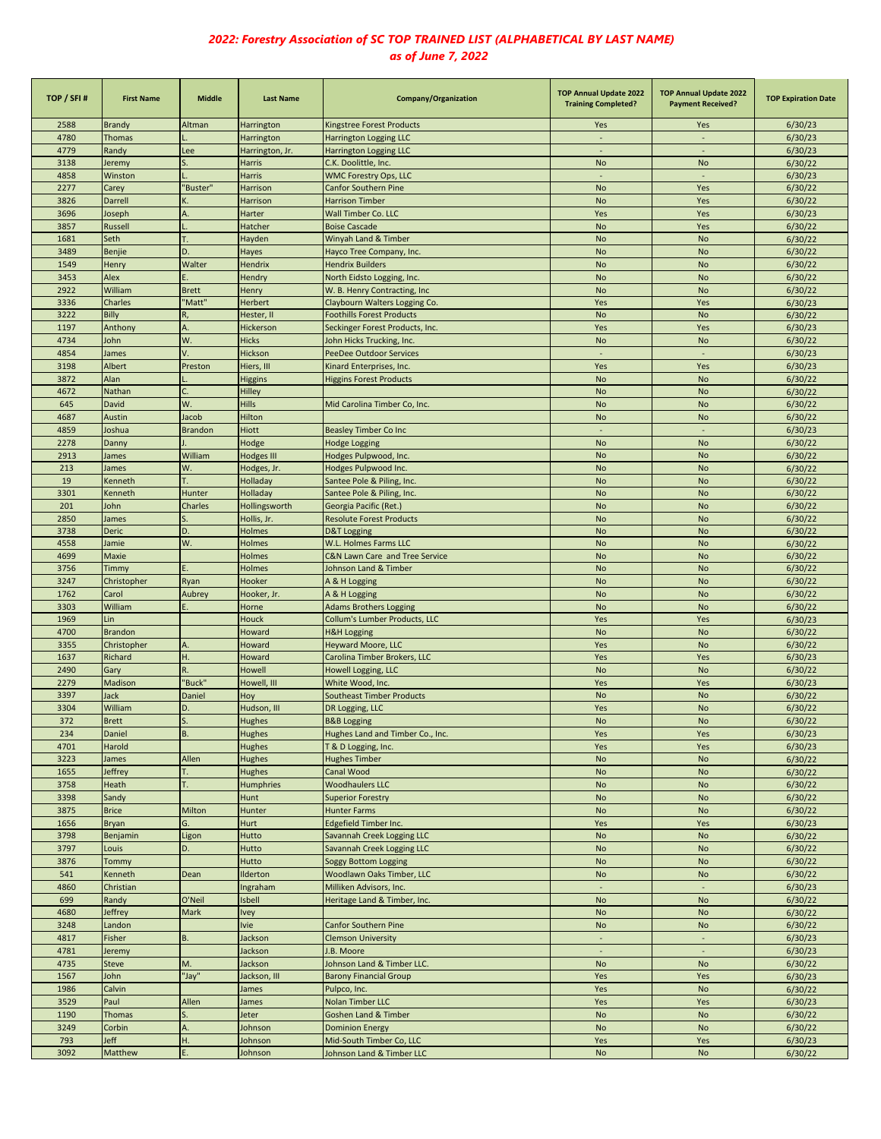| TOP / SFI# | <b>First Name</b>                                                                                                               | <b>Middle</b>  | <b>Last Name</b>  | Company/Organization               | <b>TOP Annual Update 2022</b><br><b>Training Completed?</b> | <b>TOP Annual Update 2022</b><br><b>Payment Received?</b> | <b>TOP Expiration Date</b> |
|------------|---------------------------------------------------------------------------------------------------------------------------------|----------------|-------------------|------------------------------------|-------------------------------------------------------------|-----------------------------------------------------------|----------------------------|
| 2588       | <b>Brandy</b>                                                                                                                   | Altman         | Harrington        | Kingstree Forest Products          | Yes                                                         | Yes                                                       | 6/30/23                    |
| 4780       | <b>Thomas</b>                                                                                                                   |                | Harrington        | Harrington Logging LLC             | $\overline{\phantom{a}}$                                    | $\sim$                                                    | 6/30/23                    |
| 4779       | Randy                                                                                                                           | Lee            | Harrington, Jr.   | Harrington Logging LLC             | $\sim$                                                      | $\omega$                                                  | 6/30/23                    |
| 3138       | leremy                                                                                                                          | S.             | Harris            | C.K. Doolittle, Inc.               | <b>No</b>                                                   | <b>No</b>                                                 | 6/30/22                    |
| 4858       | Winston                                                                                                                         |                | <b>Harris</b>     | <b>WMC Forestry Ops, LLC</b>       | ÷.                                                          | $\omega$                                                  | 6/30/23                    |
| 2277       | Carey                                                                                                                           | 'Buster"       | Harrison          | <b>Canfor Southern Pine</b>        | <b>No</b>                                                   | Yes                                                       | 6/30/22                    |
| 3826       | Darrell                                                                                                                         |                | Harrison          | <b>Harrison Timber</b>             | <b>No</b>                                                   | Yes                                                       | 6/30/22                    |
| 3696       | loseph                                                                                                                          | A.             | Harter            | Wall Timber Co. LLC                | Yes                                                         | Yes                                                       | 6/30/23                    |
| 3857       | <b>Russell</b>                                                                                                                  |                | Hatcher           | <b>Boise Cascade</b>               | <b>No</b>                                                   | Yes                                                       | 6/30/22                    |
| 1681       | Seth                                                                                                                            | T.             | Hayden            | Winyah Land & Timber               | <b>No</b>                                                   | <b>No</b>                                                 | 6/30/22                    |
| 3489       | <b>Benjie</b>                                                                                                                   | D.             | Hayes             | Hayco Tree Company, Inc.           | <b>No</b>                                                   | <b>No</b>                                                 | 6/30/22                    |
| 1549       | Henry                                                                                                                           | Walter         | Hendrix           | <b>Hendrix Builders</b>            | <b>No</b>                                                   | <b>No</b>                                                 | 6/30/22                    |
| 3453       | Alex                                                                                                                            |                | Hendry            | North Eidsto Logging, Inc.         | <b>No</b>                                                   | <b>No</b>                                                 | 6/30/22                    |
| 2922       | William                                                                                                                         | <b>Brett</b>   | Henry             | W. B. Henry Contracting, Inc       | <b>No</b>                                                   | <b>No</b>                                                 | 6/30/22                    |
| 3336       | Charles                                                                                                                         | "Matt"         | Herbert           | Claybourn Walters Logging Co.      | Yes                                                         | Yes                                                       | 6/30/23                    |
| 3222       | Billy                                                                                                                           | R,             | Hester, II        | <b>Foothills Forest Products</b>   | <b>No</b>                                                   | <b>No</b>                                                 | 6/30/22                    |
| 1197       | Anthony                                                                                                                         | Α.             | Hickerson         | Seckinger Forest Products, Inc.    | Yes                                                         | Yes                                                       | 6/30/23                    |
| 4734       | John                                                                                                                            | W.             | <b>Hicks</b>      | John Hicks Trucking, Inc.          | <b>No</b>                                                   | <b>No</b>                                                 | 6/30/22                    |
| 4854       | lames                                                                                                                           | V.             | Hickson           | <b>PeeDee Outdoor Services</b>     | $\overline{\phantom{a}}$                                    | $\sim$                                                    | 6/30/23                    |
| 3198       | Albert                                                                                                                          | Preston        | Hiers, III        | Kinard Enterprises, Inc.           | Yes                                                         | Yes                                                       | 6/30/23                    |
| 3872       | Alan                                                                                                                            |                | <b>Higgins</b>    | <b>Higgins Forest Products</b>     | <b>No</b>                                                   | <b>No</b>                                                 | 6/30/22                    |
| 4672       | Nathan                                                                                                                          |                | Hilley            |                                    | No                                                          | <b>No</b>                                                 | 6/30/22                    |
| 645        | David                                                                                                                           | W.             | <b>Hills</b>      | Mid Carolina Timber Co, Inc.       | <b>No</b>                                                   | <b>No</b>                                                 | 6/30/22                    |
| 4687       | Austin                                                                                                                          | Jacob          | Hilton            |                                    | <b>No</b>                                                   | No                                                        | 6/30/22                    |
| 4859       | Joshua                                                                                                                          | <b>Brandon</b> | <b>Hiott</b>      | <b>Beasley Timber Co Inc</b>       | $\overline{\phantom{a}}$                                    |                                                           | 6/30/23                    |
| 2278       | Danny                                                                                                                           |                | Hodge             | <b>Hodge Logging</b>               | No                                                          | No                                                        | 6/30/22                    |
| 2913       | lames                                                                                                                           | William        | <b>Hodges III</b> | Hodges Pulpwood, Inc.              | <b>No</b>                                                   | <b>No</b>                                                 | 6/30/22                    |
| 213        | lames                                                                                                                           | W.             | Hodges, Jr.       | Hodges Pulpwood Inc.               | <b>No</b>                                                   | <b>No</b>                                                 | 6/30/22                    |
| 19         | <b>Kenneth</b>                                                                                                                  | T.             | Holladay          | Santee Pole & Piling, Inc.         | <b>No</b>                                                   | <b>No</b>                                                 | 6/30/22                    |
| 3301       | Kenneth                                                                                                                         | Hunter         | Holladay          | Santee Pole & Piling, Inc.         | <b>No</b>                                                   | <b>No</b>                                                 | 6/30/22                    |
| 201        | John                                                                                                                            | Charles        | Hollingsworth     | Georgia Pacific (Ret.)             | <b>No</b>                                                   | <b>No</b>                                                 | 6/30/22                    |
| 2850       | James                                                                                                                           | S.             | Hollis, Jr.       | <b>Resolute Forest Products</b>    | <b>No</b>                                                   | <b>No</b>                                                 | 6/30/22                    |
| 3738       | <b>Deric</b>                                                                                                                    | D.             | <b>Holmes</b>     | <b>D&amp;T Logging</b>             | <b>No</b>                                                   | <b>No</b>                                                 | 6/30/22                    |
| 4558       | Jamie                                                                                                                           | W.             | Holmes            | W.L. Holmes Farms LLC              | <b>No</b>                                                   | <b>No</b>                                                 | 6/30/22                    |
| 4699       | Maxie                                                                                                                           |                | <b>Holmes</b>     | C&N Lawn Care and Tree Service     | <b>No</b>                                                   | <b>No</b>                                                 | 6/30/22                    |
| 3756       | <b>Timmy</b>                                                                                                                    | Ε.             | Holmes            | Johnson Land & Timber              | <b>No</b>                                                   | <b>No</b>                                                 | 6/30/22                    |
| 3247       | Christopher                                                                                                                     | Ryan           | Hooker            | A & H Logging                      | <b>No</b>                                                   | No                                                        | 6/30/22                    |
| 1762       | Carol                                                                                                                           | Aubrey         | Hooker, Jr.       | A & H Logging                      | <b>No</b>                                                   | No                                                        | 6/30/22                    |
| 3303       | William                                                                                                                         |                | Horne             | <b>Adams Brothers Logging</b>      | No                                                          | <b>No</b>                                                 | 6/30/22                    |
| 1969       | Lin                                                                                                                             |                | <b>Houck</b>      | Collum's Lumber Products, LLC      | Yes                                                         | Yes                                                       | 6/30/23                    |
| 4700       | <b>Brandon</b>                                                                                                                  |                | Howard            | <b>H&amp;H Logging</b>             | <b>No</b>                                                   | <b>No</b>                                                 | 6/30/22                    |
| 3355       | Christopher                                                                                                                     |                | Howard            | <b>Heyward Moore, LLC</b>          | Yes                                                         | <b>No</b>                                                 | 6/30/22                    |
| 1637       | Richard                                                                                                                         | Η.             | Howard            | Carolina Timber Brokers, LLC       | Yes                                                         | Yes                                                       | 6/30/23                    |
| 2490       | Gary                                                                                                                            | R.             | Howell            | Howell Logging, LLC                | <b>No</b>                                                   | <b>No</b>                                                 | 6/30/22                    |
| 2279       | Madison                                                                                                                         | "Buck"         | Howell, III       | White Wood, Inc.                   | Yes                                                         | Yes                                                       | 6/30/23                    |
| 3397       | lack                                                                                                                            | Daniel         | Hoy               | <b>Southeast Timber Products</b>   | <b>No</b>                                                   | <b>No</b>                                                 | 6/30/22                    |
| 3304       | William                                                                                                                         | D.             |                   |                                    | Yes                                                         | No                                                        |                            |
|            |                                                                                                                                 |                | Hudson, III       | DR Logging, LLC                    | No                                                          | No                                                        | 6/30/22                    |
| 372        | <b>Brett</b>                                                                                                                    | B.             | Hughes            | <b>B&amp;B Logging</b>             |                                                             |                                                           | 6/30/22                    |
| 234        | Daniel                                                                                                                          |                | Hughes            | Hughes Land and Timber Co., Inc.   | Yes                                                         | Yes                                                       | 6/30/23                    |
| 4701       | Harold                                                                                                                          |                | <b>Hughes</b>     | T & D Logging, Inc.                | Yes                                                         | Yes                                                       | 6/30/23                    |
| 3223       | James                                                                                                                           | Allen          | Hughes            | <b>Hughes Timber</b><br>Canal Wood | No                                                          | No                                                        | 6/30/22                    |
| 1655       | Jeffrey                                                                                                                         | Т.             | Hughes            |                                    | No                                                          | <b>No</b>                                                 | 6/30/22                    |
| 3758       | Heath                                                                                                                           | Т.             | Humphries         | <b>Woodhaulers LLC</b>             | No                                                          | <b>No</b>                                                 | 6/30/22                    |
| 3398       | Sandy                                                                                                                           |                | Hunt              | <b>Superior Forestry</b>           | <b>No</b>                                                   | <b>No</b>                                                 | 6/30/22                    |
| 3875       | <b>Brice</b>                                                                                                                    | Milton         | Hunter            | <b>Hunter Farms</b>                | No                                                          | <b>No</b>                                                 | 6/30/22                    |
| 1656       | <b>Bryan</b>                                                                                                                    | G.             | Hurt              | Edgefield Timber Inc.              | Yes                                                         | Yes                                                       | 6/30/23                    |
| 3798       | Benjamin                                                                                                                        | Ligon          | Hutto             | Savannah Creek Logging LLC         | No                                                          | <b>No</b>                                                 | 6/30/22                    |
| 3797       | Louis                                                                                                                           | D.             | Hutto             | Savannah Creek Logging LLC         | No                                                          | No                                                        | 6/30/22                    |
| 3876       | <b>Tommy</b>                                                                                                                    |                | Hutto             | <b>Soggy Bottom Logging</b>        | No                                                          | <b>No</b>                                                 | 6/30/22                    |
| 541        | <enneth< td=""><td>Dean</td><td>Ilderton</td><td>Woodlawn Oaks Timber, LLC</td><td>No</td><td>No</td><td>6/30/22</td></enneth<> | Dean           | Ilderton          | Woodlawn Oaks Timber, LLC          | No                                                          | No                                                        | 6/30/22                    |
| 4860       | Christian                                                                                                                       |                | Ingraham          | Milliken Advisors, Inc.            | $\sim$                                                      | $\overline{\phantom{a}}$                                  | 6/30/23                    |
| 699        |                                                                                                                                 |                | Isbell            | Heritage Land & Timber, Inc.       | <b>No</b>                                                   | No                                                        | 6/30/22                    |
| 4680       | Randy                                                                                                                           | O'Neil         |                   |                                    |                                                             |                                                           |                            |
|            | leffrey                                                                                                                         | Mark           | <b>Ivey</b>       |                                    | <b>No</b>                                                   | <b>No</b>                                                 | 6/30/22                    |
| 3248       | Landon                                                                                                                          |                | <b>Ivie</b>       | <b>Canfor Southern Pine</b>        | <b>No</b>                                                   | No                                                        | 6/30/22                    |
| 4817       | Fisher                                                                                                                          | <b>B.</b>      | Jackson           | <b>Clemson University</b>          | ÷,                                                          |                                                           | 6/30/23                    |
| 4781       | leremy                                                                                                                          |                | Jackson           | J.B. Moore                         | ÷,                                                          |                                                           | 6/30/23                    |
| 4735       | <b>Steve</b>                                                                                                                    | M.             | Jackson           | Johnson Land & Timber LLC.         | <b>No</b>                                                   | <b>No</b>                                                 | 6/30/22                    |
| 1567       | lohn                                                                                                                            | "Jay"          | Jackson, III      | <b>Barony Financial Group</b>      | Yes                                                         | Yes                                                       | 6/30/23                    |
| 1986       | Calvin                                                                                                                          |                | James             | Pulpco, Inc.                       | Yes                                                         | <b>No</b>                                                 | 6/30/22                    |
| 3529       | Paul                                                                                                                            | Allen          | James             | <b>Nolan Timber LLC</b>            | Yes                                                         | Yes                                                       | 6/30/23                    |
| 1190       | Thomas                                                                                                                          |                | Jeter             | <b>Goshen Land &amp; Timber</b>    | No                                                          | <b>No</b>                                                 | 6/30/22                    |
| 3249       | Corbin                                                                                                                          | А.             | Johnson           | <b>Dominion Energy</b>             | No                                                          | <b>No</b>                                                 | 6/30/22                    |
| 793        | leff                                                                                                                            | Η.             | Johnson           | Mid-South Timber Co, LLC           | Yes                                                         | Yes                                                       | 6/30/23                    |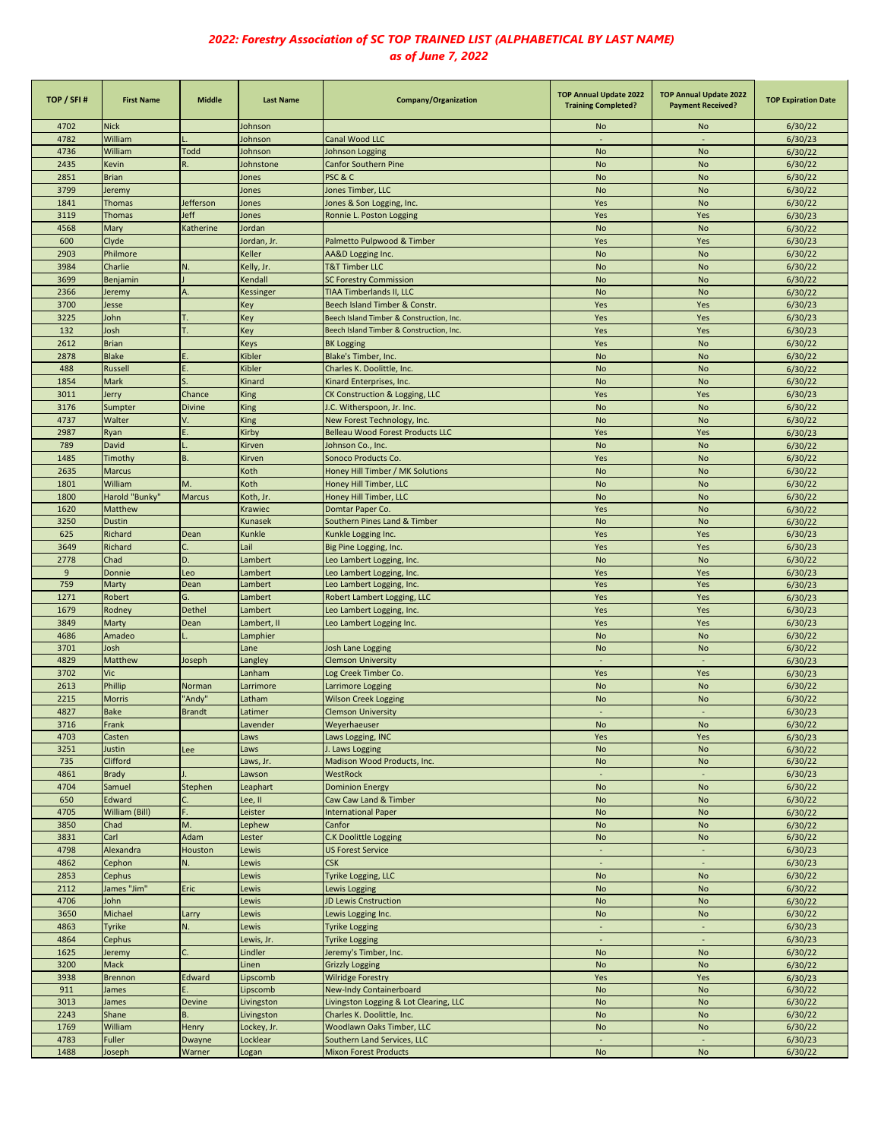| TOP / SFI# | <b>First Name</b> | <b>Middle</b> | <b>Last Name</b> | Company/Organization                     | <b>TOP Annual Update 2022</b><br><b>Training Completed?</b> | <b>TOP Annual Update 2022</b><br><b>Payment Received?</b> | <b>TOP Expiration Date</b> |
|------------|-------------------|---------------|------------------|------------------------------------------|-------------------------------------------------------------|-----------------------------------------------------------|----------------------------|
| 4702       | <b>Nick</b>       |               | Johnson          |                                          | No                                                          | No                                                        | 6/30/22                    |
| 4782       | William           |               | Johnson          | <b>Canal Wood LLC</b>                    |                                                             |                                                           | 6/30/23                    |
| 4736       | William           | Todd          | Johnson          | Johnson Logging                          | <b>No</b>                                                   | <b>No</b>                                                 | 6/30/22                    |
| 2435       | <b>Kevin</b>      | R.            | Johnstone        | <b>Canfor Southern Pine</b>              | <b>No</b>                                                   | <b>No</b>                                                 | 6/30/22                    |
| 2851       | <b>Brian</b>      |               | Jones            | PSC&C                                    | <b>No</b>                                                   | <b>No</b>                                                 | 6/30/22                    |
| 3799       | leremy            |               | Jones            | Jones Timber, LLC                        | <b>No</b>                                                   | <b>No</b>                                                 | 6/30/22                    |
| 1841       | <b>Thomas</b>     | Jefferson     | Jones            | Jones & Son Logging, Inc.                | Yes                                                         | <b>No</b>                                                 | 6/30/22                    |
| 3119       | <b>Thomas</b>     | Jeff          | Jones            | Ronnie L. Poston Logging                 | Yes                                                         | Yes                                                       | 6/30/23                    |
| 4568       | Mary              | Katherine     | Jordan           |                                          | <b>No</b>                                                   | <b>No</b>                                                 | 6/30/22                    |
| 600        | Clyde             |               | Jordan, Jr.      | Palmetto Pulpwood & Timber               | Yes                                                         | Yes                                                       | 6/30/23                    |
| 2903       | Philmore          |               | Keller           | AA&D Logging Inc.                        | <b>No</b>                                                   | <b>No</b>                                                 | 6/30/22                    |
| 3984       | Charlie           | N.            | Kelly, Jr.       | T&T Timber LLC                           | <b>No</b>                                                   | No                                                        | 6/30/22                    |
| 3699       | Benjamin          |               | Kendall          | <b>SC Forestry Commission</b>            | <b>No</b>                                                   | No                                                        | 6/30/22                    |
| 2366       | Jeremy            | А.            | <b>Kessinger</b> | <b>TIAA Timberlands II, LLC</b>          | <b>No</b>                                                   | No                                                        | 6/30/22                    |
| 3700       | lesse             |               | Key              | Beech Island Timber & Constr.            | Yes                                                         | Yes                                                       | 6/30/23                    |
| 3225       | Iohn              | Т.            | Key              | Beech Island Timber & Construction, Inc. | Yes                                                         | Yes                                                       | 6/30/23                    |
| 132        | Josh              | т.            | Key              | Beech Island Timber & Construction, Inc. | Yes                                                         | Yes                                                       | 6/30/23                    |
| 2612       | <b>Brian</b>      |               | Keys             | <b>BK Logging</b>                        | Yes                                                         | <b>No</b>                                                 | 6/30/22                    |
| 2878       | <b>Blake</b>      | Е.            | Kibler           | Blake's Timber, Inc.                     | <b>No</b>                                                   | <b>No</b>                                                 | 6/30/22                    |
| 488        | <b>Russell</b>    | Ε.            | Kibler           | Charles K. Doolittle, Inc.               | <b>No</b>                                                   | <b>No</b>                                                 | 6/30/22                    |
| 1854       | Mark              | S.            | Kinard           | Kinard Enterprises, Inc.                 | <b>No</b>                                                   | <b>No</b>                                                 | 6/30/22                    |
| 3011       | lerry             | Chance        | King             | CK Construction & Logging, LLC           | Yes                                                         | Yes                                                       | 6/30/23                    |
| 3176       | Sumpter           | <b>Divine</b> | King             | J.C. Witherspoon, Jr. Inc.               | <b>No</b>                                                   | No                                                        | 6/30/22                    |
| 4737       | Walter            | v.            | King             | New Forest Technology, Inc.              | <b>No</b>                                                   | No                                                        | 6/30/22                    |
| 2987       | Ryan              |               | Kirby            | <b>Belleau Wood Forest Products LLC</b>  | Yes                                                         | Yes                                                       | 6/30/23                    |
| 789        | David             |               | Kirven           | Johnson Co., Inc.                        | <b>No</b>                                                   | No                                                        | 6/30/22                    |
| 1485       | <b>Timothy</b>    | <b>B.</b>     | Kirven           | Sonoco Products Co.                      | Yes                                                         | <b>No</b>                                                 |                            |
| 2635       | Marcus            |               | Koth             |                                          | <b>No</b>                                                   | <b>No</b>                                                 | 6/30/22                    |
|            |                   |               |                  | Honey Hill Timber / MK Solutions         |                                                             |                                                           | 6/30/22                    |
| 1801       | William           | M.            | Koth             | Honey Hill Timber, LLC                   | <b>No</b>                                                   | <b>No</b>                                                 | 6/30/22                    |
| 1800       | Harold "Bunky"    | <b>Marcus</b> | Koth, Jr.        | Honey Hill Timber, LLC                   | <b>No</b>                                                   | <b>No</b>                                                 | 6/30/22                    |
| 1620       | Matthew           |               | Krawiec          | Domtar Paper Co.                         | Yes                                                         | <b>No</b>                                                 | 6/30/22                    |
| 3250       | <b>Dustin</b>     |               | Kunasek          | Southern Pines Land & Timber             | <b>No</b>                                                   | <b>No</b>                                                 | 6/30/22                    |
| 625        | Richard           | Dean          | Kunkle           | Kunkle Logging Inc.                      | Yes                                                         | Yes                                                       | 6/30/23                    |
| 3649       | Richard           | С.            | Lail             | Big Pine Logging, Inc.                   | Yes                                                         | Yes                                                       | 6/30/23                    |
| 2778       | Chad              | D.            | Lambert          | Leo Lambert Logging, Inc.                | <b>No</b>                                                   | <b>No</b>                                                 | 6/30/22                    |
| 9          | Donnie            | Leo           | Lambert          | Leo Lambert Logging, Inc.                | Yes                                                         | Yes                                                       | 6/30/23                    |
| 759        | Marty             | Dean          | Lambert          | Leo Lambert Logging, Inc.                | Yes                                                         | Yes                                                       | 6/30/23                    |
| 1271       | Robert            | G.            | Lambert          | Robert Lambert Logging, LLC              | Yes                                                         | Yes                                                       | 6/30/23                    |
| 1679       | Rodney            | Dethel        | Lambert          | Leo Lambert Logging, Inc.                | Yes                                                         | Yes                                                       | 6/30/23                    |
| 3849       | Marty             | Dean          | Lambert, II      | Leo Lambert Logging Inc.                 | Yes                                                         | Yes                                                       | 6/30/23                    |
| 4686       | Amadeo            |               | Lamphier         |                                          | No                                                          | No                                                        | 6/30/22                    |
| 3701       | Josh              |               | Lane             | Josh Lane Logging                        | <b>No</b>                                                   | <b>No</b>                                                 | 6/30/22                    |
| 4829       | Matthew           | Joseph        | Langley          | <b>Clemson University</b>                | ÷.                                                          | $\sim$                                                    | 6/30/23                    |
| 3702       | Vic               |               | Lanham           | Log Creek Timber Co.                     | Yes                                                         | Yes                                                       | 6/30/23                    |
| 2613       | Phillip           | Norman        | Larrimore        | Larrimore Logging                        | <b>No</b>                                                   | <b>No</b>                                                 | 6/30/22                    |
| 2215       | <b>Morris</b>     | "Andy"        | Latham           | Wilson Creek Logging                     | <b>No</b>                                                   | <b>No</b>                                                 | 6/30/22                    |
| 4827       | <b>Bake</b>       | <b>Brandt</b> | Latimer          | <b>Clemson University</b>                | $\blacksquare$                                              | $\overline{\phantom{a}}$                                  | 6/30/23                    |
| 3716       | Frank             |               | Lavender         | Weyerhaeuser                             | No                                                          | $\mathsf{No}$                                             | 6/30/22                    |
| 4703       | Casten            |               | Laws             | Laws Logging, INC                        | Yes                                                         | Yes                                                       | 6/30/23                    |
| 3251       | Justin            | Lee           | Laws             | J. Laws Logging                          | <b>No</b>                                                   | <b>No</b>                                                 | 6/30/22                    |
| 735        | Clifford          |               | Laws, Jr.        | Madison Wood Products, Inc.              | <b>No</b>                                                   | No                                                        | 6/30/22                    |
| 4861       | <b>Brady</b>      |               | Lawson           | WestRock                                 | $\omega$                                                    | $\omega$                                                  | 6/30/23                    |
| 4704       | Samuel            | Stephen       | Leaphart         | <b>Dominion Energy</b>                   | <b>No</b>                                                   | No                                                        | 6/30/22                    |
| 650        | Edward            |               | Lee, II          | Caw Caw Land & Timber                    | No                                                          | No                                                        | 6/30/22                    |
| 4705       | William (Bill)    | F.            | Leister          | <b>International Paper</b>               | No                                                          | No                                                        | 6/30/22                    |
| 3850       | Chad              | M.            | Lephew           | Canfor                                   | No                                                          | No                                                        | 6/30/22                    |
| 3831       | Carl              | Adam          | Lester           | C.K Doolittle Logging                    | <b>No</b>                                                   | No                                                        | 6/30/22                    |
| 4798       | Alexandra         | Houston       | Lewis            | <b>US Forest Service</b>                 | ÷,                                                          | $\Box$                                                    | 6/30/23                    |
| 4862       | Cephon            | N.            | Lewis            | <b>CSK</b>                               | $\omega$                                                    | $\Box$                                                    | 6/30/23                    |
| 2853       | Cephus            |               | Lewis            | Tyrike Logging, LLC                      | <b>No</b>                                                   | No                                                        | 6/30/22                    |
| 2112       | lames "Jim"       | Eric          | Lewis            | Lewis Logging                            | No                                                          | <b>No</b>                                                 | 6/30/22                    |
| 4706       | John              |               | Lewis            | <b>JD Lewis Cnstruction</b>              | <b>No</b>                                                   | No                                                        | 6/30/22                    |
| 3650       | Michael           | Larry         | Lewis            | Lewis Logging Inc.                       | No                                                          | No                                                        | 6/30/22                    |
| 4863       | Tyrike            | N.            | Lewis            | <b>Tyrike Logging</b>                    | $\overline{\phantom{a}}$                                    | $\blacksquare$                                            | 6/30/23                    |
| 4864       | Cephus            |               | Lewis, Jr.       | <b>Tyrike Logging</b>                    | $\omega$                                                    | $\omega$                                                  | 6/30/23                    |
| 1625       | Jeremy            |               | Lindler          | Jeremy's Timber, Inc.                    | <b>No</b>                                                   | No                                                        | 6/30/22                    |
| 3200       | Mack              |               | Linen            | <b>Grizzly Logging</b>                   | <b>No</b>                                                   | No                                                        | 6/30/22                    |
| 3938       | <b>Brennon</b>    | Edward        | Lipscomb         | <b>Wilridge Forestry</b>                 | Yes                                                         | Yes                                                       | 6/30/23                    |
| 911        | James             | Ε.            | Lipscomb         | New-Indy Containerboard                  | No                                                          | No                                                        | 6/30/22                    |
| 3013       | lames             | Devine        | Livingston       | Livingston Logging & Lot Clearing, LLC   | No                                                          | No                                                        | 6/30/22                    |
| 2243       | Shane             | <b>B.</b>     | Livingston       | Charles K. Doolittle, Inc.               | <b>No</b>                                                   | <b>No</b>                                                 | 6/30/22                    |
| 1769       | William           | Henry         | Lockey, Jr.      | Woodlawn Oaks Timber, LLC                | <b>No</b>                                                   | No                                                        | 6/30/22                    |
| 4783       | <b>Fuller</b>     | Dwayne        | Locklear         | Southern Land Services, LLC              | $\overline{\phantom{a}}$                                    | $\Box$                                                    | 6/30/23                    |
| 1488       | Joseph            | Warner        | Logan            | <b>Mixon Forest Products</b>             | $\mathsf{No}$                                               | $\mathsf{No}$                                             | 6/30/22                    |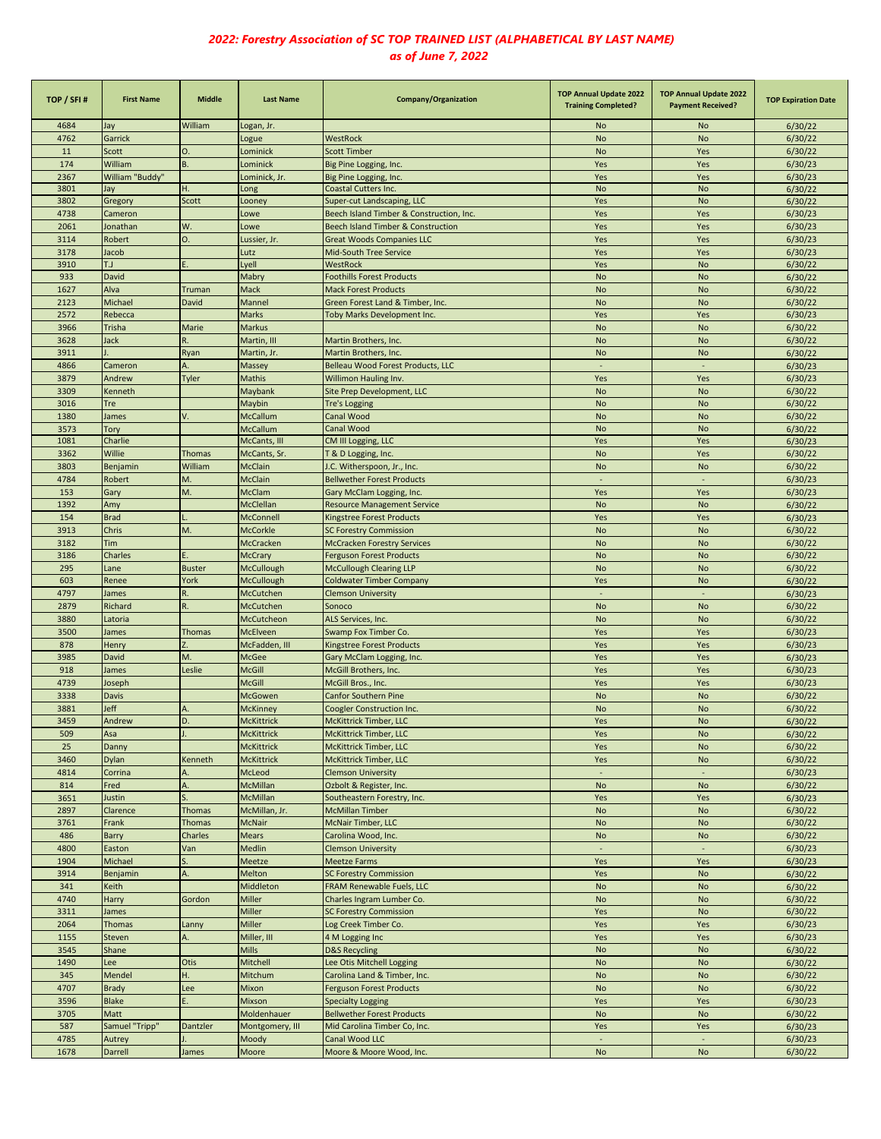| TOP / SFI#   | <b>First Name</b>       | Middle                             | <b>Last Name</b>                     | Company/Organization                                                   | <b>TOP Annual Update 2022</b><br><b>Training Completed?</b> | <b>TOP Annual Update 2022</b><br><b>Payment Received?</b> | <b>TOP Expiration Date</b> |
|--------------|-------------------------|------------------------------------|--------------------------------------|------------------------------------------------------------------------|-------------------------------------------------------------|-----------------------------------------------------------|----------------------------|
| 4684         | Jay                     | William                            | Logan, Jr.                           |                                                                        | No                                                          | <b>No</b>                                                 | 6/30/22                    |
| 4762         | Garrick                 |                                    | Logue                                | WestRock                                                               | <b>No</b>                                                   | <b>No</b>                                                 | 6/30/22                    |
| 11           | Scott                   | O.                                 | Lominick                             | <b>Scott Timber</b>                                                    | <b>No</b>                                                   | Yes                                                       | 6/30/22                    |
| 174          | William                 | B.                                 | Lominick                             | Big Pine Logging, Inc.                                                 | Yes                                                         | Yes                                                       | 6/30/23                    |
| 2367         | William "Buddy"         |                                    | Lominick, Jr.                        | Big Pine Logging, Inc.                                                 | Yes                                                         | Yes                                                       | 6/30/23                    |
| 3801         | Jay                     | Η.                                 | Long                                 | <b>Coastal Cutters Inc.</b>                                            | <b>No</b>                                                   | <b>No</b>                                                 | 6/30/22                    |
| 3802         | Gregory                 | Scott                              | Looney                               | Super-cut Landscaping, LLC                                             | Yes                                                         | <b>No</b>                                                 | 6/30/22                    |
| 4738<br>2061 | Cameron                 | W.                                 | Lowe                                 | Beech Island Timber & Construction, Inc.                               | Yes<br>Yes                                                  | Yes<br>Yes                                                | 6/30/23<br>6/30/23         |
| 3114         | Jonathan<br>Robert      | O.                                 | Lowe                                 | Beech Island Timber & Construction<br><b>Great Woods Companies LLC</b> | Yes                                                         | Yes                                                       | 6/30/23                    |
| 3178         | Jacob                   |                                    | Lussier, Jr.<br>Lutz                 | Mid-South Tree Service                                                 | Yes                                                         | Yes                                                       | 6/30/23                    |
| 3910         | L.T                     |                                    | Lyell                                | <b>WestRock</b>                                                        | Yes                                                         | <b>No</b>                                                 | 6/30/22                    |
| 933          | David                   |                                    | Mabry                                | <b>Foothills Forest Products</b>                                       | <b>No</b>                                                   | <b>No</b>                                                 | 6/30/22                    |
| 1627         | Alva                    | <b>Truman</b>                      | Mack                                 | <b>Mack Forest Products</b>                                            | <b>No</b>                                                   | <b>No</b>                                                 | 6/30/22                    |
| 2123         | Michael                 | David                              | Mannel                               | Green Forest Land & Timber, Inc.                                       | <b>No</b>                                                   | <b>No</b>                                                 | 6/30/22                    |
| 2572         | Rebecca                 |                                    | Marks                                | Toby Marks Development Inc.                                            | Yes                                                         | Yes                                                       | 6/30/23                    |
| 3966         | Trisha                  | Marie                              | Markus                               |                                                                        | <b>No</b>                                                   | <b>No</b>                                                 | 6/30/22                    |
| 3628         | Jack                    | R.                                 | Martin, III                          | Martin Brothers, Inc.                                                  | No                                                          | No                                                        | 6/30/22                    |
| 3911         |                         | Ryan                               | Martin, Jr.                          | Martin Brothers, Inc.                                                  | <b>No</b>                                                   | <b>No</b>                                                 | 6/30/22                    |
| 4866         | Cameron                 | A                                  | Massey                               | Belleau Wood Forest Products, LLC                                      | $\sim$                                                      | $\sim$                                                    | 6/30/23                    |
| 3879         | Andrew                  | Tyler                              | <b>Mathis</b>                        | Willimon Hauling Inv.                                                  | Yes                                                         | Yes                                                       | 6/30/23                    |
| 3309         | Kenneth                 |                                    | Maybank                              | Site Prep Development, LLC                                             | <b>No</b>                                                   | <b>No</b>                                                 | 6/30/22                    |
| 3016         | Tre                     |                                    | Maybin                               | <b>Tre's Logging</b>                                                   | <b>No</b>                                                   | <b>No</b>                                                 | 6/30/22                    |
| 1380         | James                   |                                    | McCallum                             | Canal Wood                                                             | <b>No</b>                                                   | No                                                        | 6/30/22                    |
| 3573         | Tory                    |                                    | McCallum                             | Canal Wood                                                             | <b>No</b>                                                   | No                                                        | 6/30/22                    |
| 1081         | Charlie                 |                                    | McCants, III                         | CM III Logging, LLC                                                    | Yes                                                         | Yes                                                       | 6/30/23                    |
| 3362         | Willie                  | <b>Thomas</b>                      | McCants, Sr.                         | T & D Logging, Inc.                                                    | <b>No</b>                                                   | Yes                                                       | 6/30/22                    |
| 3803         | Benjamin                | William                            | McClain                              | J.C. Witherspoon, Jr., Inc.                                            | <b>No</b>                                                   | <b>No</b>                                                 | 6/30/22                    |
| 4784         | Robert                  | M.                                 | McClain                              | <b>Bellwether Forest Products</b>                                      |                                                             |                                                           | 6/30/23                    |
| 153          | Gary                    | M.                                 | McClam                               | Gary McClam Logging, Inc.                                              | Yes                                                         | Yes                                                       | 6/30/23                    |
| 1392         | Amy                     |                                    | McClellan                            | <b>Resource Management Service</b>                                     | <b>No</b>                                                   | <b>No</b>                                                 | 6/30/22                    |
| 154          | <b>Brad</b>             |                                    | McConnell                            | <b>Kingstree Forest Products</b>                                       | Yes                                                         | Yes                                                       | 6/30/23                    |
| 3913         | Chris                   | M.                                 | <b>McCorkle</b>                      | <b>SC Forestry Commission</b>                                          | <b>No</b>                                                   | No                                                        | 6/30/22                    |
| 3182         | Tim                     |                                    | McCracken                            | <b>McCracken Forestry Services</b>                                     | <b>No</b>                                                   | <b>No</b>                                                 | 6/30/22                    |
| 3186         | Charles                 |                                    | McCrary                              | <b>Ferguson Forest Products</b>                                        | <b>No</b>                                                   | <b>No</b>                                                 | 6/30/22                    |
| 295          | Lane                    | <b>Buster</b>                      | <b>McCullough</b>                    | <b>McCullough Clearing LLP</b>                                         | <b>No</b>                                                   | <b>No</b>                                                 | 6/30/22                    |
| 603          | Renee                   | York                               | McCullough                           | <b>Coldwater Timber Company</b>                                        | Yes                                                         | <b>No</b>                                                 | 6/30/22                    |
| 4797         | James                   | R.                                 | McCutchen                            | <b>Clemson University</b>                                              | $\overline{\phantom{a}}$                                    | $\blacksquare$                                            | 6/30/23                    |
| 2879         | Richard                 | R.                                 | McCutchen                            | Sonoco                                                                 | No                                                          | <b>No</b>                                                 | 6/30/22                    |
| 3880         | Latoria                 |                                    | McCutcheon                           | ALS Services, Inc.                                                     | <b>No</b>                                                   | <b>No</b>                                                 | 6/30/22                    |
| 3500         | James                   | Thomas                             | McElveen                             | Swamp Fox Timber Co.                                                   | Yes                                                         | Yes                                                       | 6/30/23                    |
| 878          | Henry                   |                                    | McFadden, III                        | Kingstree Forest Products                                              | Yes                                                         | Yes                                                       | 6/30/23                    |
| 3985         | David                   | M.                                 | McGee                                | Gary McClam Logging, Inc.                                              | Yes                                                         | Yes                                                       | 6/30/23                    |
| 918          | James                   | Leslie                             | McGill                               | McGill Brothers, Inc.                                                  | Yes                                                         | Yes                                                       | 6/30/23                    |
| 4739         | Joseph                  |                                    | McGill                               | McGill Bros., Inc.                                                     | Yes                                                         | Yes                                                       | 6/30/23                    |
| 3338         | Davis                   |                                    | McGowen                              | <b>Canfor Southern Pine</b>                                            | <b>No</b>                                                   | No                                                        | 6/30/22                    |
| 3881         | Jeff                    | D.                                 | <b>McKinney</b><br><b>McKittrick</b> | <b>Coogler Construction Inc.</b>                                       | <b>No</b>                                                   | <b>No</b>                                                 | 6/30/22                    |
| 3459         | Andrew                  |                                    |                                      | McKittrick Timber, LLC                                                 | Yes                                                         | <b>No</b>                                                 | 6/30/22                    |
| 509<br>25    | Asa                     |                                    | McKittrick<br><b>McKittrick</b>      | McKittrick Timber, LLC<br><b>McKittrick Timber, LLC</b>                | Yes<br>Yes                                                  | <b>No</b><br><b>No</b>                                    | 6/30/22                    |
| 3460         | Danny                   |                                    |                                      | McKittrick Timber, LLC                                                 |                                                             |                                                           | 6/30/22                    |
| 4814         | <b>Dylan</b><br>Corrina | Kenneth<br>$\overline{\mathsf{A}}$ | McKittrick<br>McLeod                 | <b>Clemson University</b>                                              | Yes<br>$\blacksquare$                                       | <b>No</b><br>÷                                            | 6/30/22<br>6/30/23         |
| 814          | Fred                    |                                    | McMillan                             | Ozbolt & Register, Inc.                                                | <b>No</b>                                                   | <b>No</b>                                                 | 6/30/22                    |
| 3651         | Justin                  | S.                                 | McMillan                             | Southeastern Forestry, Inc.                                            | Yes                                                         | Yes                                                       | 6/30/23                    |
| 2897         | Clarence                | <b>Thomas</b>                      | McMillan, Jr.                        | <b>McMillan Timber</b>                                                 | <b>No</b>                                                   | <b>No</b>                                                 | 6/30/22                    |
| 3761         | Frank                   | <b>Thomas</b>                      | <b>McNair</b>                        | McNair Timber, LLC                                                     | <b>No</b>                                                   | <b>No</b>                                                 | 6/30/22                    |
| 486          | Barry                   | Charles                            | <b>Mears</b>                         | Carolina Wood, Inc.                                                    | <b>No</b>                                                   | No                                                        | 6/30/22                    |
| 4800         | Easton                  | Van                                | Medlin                               | <b>Clemson University</b>                                              | $\overline{\phantom{a}}$                                    | $\sim$                                                    | 6/30/23                    |
| 1904         | Michael                 |                                    | Meetze                               | <b>Meetze Farms</b>                                                    | Yes                                                         | Yes                                                       | 6/30/23                    |
| 3914         | Benjamin                | A.                                 | Melton                               | <b>SC Forestry Commission</b>                                          | Yes                                                         | No                                                        | 6/30/22                    |
| 341          | Keith                   |                                    | Middleton                            | FRAM Renewable Fuels, LLC                                              | <b>No</b>                                                   | <b>No</b>                                                 | 6/30/22                    |
| 4740         | Harry                   | Gordon                             | Miller                               | Charles Ingram Lumber Co.                                              | No                                                          | No                                                        | 6/30/22                    |
| 3311         | James                   |                                    | Miller                               | <b>SC Forestry Commission</b>                                          | Yes                                                         | <b>No</b>                                                 | 6/30/22                    |
| 2064         | <b>Thomas</b>           | Lanny                              | Miller                               | Log Creek Timber Co.                                                   | Yes                                                         | Yes                                                       | 6/30/23                    |
| 1155         | Steven                  |                                    | Miller, III                          | 4 M Logging Inc                                                        | Yes                                                         | Yes                                                       | 6/30/23                    |
| 3545         | Shane                   |                                    | <b>Mills</b>                         | <b>D&amp;S Recycling</b>                                               | <b>No</b>                                                   | <b>No</b>                                                 | 6/30/22                    |
| 1490         | Lee                     | Otis                               | Mitchell                             | Lee Otis Mitchell Logging                                              | <b>No</b>                                                   | <b>No</b>                                                 | 6/30/22                    |
| 345          | Mendel                  | н.                                 | Mitchum                              | Carolina Land & Timber, Inc.                                           | <b>No</b>                                                   | No                                                        | 6/30/22                    |
| 4707         | <b>Brady</b>            | Lee                                | Mixon                                | <b>Ferguson Forest Products</b>                                        | <b>No</b>                                                   | <b>No</b>                                                 | 6/30/22                    |
| 3596         | <b>Blake</b>            |                                    | Mixson                               | <b>Specialty Logging</b>                                               | Yes                                                         | Yes                                                       | 6/30/23                    |
| 3705         | Matt                    |                                    | Moldenhauer                          | <b>Bellwether Forest Products</b>                                      | <b>No</b>                                                   | No                                                        | 6/30/22                    |
| 587          | Samuel "Tripp"          | Dantzler                           | Montgomery, III                      | Mid Carolina Timber Co, Inc.                                           | Yes                                                         | Yes                                                       | 6/30/23                    |
| 4785         | Autrey                  |                                    | Moody                                | Canal Wood LLC                                                         |                                                             |                                                           | 6/30/23                    |
| 1678         | Darrell                 | James                              | Moore                                | Moore & Moore Wood, Inc.                                               | <b>No</b>                                                   | <b>No</b>                                                 | 6/30/22                    |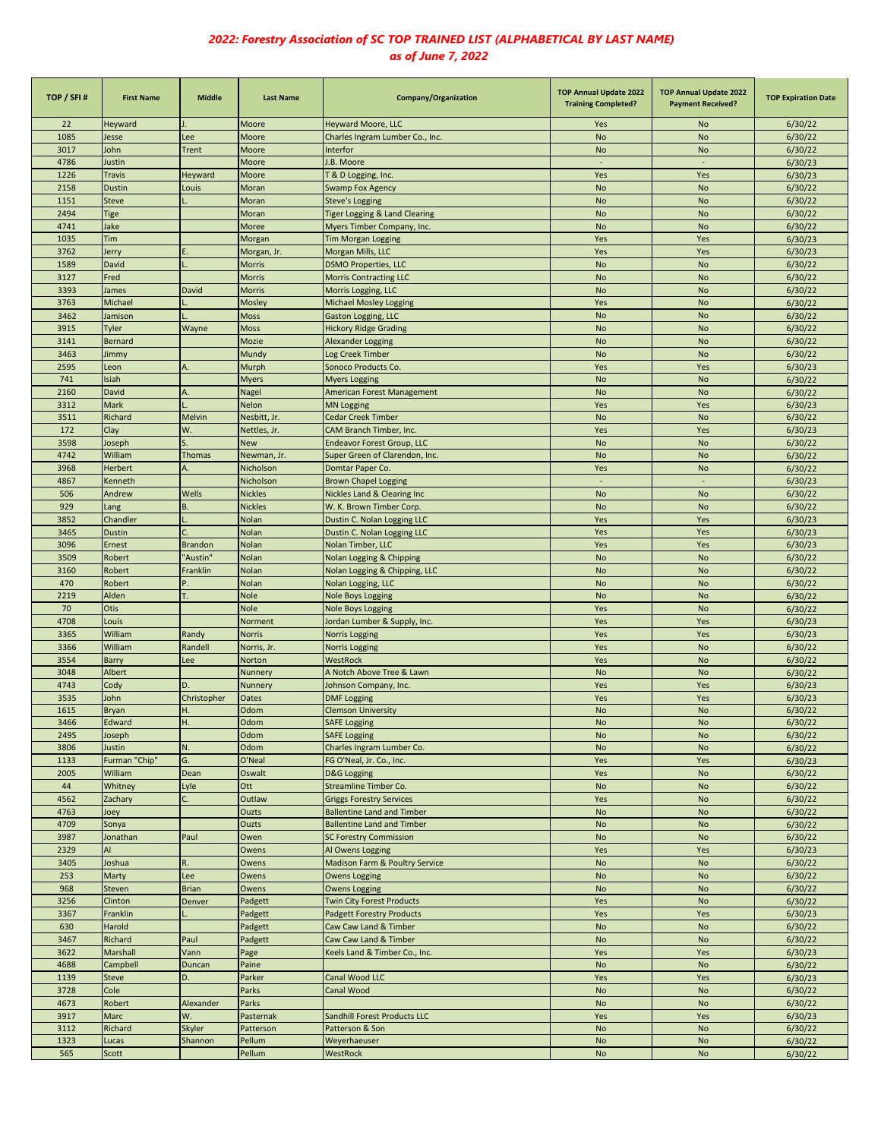| TOP / SFI# | <b>First Name</b> | <b>Middle</b>  | <b>Last Name</b> | Company/Organization              | <b>TOP Annual Update 2022</b><br><b>Training Completed?</b> | <b>TOP Annual Update 2022</b><br><b>Payment Received?</b> | <b>TOP Expiration Date</b> |
|------------|-------------------|----------------|------------------|-----------------------------------|-------------------------------------------------------------|-----------------------------------------------------------|----------------------------|
| 22         | Heyward           |                | Moore            | Heyward Moore, LLC                | Yes                                                         | No                                                        | 6/30/22                    |
| 1085       | Jesse             | Lee            | Moore            | Charles Ingram Lumber Co., Inc.   | <b>No</b>                                                   | <b>No</b>                                                 | 6/30/22                    |
| 3017       | John              | <b>Trent</b>   | Moore            | Interfor                          | <b>No</b>                                                   | <b>No</b>                                                 | 6/30/22                    |
| 4786       | lustin            |                | Moore            | J.B. Moore                        | $\sim$                                                      | $\sim$                                                    | 6/30/23                    |
| 1226       | <b>Travis</b>     | Heyward        | Moore            | T & D Logging, Inc.               | Yes                                                         | Yes                                                       | 6/30/23                    |
| 2158       | <b>Dustin</b>     | Louis          | Moran            | <b>Swamp Fox Agency</b>           | <b>No</b>                                                   | <b>No</b>                                                 | 6/30/22                    |
| 1151       | <b>Steve</b>      |                | Moran            | <b>Steve's Logging</b>            | <b>No</b>                                                   | <b>No</b>                                                 | 6/30/22                    |
| 2494       | <b>Fige</b>       |                | Moran            | Tiger Logging & Land Clearing     | <b>No</b>                                                   | <b>No</b>                                                 | 6/30/22                    |
| 4741       | Jake              |                | Moree            | Myers Timber Company, Inc.        | <b>No</b>                                                   | <b>No</b>                                                 | 6/30/22                    |
| 1035       | Tim               |                | Morgan           | <b>Tim Morgan Logging</b>         | Yes                                                         | Yes                                                       | 6/30/23                    |
| 3762       |                   |                |                  |                                   | Yes                                                         | Yes                                                       | 6/30/23                    |
|            | lerry             |                | Morgan, Jr.      | Morgan Mills, LLC                 |                                                             |                                                           |                            |
| 1589       | David             |                | <b>Morris</b>    | <b>DSMO Properties, LLC</b>       | <b>No</b>                                                   | <b>No</b>                                                 | 6/30/22                    |
| 3127       | Fred              |                | <b>Morris</b>    | <b>Morris Contracting LLC</b>     | <b>No</b>                                                   | <b>No</b>                                                 | 6/30/22                    |
| 3393       | lames             | David          | <b>Morris</b>    | Morris Logging, LLC               | <b>No</b>                                                   | <b>No</b>                                                 | 6/30/22                    |
| 3763       | Michael           |                | Mosley           | <b>Michael Mosley Logging</b>     | Yes                                                         | <b>No</b>                                                 | 6/30/22                    |
| 3462       | Jamison           |                | <b>Moss</b>      | Gaston Logging, LLC               | <b>No</b>                                                   | <b>No</b>                                                 | 6/30/22                    |
| 3915       | Tyler             | Wayne          | <b>Moss</b>      | <b>Hickory Ridge Grading</b>      | <b>No</b>                                                   | <b>No</b>                                                 | 6/30/22                    |
| 3141       | <b>Bernard</b>    |                | Mozie            | Alexander Logging                 | <b>No</b>                                                   | <b>No</b>                                                 | 6/30/22                    |
| 3463       | Jimmy             |                | Mundy            | Log Creek Timber                  | <b>No</b>                                                   | <b>No</b>                                                 | 6/30/22                    |
| 2595       | Leon              |                | Murph            | Sonoco Products Co.               | Yes                                                         | Yes                                                       | 6/30/23                    |
| 741        | Isiah             |                | <b>Myers</b>     | <b>Myers Logging</b>              | <b>No</b>                                                   | <b>No</b>                                                 | 6/30/22                    |
| 2160       | David             | А.             | Nagel            | American Forest Management        | <b>No</b>                                                   | No                                                        | 6/30/22                    |
| 3312       | Mark              |                | Nelon            | <b>MN Logging</b>                 | Yes                                                         | Yes                                                       | 6/30/23                    |
| 3511       | Richard           | Melvin         | Nesbitt, Jr.     | <b>Cedar Creek Timber</b>         | <b>No</b>                                                   | <b>No</b>                                                 | 6/30/22                    |
| 172        | Clay              | W.             | Nettles, Jr.     | CAM Branch Timber, Inc.           | Yes                                                         | Yes                                                       | 6/30/23                    |
| 3598       | loseph            |                | <b>New</b>       | <b>Endeavor Forest Group, LLC</b> | <b>No</b>                                                   | <b>No</b>                                                 | 6/30/22                    |
| 4742       | William           | <b>Thomas</b>  | Newman, Jr.      | Super Green of Clarendon, Inc.    | <b>No</b>                                                   | <b>No</b>                                                 | 6/30/22                    |
|            |                   |                |                  |                                   |                                                             |                                                           |                            |
| 3968       | <b>Herbert</b>    | А.             | Nicholson        | Domtar Paper Co.                  | Yes                                                         | <b>No</b>                                                 | 6/30/22                    |
| 4867       | <b>Kenneth</b>    |                | Nicholson        | <b>Brown Chapel Logging</b>       | $\sim$                                                      | $\sim$                                                    | 6/30/23                    |
| 506        | Andrew            | Wells          | <b>Nickles</b>   | Nickles Land & Clearing Inc       | <b>No</b>                                                   | No                                                        | 6/30/22                    |
| 929        | Lang              | B.             | <b>Nickles</b>   | W. K. Brown Timber Corp.          | <b>No</b>                                                   | No                                                        | 6/30/22                    |
| 3852       | Chandler          |                | Nolan            | Dustin C. Nolan Logging LLC       | Yes                                                         | Yes                                                       | 6/30/23                    |
| 3465       | <b>Dustin</b>     |                | Nolan            | Dustin C. Nolan Logging LLC       | Yes                                                         | Yes                                                       | 6/30/23                    |
| 3096       | Ernest            | <b>Brandon</b> | Nolan            | Nolan Timber, LLC                 | Yes                                                         | Yes                                                       | 6/30/23                    |
| 3509       | Robert            | 'Austin'       | Nolan            | Nolan Logging & Chipping          | <b>No</b>                                                   | <b>No</b>                                                 | 6/30/22                    |
| 3160       | Robert            | Franklin       | Nolan            | Nolan Logging & Chipping, LLC     | <b>No</b>                                                   | <b>No</b>                                                 | 6/30/22                    |
| 470        | Robert            |                | Nolan            | Nolan Logging, LLC                | <b>No</b>                                                   | <b>No</b>                                                 | 6/30/22                    |
| 2219       | Alden             |                | <b>Nole</b>      | <b>Nole Boys Logging</b>          | <b>No</b>                                                   | <b>No</b>                                                 | 6/30/22                    |
| 70         | Otis              |                | Nole             | <b>Nole Boys Logging</b>          | Yes                                                         | <b>No</b>                                                 | 6/30/22                    |
| 4708       | Louis             |                | Norment          | Jordan Lumber & Supply, Inc.      | Yes                                                         | Yes                                                       | 6/30/23                    |
| 3365       | William           | Randy          | <b>Norris</b>    | <b>Norris Logging</b>             | Yes                                                         | Yes                                                       | 6/30/23                    |
| 3366       | William           | Randell        | Norris, Jr.      | <b>Norris Logging</b>             | Yes                                                         | <b>No</b>                                                 | 6/30/22                    |
| 3554       | Barry             | Lee            | Norton           | WestRock                          | Yes                                                         | No                                                        |                            |
|            |                   |                |                  |                                   |                                                             |                                                           | 6/30/22                    |
| 3048       | Albert            |                | Nunnery          | A Notch Above Tree & Lawn         | <b>No</b>                                                   | No                                                        | 6/30/22                    |
| 4743       | Cody              | D.             | Nunnery          | Johnson Company, Inc.             | Yes                                                         | Yes                                                       | 6/30/23                    |
| 3535       | John              | Christopher    | Oates            | <b>DMF Logging</b>                | Yes                                                         | Yes                                                       | 6/30/23                    |
| 1615       | Bryan             | н.             | Odom             | <b>Clemson University</b>         | <b>No</b>                                                   | <b>No</b>                                                 | 6/30/22                    |
| 3466       | Edward            | н.             | Odom             | SAFE Logging                      | <b>NO</b>                                                   | <b>NO</b>                                                 | 6/30/22                    |
| 2495       | Joseph            |                | Odom             | <b>SAFE Logging</b>               | <b>No</b>                                                   | No                                                        | 6/30/22                    |
| 3806       | Justin            | N.             | Odom             | Charles Ingram Lumber Co.         | <b>No</b>                                                   | No                                                        | 6/30/22                    |
| 1133       | Furman "Chip"     | G.             | O'Neal           | FG O'Neal, Jr. Co., Inc.          | Yes                                                         | Yes                                                       | 6/30/23                    |
| 2005       | William           | Dean           | Oswalt           | <b>D&amp;G Logging</b>            | Yes                                                         | <b>No</b>                                                 | 6/30/22                    |
| 44         | Whitney           | Lyle           | Ott              | Streamline Timber Co.             | No                                                          | No                                                        | 6/30/22                    |
| 4562       | Zachary           |                | Outlaw           | <b>Griggs Forestry Services</b>   | Yes                                                         | <b>No</b>                                                 | 6/30/22                    |
| 4763       | Joey              |                | Ouzts            | <b>Ballentine Land and Timber</b> | <b>No</b>                                                   | <b>No</b>                                                 | 6/30/22                    |
| 4709       | Sonya             |                | Ouzts            | <b>Ballentine Land and Timber</b> | <b>No</b>                                                   | <b>No</b>                                                 | 6/30/22                    |
| 3987       | Ionathan          | Paul           | Owen             | <b>SC Forestry Commission</b>     | No                                                          | <b>No</b>                                                 | 6/30/22                    |
| 2329       | AI                |                | Owens            | Al Owens Logging                  | Yes                                                         | Yes                                                       | 6/30/23                    |
| 3405       | loshua            | R.             | Owens            | Madison Farm & Poultry Service    | <b>No</b>                                                   | <b>No</b>                                                 | 6/30/22                    |
| 253        | Marty             | Lee            | Owens            | <b>Owens Logging</b>              | <b>No</b>                                                   | <b>No</b>                                                 | 6/30/22                    |
| 968        | Steven            | <b>Brian</b>   |                  | <b>Owens Logging</b>              | No                                                          | <b>No</b>                                                 | 6/30/22                    |
|            |                   |                | Owens            |                                   |                                                             |                                                           |                            |
| 3256       | Clinton           | Denver         | Padgett          | <b>Twin City Forest Products</b>  | Yes                                                         | <b>No</b>                                                 | 6/30/22                    |
| 3367       | Franklin          |                | Padgett          | <b>Padgett Forestry Products</b>  | Yes                                                         | Yes                                                       | 6/30/23                    |
| 630        | Harold            |                | Padgett          | Caw Caw Land & Timber             | No                                                          | <b>No</b>                                                 | 6/30/22                    |
| 3467       | Richard           | Paul           | Padgett          | Caw Caw Land & Timber             | <b>No</b>                                                   | No                                                        | 6/30/22                    |
| 3622       | Marshall          | Vann           | Page             | Keels Land & Timber Co., Inc.     | Yes                                                         | Yes                                                       | 6/30/23                    |
| 4688       | Campbell          | Duncan         | Paine            |                                   | No                                                          | <b>No</b>                                                 | 6/30/22                    |
| 1139       | Steve             | D.             | Parker           | Canal Wood LLC                    | Yes                                                         | Yes                                                       | 6/30/23                    |
| 3728       | Cole              |                | Parks            | Canal Wood                        | No                                                          | <b>No</b>                                                 | 6/30/22                    |
| 4673       | Robert            | Alexander      | Parks            |                                   | No                                                          | <b>No</b>                                                 | 6/30/22                    |
| 3917       | Marc              | W.             | Pasternak        | Sandhill Forest Products LLC      | Yes                                                         | Yes                                                       | 6/30/23                    |
| 3112       | Richard           | Skyler         | Patterson        | Patterson & Son                   | No                                                          | No                                                        | 6/30/22                    |
| 1323       | Lucas             | Shannon        | Pellum           | Weyerhaeuser                      | <b>No</b>                                                   | No                                                        | 6/30/22                    |
| 565        | Scott             |                | Pellum           | WestRock                          | <b>No</b>                                                   | No                                                        | 6/30/22                    |
|            |                   |                |                  |                                   |                                                             |                                                           |                            |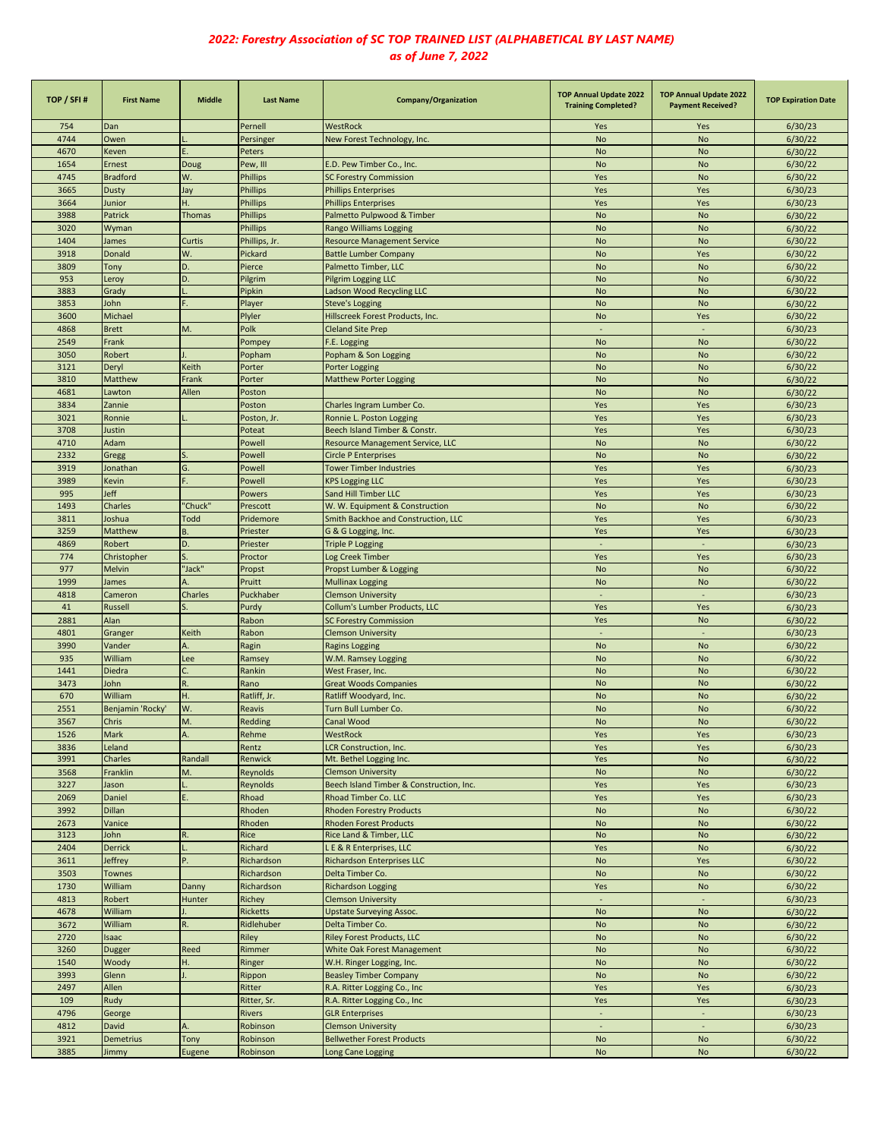| TOP / SFI#  | <b>First Name</b> | <b>Middle</b>  | <b>Last Name</b> | Company/Organization                     | <b>TOP Annual Update 2022</b><br><b>Training Completed?</b> | <b>TOP Annual Update 2022</b><br><b>Payment Received?</b> | <b>TOP Expiration Date</b> |
|-------------|-------------------|----------------|------------------|------------------------------------------|-------------------------------------------------------------|-----------------------------------------------------------|----------------------------|
| 754         | Dan               |                | Pernell          | WestRock                                 | Yes                                                         | Yes                                                       | 6/30/23                    |
| 4744        | Owen              |                | Persinger        | New Forest Technology, Inc.              | <b>No</b>                                                   | <b>No</b>                                                 | 6/30/22                    |
| 4670        | Keven             |                | Peters           |                                          | <b>No</b>                                                   | <b>No</b>                                                 | 6/30/22                    |
| 1654        | Ernest            | Doug           | Pew, III         | E.D. Pew Timber Co., Inc.                | <b>No</b>                                                   | <b>No</b>                                                 | 6/30/22                    |
| 4745        | <b>Bradford</b>   | W.             | <b>Phillips</b>  | <b>SC Forestry Commission</b>            | Yes                                                         | <b>No</b>                                                 | 6/30/22                    |
| 3665        | <b>Dusty</b>      | Jay            | <b>Phillips</b>  | <b>Phillips Enterprises</b>              | Yes                                                         | Yes                                                       | 6/30/23                    |
| 3664        | Junior            | H.             | <b>Phillips</b>  | <b>Phillips Enterprises</b>              | Yes                                                         | Yes                                                       | 6/30/23                    |
| 3988        | Patrick           | <b>Thomas</b>  | <b>Phillips</b>  | Palmetto Pulpwood & Timber               | <b>No</b>                                                   | <b>No</b>                                                 | 6/30/22                    |
| 3020        | Wyman             |                | <b>Phillips</b>  | <b>Rango Williams Logging</b>            | <b>No</b>                                                   | <b>No</b>                                                 | 6/30/22                    |
| 1404        | James             | Curtis         | Phillips, Jr.    | <b>Resource Management Service</b>       | <b>No</b>                                                   | <b>No</b>                                                 | 6/30/22                    |
| 3918        | Donald            | W.             | Pickard          | <b>Battle Lumber Company</b>             | <b>No</b>                                                   | Yes                                                       | 6/30/22                    |
| 3809        | Tony              | D.             | Pierce           | Palmetto Timber, LLC                     | <b>No</b>                                                   | <b>No</b>                                                 | 6/30/22                    |
| 953         | Leroy             | D.             | Pilgrim          | Pilgrim Logging LLC                      | <b>No</b>                                                   | <b>No</b>                                                 | 6/30/22                    |
| 3883        | Grady             |                | Pipkin           | Ladson Wood Recycling LLC                | <b>No</b>                                                   | <b>No</b>                                                 | 6/30/22                    |
| 3853        | John              |                | Player           | <b>Steve's Logging</b>                   | <b>No</b>                                                   | <b>No</b>                                                 | 6/30/22                    |
| 3600        | Michael           |                | Plyler           | Hillscreek Forest Products, Inc.         | <b>No</b>                                                   | Yes                                                       | 6/30/22                    |
| 4868        | <b>Brett</b>      | M.             | Polk             | <b>Cleland Site Prep</b>                 | $\sim$                                                      | $\sim$                                                    | 6/30/23                    |
| 2549        | Frank             |                | Pompey           | F.E. Logging                             | <b>No</b>                                                   | <b>No</b>                                                 | 6/30/22                    |
| 3050        | Robert            |                | Popham           | Popham & Son Logging                     | <b>No</b>                                                   | <b>No</b>                                                 | 6/30/22                    |
| 3121        | Deryl             | Keith          | Porter           | <b>Porter Logging</b>                    | <b>No</b>                                                   | <b>No</b>                                                 | 6/30/22                    |
| 3810        | <b>Matthew</b>    | Frank          | Porter           | <b>Matthew Porter Logging</b>            | <b>No</b>                                                   | <b>No</b>                                                 | 6/30/22                    |
| 4681        | Lawton            | Allen          | Poston           |                                          | <b>No</b>                                                   | <b>No</b>                                                 | 6/30/22                    |
| 3834        | Zannie            |                | Poston           | Charles Ingram Lumber Co.                | Yes                                                         | Yes                                                       | 6/30/23                    |
| 3021        | Ronnie            |                | Poston, Jr.      | Ronnie L. Poston Logging                 | Yes                                                         | Yes                                                       | 6/30/23                    |
| 3708        | Justin            |                | Poteat           | Beech Island Timber & Constr.            | Yes                                                         | Yes                                                       | 6/30/23                    |
| 4710        | Adam              |                | Powell           | Resource Management Service, LLC         | <b>No</b>                                                   | <b>No</b>                                                 | 6/30/22                    |
| 2332        | Gregg             |                | Powell           | <b>Circle P Enterprises</b>              | <b>No</b>                                                   | <b>No</b>                                                 | 6/30/22                    |
| 3919        | Jonathan          | G.             | Powell           | <b>Tower Timber Industries</b>           | Yes                                                         | Yes                                                       | 6/30/23                    |
| 3989        | <b>Kevin</b>      |                | Powell           | <b>KPS Logging LLC</b>                   | Yes                                                         | Yes                                                       | 6/30/23                    |
| 995         | Jeff              |                | Powers           | Sand Hill Timber LLC                     | Yes                                                         | Yes                                                       | 6/30/23                    |
| 1493        | Charles           | "Chuck"        | Prescott         | W. W. Equipment & Construction           | <b>No</b>                                                   | No                                                        | 6/30/22                    |
| 3811        | Joshua            | Todd           | Pridemore        | Smith Backhoe and Construction, LLC      | Yes                                                         | Yes                                                       | 6/30/23                    |
| 3259        | <b>Matthew</b>    | B.             | Priester         | G & G Logging, Inc.                      | Yes                                                         | Yes                                                       | 6/30/23                    |
| 4869        | Robert            | D.             | Priester         | <b>Triple P Logging</b>                  | $\sim$                                                      | $\overline{\phantom{a}}$                                  | 6/30/23                    |
| 774         | Christopher       |                | Proctor          | Log Creek Timber                         | Yes                                                         | Yes                                                       | 6/30/23                    |
| 977         | Melvin            | "Jack"         | Propst           | Propst Lumber & Logging                  | <b>No</b>                                                   | <b>No</b>                                                 | 6/30/22                    |
| 1999        | James             | $\overline{A}$ | Pruitt           | <b>Mullinax Logging</b>                  | <b>No</b>                                                   | <b>No</b>                                                 | 6/30/22                    |
| 4818        | Cameron           | Charles        | Puckhaber        | <b>Clemson University</b>                | $\sim$                                                      | $\omega$                                                  | 6/30/23                    |
| 41          | Russell           |                | Purdy            | Collum's Lumber Products, LLC            | Yes                                                         | Yes                                                       | 6/30/23                    |
| 2881        | Alan              |                | Rabon            | <b>SC Forestry Commission</b>            | Yes                                                         | <b>No</b>                                                 | 6/30/22                    |
| 4801        |                   | Keith          | Rabon            |                                          |                                                             | ÷,                                                        |                            |
| 3990        | Granger<br>Vander | А.             |                  | <b>Clemson University</b>                |                                                             |                                                           | 6/30/23<br>6/30/22         |
|             |                   |                | Ragin            | <b>Ragins Logging</b>                    | <b>No</b>                                                   | <b>No</b>                                                 |                            |
| 935<br>1441 | William<br>Diedra | Lee            | Ramsey<br>Rankin | W.M. Ramsey Logging<br>West Fraser, Inc. | <b>No</b><br><b>No</b>                                      | <b>No</b><br><b>No</b>                                    | 6/30/22<br>6/30/22         |
| 3473        |                   | R.             |                  |                                          | <b>No</b>                                                   | <b>No</b>                                                 |                            |
|             | Iohn              |                | Rano             | <b>Great Woods Companies</b>             |                                                             |                                                           | 6/30/22                    |
| 670         | William           | Η.             | Ratliff, Jr.     | Ratliff Woodyard, Inc.                   | <b>No</b>                                                   | <b>No</b>                                                 | 6/30/22                    |
| 2551        | Benjamin 'Rocky'  | W.             | Reavis           | Turn Bull Lumber Co.                     | <b>No</b>                                                   | <b>No</b>                                                 | 6/30/22                    |
| 3567        | <b>Chris</b>      | M.             | Redding          | Canal Wood                               | <b>No</b>                                                   | <b>No</b>                                                 | 6/30/22                    |
| 1526        | Mark              | A.             | Rehme            | WestRock                                 | Yes                                                         | Yes                                                       | 6/30/23                    |
| 3836        | Leland            |                | Rentz            | <b>LCR Construction, Inc.</b>            | Yes                                                         | Yes                                                       | 6/30/23                    |
| 3991        | Charles           | Randall        | Renwick          | Mt. Bethel Logging Inc.                  | Yes                                                         | <b>No</b>                                                 | 6/30/22                    |
| 3568        | Franklin          | M.             | Reynolds         | <b>Clemson University</b>                | <b>No</b>                                                   | <b>No</b>                                                 | 6/30/22                    |
| 3227        | Jason             |                | Reynolds         | Beech Island Timber & Construction, Inc. | Yes                                                         | Yes                                                       | 6/30/23                    |
| 2069        | Daniel            |                | Rhoad            | Rhoad Timber Co. LLC                     | Yes                                                         | Yes                                                       | 6/30/23                    |
| 3992        | Dillan            |                | Rhoden           | <b>Rhoden Forestry Products</b>          | <b>No</b>                                                   | No                                                        | 6/30/22                    |
| 2673        | Vanice            |                | Rhoden           | <b>Rhoden Forest Products</b>            | <b>No</b>                                                   | No                                                        | 6/30/22                    |
| 3123        | John              | R.             | Rice             | Rice Land & Timber, LLC                  | <b>No</b>                                                   | No                                                        | 6/30/22                    |
| 2404        | <b>Derrick</b>    |                | Richard          | L E & R Enterprises, LLC                 | Yes                                                         | No                                                        | 6/30/22                    |
| 3611        | Jeffrey           |                | Richardson       | <b>Richardson Enterprises LLC</b>        | <b>No</b>                                                   | Yes                                                       | 6/30/22                    |
| 3503        | <b>Townes</b>     |                | Richardson       | Delta Timber Co.                         | <b>No</b>                                                   | No                                                        | 6/30/22                    |
| 1730        | William           | Danny          | Richardson       | <b>Richardson Logging</b>                | Yes                                                         | No                                                        | 6/30/22                    |
| 4813        | Robert            | Hunter         | Richey           | <b>Clemson University</b>                | $\overline{\phantom{a}}$                                    |                                                           | 6/30/23                    |
| 4678        | William           |                | <b>Ricketts</b>  | <b>Upstate Surveying Assoc.</b>          | <b>No</b>                                                   | No                                                        | 6/30/22                    |
| 3672        | William           | R.             | Ridlehuber       | Delta Timber Co.                         | <b>No</b>                                                   | No                                                        | 6/30/22                    |
| 2720        | saac              |                | Riley            | <b>Riley Forest Products, LLC</b>        | <b>No</b>                                                   | No                                                        | 6/30/22                    |
| 3260        | Dugger            | Reed           | Rimmer           | White Oak Forest Management              | <b>No</b>                                                   | <b>No</b>                                                 | 6/30/22                    |
| 1540        | Woody             | Η.             | Ringer           | W.H. Ringer Logging, Inc.                | <b>No</b>                                                   | <b>No</b>                                                 | 6/30/22                    |
| 3993        | Glenn             |                | Rippon           | <b>Beasley Timber Company</b>            | <b>No</b>                                                   | No                                                        | 6/30/22                    |
| 2497        | Allen             |                | Ritter           | R.A. Ritter Logging Co., Inc             | Yes                                                         | Yes                                                       | 6/30/23                    |
| 109         | Rudy              |                | Ritter, Sr.      | R.A. Ritter Logging Co., Inc             | Yes                                                         | Yes                                                       | 6/30/23                    |
| 4796        | George            |                | <b>Rivers</b>    | <b>GLR Enterprises</b>                   | $\overline{\phantom{a}}$                                    | $\Box$                                                    | 6/30/23                    |
| 4812        | David             | А.             | Robinson         | <b>Clemson University</b>                | $\blacksquare$                                              | $\blacksquare$                                            | 6/30/23                    |
| 3921        | Demetrius         | Tony           | Robinson         | <b>Bellwether Forest Products</b>        | <b>No</b>                                                   | No                                                        | 6/30/22                    |
| 3885        | Jimmy             | Eugene         | Robinson         | Long Cane Logging                        | <b>No</b>                                                   | No                                                        | 6/30/22                    |
|             |                   |                |                  |                                          |                                                             |                                                           |                            |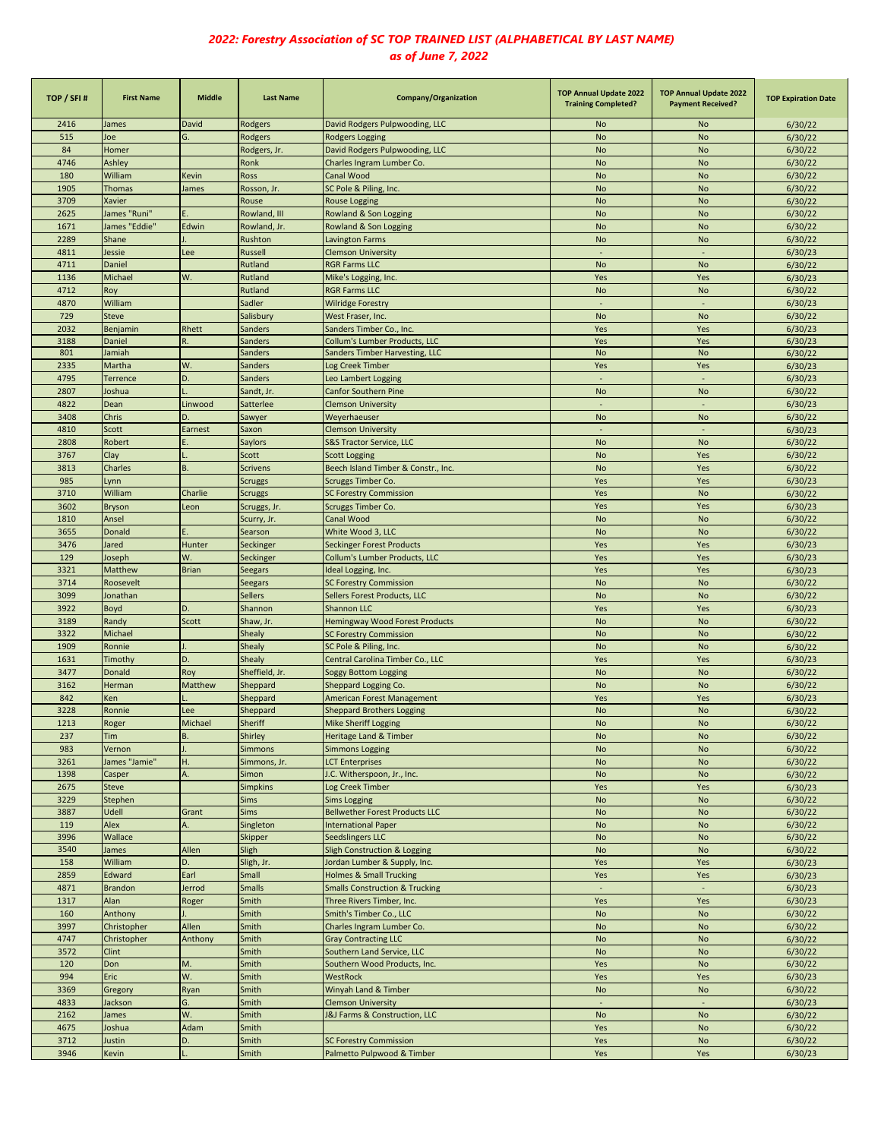| TOP / SFI# | <b>First Name</b> | <b>Middle</b> | <b>Last Name</b> | Company/Organization                                 | <b>TOP Annual Update 2022</b><br><b>Training Completed?</b> | <b>TOP Annual Update 2022</b><br><b>Payment Received?</b> | <b>TOP Expiration Date</b> |
|------------|-------------------|---------------|------------------|------------------------------------------------------|-------------------------------------------------------------|-----------------------------------------------------------|----------------------------|
| 2416       | James             | David         | Rodgers          | David Rodgers Pulpwooding, LLC                       | <b>No</b>                                                   | No                                                        | 6/30/22                    |
| 515        | Joe               | G.            | Rodgers          | <b>Rodgers Logging</b>                               | <b>No</b>                                                   | <b>No</b>                                                 | 6/30/22                    |
| 84         | Homer             |               | Rodgers, Jr.     | David Rodgers Pulpwooding, LLC                       | <b>No</b>                                                   | <b>No</b>                                                 | 6/30/22                    |
| 4746       | Ashley            |               | Ronk             | Charles Ingram Lumber Co.                            | <b>No</b>                                                   | <b>No</b>                                                 | 6/30/22                    |
| 180        | William           | Kevin         | Ross             | Canal Wood                                           | <b>No</b>                                                   | <b>No</b>                                                 | 6/30/22                    |
| 1905       | <b>Thomas</b>     | James         | Rosson, Jr.      | SC Pole & Piling, Inc.                               | <b>No</b>                                                   | <b>No</b>                                                 | 6/30/22                    |
| 3709       | Xavier            |               | Rouse            | <b>Rouse Logging</b>                                 | <b>No</b>                                                   | No                                                        | 6/30/22                    |
| 2625       | James "Runi"      |               | Rowland, III     | Rowland & Son Logging                                | <b>No</b>                                                   | <b>No</b>                                                 | 6/30/22                    |
| 1671       | James "Eddie"     | Edwin         | Rowland, Jr.     | Rowland & Son Logging                                | <b>No</b>                                                   | No                                                        | 6/30/22                    |
| 2289       | Shane             |               | Rushton          | Lavington Farms                                      | <b>No</b>                                                   | No                                                        | 6/30/22                    |
| 4811       | Jessie            | Lee           | Russell          | <b>Clemson University</b>                            | $\sim$                                                      | ÷,                                                        | 6/30/23                    |
| 4711       | Daniel            |               | Rutland          | <b>RGR Farms LLC</b>                                 | <b>No</b>                                                   | <b>No</b>                                                 | 6/30/22                    |
| 1136       | Michael           | W.            | Rutland          | Mike's Logging, Inc.                                 | Yes                                                         | Yes                                                       | 6/30/23                    |
| 4712       | Roy               |               | Rutland          | <b>RGR Farms LLC</b>                                 | <b>No</b>                                                   | <b>No</b>                                                 | 6/30/22                    |
| 4870       | William           |               | Sadler           | <b>Wilridge Forestry</b>                             |                                                             |                                                           | 6/30/23                    |
| 729        | <b>Steve</b>      |               | Salisbury        | West Fraser, Inc.                                    | <b>No</b>                                                   | <b>No</b>                                                 | 6/30/22                    |
| 2032       | Benjamin          | Rhett         | <b>Sanders</b>   | Sanders Timber Co., Inc.                             | Yes                                                         | Yes                                                       | 6/30/23                    |
| 3188       | Daniel            | R.            | Sanders          | Collum's Lumber Products, LLC                        | Yes                                                         | Yes                                                       | 6/30/23                    |
| 801        | Jamiah            |               | Sanders          | Sanders Timber Harvesting, LLC                       | <b>No</b>                                                   | No                                                        | 6/30/22                    |
| 2335       | Martha            | W.            | Sanders          | Log Creek Timber                                     | Yes                                                         | Yes                                                       | 6/30/23                    |
| 4795       | <b>Terrence</b>   | D.            | Sanders          | Leo Lambert Logging                                  |                                                             |                                                           | 6/30/23                    |
| 2807       | Joshua            |               | Sandt, Jr.       | Canfor Southern Pine                                 | <b>No</b>                                                   | No                                                        | 6/30/22                    |
| 4822       | Dean              | Linwood       | Satterlee        | <b>Clemson University</b>                            | $\sim$                                                      | $\sim$                                                    | 6/30/23                    |
| 3408       | Chris             |               | Sawyer           | Weyerhaeuser                                         | <b>No</b>                                                   | No                                                        | 6/30/22                    |
| 4810       | Scott             | Earnest       | Saxon            | <b>Clemson University</b>                            |                                                             |                                                           | 6/30/23                    |
| 2808       | Robert            |               | <b>Saylors</b>   | <b>S&amp;S Tractor Service, LLC</b>                  | <b>No</b>                                                   | No                                                        | 6/30/22                    |
| 3767       | Clay              |               | Scott            | <b>Scott Logging</b>                                 | <b>No</b>                                                   | Yes                                                       | 6/30/22                    |
| 3813       | Charles           | B.            | <b>Scrivens</b>  | Beech Island Timber & Constr., Inc.                  | <b>No</b>                                                   | Yes                                                       | 6/30/22                    |
| 985        | .ynn              |               | <b>Scruggs</b>   | Scruggs Timber Co.                                   | Yes                                                         | Yes                                                       | 6/30/23                    |
| 3710       | William           | Charlie       | <b>Scruggs</b>   | <b>SC Forestry Commission</b>                        | Yes                                                         | <b>No</b>                                                 | 6/30/22                    |
| 3602       | <b>Bryson</b>     | Leon          | Scruggs, Jr.     | Scruggs Timber Co.                                   | Yes                                                         | Yes                                                       | 6/30/23                    |
| 1810       | Ansel             |               | Scurry, Jr.      | Canal Wood                                           | <b>No</b>                                                   | <b>No</b>                                                 | 6/30/22                    |
| 3655       | Donald            |               | Searson          | White Wood 3, LLC                                    | <b>No</b>                                                   | <b>No</b>                                                 | 6/30/22                    |
| 3476       | Jared             | Hunter        | Seckinger        | <b>Seckinger Forest Products</b>                     | Yes                                                         | Yes                                                       | 6/30/23                    |
| 129        | Joseph            | W.            | Seckinger        | Collum's Lumber Products, LLC                        | Yes                                                         | Yes                                                       | 6/30/23                    |
| 3321       | Matthew           | <b>Brian</b>  | <b>Seegars</b>   | Ideal Logging, Inc.                                  | Yes                                                         | Yes                                                       | 6/30/23                    |
| 3714       | Roosevelt         |               | Seegars          | <b>SC Forestry Commission</b>                        | <b>No</b>                                                   | <b>No</b>                                                 | 6/30/22                    |
| 3099       | Jonathan          |               | <b>Sellers</b>   | Sellers Forest Products, LLC                         | <b>No</b>                                                   | No                                                        | 6/30/22                    |
| 3922       | Boyd              | D.            | Shannon          |                                                      | Yes                                                         | Yes                                                       | 6/30/23                    |
|            |                   |               |                  | Shannon LLC<br><b>Hemingway Wood Forest Products</b> |                                                             |                                                           |                            |
| 3189       | Randy             | <b>Scott</b>  | Shaw, Jr.        |                                                      | <b>No</b>                                                   | <b>No</b>                                                 | 6/30/22                    |
| 3322       | Michael           |               | <b>Shealy</b>    | <b>SC Forestry Commission</b>                        | <b>No</b>                                                   | <b>No</b>                                                 | 6/30/22                    |
| 1909       | Ronnie            |               | Shealy           | SC Pole & Piling, Inc.                               | <b>No</b>                                                   | <b>No</b>                                                 | 6/30/22                    |
| 1631       | Timothy           | D.            | Shealy           | Central Carolina Timber Co., LLC                     | Yes                                                         | Yes                                                       | 6/30/23                    |
| 3477       | Donald            | Roy           | Sheffield, Jr.   | <b>Soggy Bottom Logging</b>                          | <b>No</b>                                                   | <b>No</b>                                                 | 6/30/22                    |
| 3162       | Herman            | Matthew       | Sheppard         | Sheppard Logging Co.                                 | <b>No</b>                                                   | <b>No</b>                                                 | 6/30/22                    |
| 842        | Ken               |               | Sheppard         | American Forest Management                           | Yes                                                         | Yes                                                       | 6/30/23                    |
| 3228       | Ronnie            | Lee           | Sheppard         | <b>Sheppard Brothers Logging</b>                     | <b>No</b>                                                   | <b>No</b>                                                 | 6/30/22                    |
| 1213       | Roger             | Michael       | Sheriff          | Mike Sheriff Logging                                 | <b>No</b>                                                   | <b>No</b>                                                 | 6/30/22                    |
| 237        | Tim               | B             | Shirley          | Heritage Land & Timber                               | <b>No</b>                                                   | No                                                        | 6/30/22                    |
| 983        | Vernon            |               | <b>Simmons</b>   | <b>Simmons Logging</b>                               | <b>No</b>                                                   | No                                                        | 6/30/22                    |
| 3261       | James "Jamie"     | Ĥ.            | Simmons, Jr.     | <b>LCT Enterprises</b>                               | <b>No</b>                                                   | No                                                        | 6/30/22                    |
| 1398       | Casper            | А.            | Simon            | J.C. Witherspoon, Jr., Inc.                          | <b>No</b>                                                   | No                                                        | 6/30/22                    |
| 2675       | Steve             |               | <b>Simpkins</b>  | Log Creek Timber                                     | Yes                                                         | Yes                                                       | 6/30/23                    |
| 3229       | Stephen           |               | <b>Sims</b>      | <b>Sims Logging</b>                                  | <b>No</b>                                                   | No                                                        | 6/30/22                    |
| 3887       | Udell             | Grant         | <b>Sims</b>      | <b>Bellwether Forest Products LLC</b>                | <b>No</b>                                                   | No                                                        | 6/30/22                    |
| 119        | Alex              | А.            | Singleton        | <b>International Paper</b>                           | <b>No</b>                                                   | No                                                        | 6/30/22                    |
| 3996       | Wallace           |               | <b>Skipper</b>   | <b>Seedslingers LLC</b>                              | <b>No</b>                                                   | No                                                        | 6/30/22                    |
| 3540       | James             | Allen         | Sligh            | Sligh Construction & Logging                         | <b>No</b>                                                   | No                                                        | 6/30/22                    |
| 158        | William           | D.            | Sligh, Jr.       | Jordan Lumber & Supply, Inc.                         | Yes                                                         | Yes                                                       | 6/30/23                    |
| 2859       | Edward            | Earl          | Small            | <b>Holmes &amp; Small Trucking</b>                   | Yes                                                         | Yes                                                       | 6/30/23                    |
| 4871       | <b>Brandon</b>    | Jerrod        | <b>Smalls</b>    | <b>Smalls Construction &amp; Trucking</b>            | $\sim$                                                      | $\sim$                                                    | 6/30/23                    |
| 1317       | Alan              | Roger         | Smith            | Three Rivers Timber, Inc.                            | Yes                                                         | Yes                                                       | 6/30/23                    |
| 160        | Anthony           |               | Smith            | Smith's Timber Co., LLC                              | No                                                          | No                                                        | 6/30/22                    |
| 3997       | Christopher       | Allen         | Smith            | Charles Ingram Lumber Co.                            | <b>No</b>                                                   | No                                                        | 6/30/22                    |
| 4747       | Christopher       | Anthony       | Smith            | <b>Gray Contracting LLC</b>                          | No                                                          | No                                                        | 6/30/22                    |
| 3572       | Clint             |               | Smith            | Southern Land Service, LLC                           | <b>No</b>                                                   | No                                                        | 6/30/22                    |
| 120        | Don               | М.            | Smith            | Southern Wood Products, Inc.                         | Yes                                                         | <b>No</b>                                                 | 6/30/22                    |
| 994        | Eric              | W.            | Smith            | WestRock                                             | Yes                                                         | Yes                                                       | 6/30/23                    |
| 3369       | Gregory           | Ryan          | Smith            | Winyah Land & Timber                                 | No                                                          | No                                                        | 6/30/22                    |
| 4833       | Jackson           | G.            | Smith            | <b>Clemson University</b>                            |                                                             | ÷,                                                        | 6/30/23                    |
| 2162       | James             | W.            | Smith            | <b>J&amp;J Farms &amp; Construction, LLC</b>         | <b>No</b>                                                   | <b>No</b>                                                 | 6/30/22                    |
| 4675       | Joshua            | Adam          | Smith            |                                                      | Yes                                                         | No                                                        | 6/30/22                    |
| 3712       | <b>Justin</b>     | D.            | Smith            | <b>SC Forestry Commission</b>                        | Yes                                                         | No                                                        | 6/30/22                    |
| 3946       | Kevin             |               | Smith            | Palmetto Pulpwood & Timber                           | Yes                                                         | Yes                                                       | 6/30/23                    |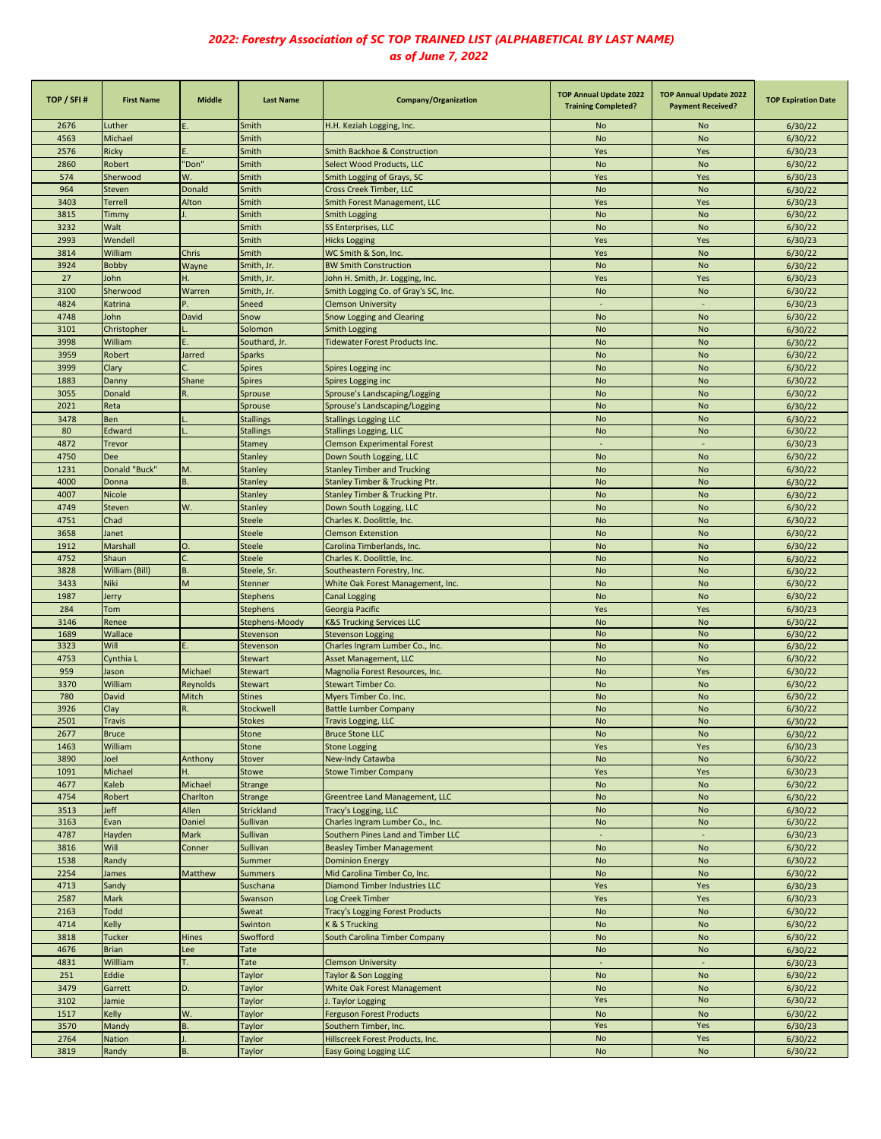| TOP / SFI#   | <b>First Name</b>      | <b>Middle</b>   | <b>Last Name</b>           | Company/Organization                                    | <b>TOP Annual Update 2022</b><br><b>Training Completed?</b> | <b>TOP Annual Update 2022</b><br><b>Payment Received?</b> | <b>TOP Expiration Date</b> |
|--------------|------------------------|-----------------|----------------------------|---------------------------------------------------------|-------------------------------------------------------------|-----------------------------------------------------------|----------------------------|
| 2676         | Luther                 |                 | Smith                      | H.H. Keziah Logging, Inc.                               | No                                                          | No                                                        | 6/30/22                    |
| 4563         | Michael                |                 | Smith                      |                                                         | <b>No</b>                                                   | No                                                        | 6/30/22                    |
| 2576         | Ricky                  |                 | Smith                      | Smith Backhoe & Construction                            | Yes                                                         | Yes                                                       | 6/30/23                    |
| 2860         | Robert                 | "Don"           | Smith                      | Select Wood Products, LLC                               | <b>No</b>                                                   | <b>No</b>                                                 | 6/30/22                    |
| 574          | Sherwood               | W.              | Smith                      | Smith Logging of Grays, SC                              | Yes                                                         | Yes                                                       | 6/30/23                    |
| 964          | <b>Steven</b>          | Donald          | Smith                      | Cross Creek Timber, LLC                                 | <b>No</b>                                                   | <b>No</b>                                                 | 6/30/22                    |
| 3403         | <b>Terrell</b>         | Alton           | Smith                      | Smith Forest Management, LLC                            | Yes                                                         | Yes                                                       | 6/30/23                    |
| 3815         | Timmy                  |                 | Smith                      | <b>Smith Logging</b>                                    | <b>No</b>                                                   | <b>No</b>                                                 | 6/30/22                    |
| 3232<br>2993 | Walt<br>Wendell        |                 | Smith<br>Smith             | SS Enterprises, LLC<br><b>Hicks Logging</b>             | <b>No</b><br>Yes                                            | <b>No</b><br>Yes                                          | 6/30/22<br>6/30/23         |
| 3814         | William                | Chris           | Smith                      | WC Smith & Son, Inc.                                    | Yes                                                         | No                                                        | 6/30/22                    |
| 3924         | <b>Bobby</b>           | Wayne           | Smith, Jr.                 | <b>BW Smith Construction</b>                            | <b>No</b>                                                   | <b>No</b>                                                 | 6/30/22                    |
| 27           | John                   | Η.              | Smith, Jr.                 | John H. Smith, Jr. Logging, Inc.                        | Yes                                                         | Yes                                                       | 6/30/23                    |
| 3100         | Sherwood               | Warren          | Smith, Jr.                 | Smith Logging Co. of Gray's SC, Inc.                    | <b>No</b>                                                   | <b>No</b>                                                 | 6/30/22                    |
| 4824         | Katrina                | P               | Sneed                      | <b>Clemson University</b>                               | $\sim$                                                      | $\sim$                                                    | 6/30/23                    |
| 4748         | John                   | David           | Snow                       | Snow Logging and Clearing                               | <b>No</b>                                                   | <b>No</b>                                                 | 6/30/22                    |
| 3101         | Christopher            |                 | Solomon                    | <b>Smith Logging</b>                                    | <b>No</b>                                                   | <b>No</b>                                                 | 6/30/22                    |
| 3998         | William                |                 | Southard, Jr.              | Tidewater Forest Products Inc.                          | <b>No</b>                                                   | <b>No</b>                                                 | 6/30/22                    |
| 3959         | Robert                 | Jarred          | <b>Sparks</b>              |                                                         | <b>No</b>                                                   | <b>No</b>                                                 | 6/30/22                    |
| 3999         | Clary                  |                 | <b>Spires</b>              | Spires Logging inc                                      | <b>No</b>                                                   | <b>No</b>                                                 | 6/30/22                    |
| 1883         | Danny                  | Shane           | <b>Spires</b>              | Spires Logging inc                                      | <b>No</b>                                                   | No                                                        | 6/30/22                    |
| 3055         | Donald                 |                 | Sprouse                    | Sprouse's Landscaping/Logging                           | <b>No</b>                                                   | No                                                        | 6/30/22                    |
| 2021         | Reta                   |                 | Sprouse                    | Sprouse's Landscaping/Logging                           | <b>No</b>                                                   | <b>No</b>                                                 | 6/30/22                    |
| 3478         | Ben                    |                 | <b>Stallings</b>           | <b>Stallings Logging LLC</b>                            | <b>No</b>                                                   | No                                                        | 6/30/22                    |
| 80           | Edward                 |                 | <b>Stallings</b>           | <b>Stallings Logging, LLC</b>                           | <b>No</b>                                                   | <b>No</b>                                                 | 6/30/22                    |
| 4872         | Trevor                 |                 | Stamey                     | <b>Clemson Experimental Forest</b>                      | ÷                                                           | $\overline{\phantom{a}}$                                  | 6/30/23                    |
| 4750         | Dee                    |                 | <b>Stanley</b>             | Down South Logging, LLC                                 | <b>No</b>                                                   | <b>No</b>                                                 | 6/30/22                    |
| 1231         | Donald "Buck"          | M.              | <b>Stanley</b>             | <b>Stanley Timber and Trucking</b>                      | <b>No</b>                                                   | <b>No</b>                                                 | 6/30/22                    |
| 4000         | Donna                  | <b>B.</b>       | <b>Stanley</b>             | <b>Stanley Timber &amp; Trucking Ptr.</b>               | <b>No</b>                                                   | <b>No</b>                                                 | 6/30/22                    |
| 4007         | Nicole                 |                 | Stanley                    | Stanley Timber & Trucking Ptr.                          | <b>No</b>                                                   | <b>No</b>                                                 | 6/30/22                    |
| 4749         | Steven                 | W.              | <b>Stanley</b>             | Down South Logging, LLC                                 | <b>No</b>                                                   | <b>No</b>                                                 | 6/30/22                    |
| 4751         | Chad                   |                 | <b>Steele</b>              | Charles K. Doolittle, Inc.                              | <b>No</b>                                                   | No                                                        | 6/30/22                    |
| 3658         | Janet                  |                 | Steele                     | <b>Clemson Extenstion</b>                               | <b>No</b>                                                   | <b>No</b>                                                 | 6/30/22                    |
| 1912         | Marshall               | O.              | <b>Steele</b>              | Carolina Timberlands, Inc.                              | <b>No</b>                                                   | <b>No</b>                                                 | 6/30/22                    |
| 4752         | Shaun                  |                 | <b>Steele</b>              | Charles K. Doolittle, Inc.                              | <b>No</b>                                                   | <b>No</b>                                                 | 6/30/22                    |
| 3828<br>3433 | William (Bill)<br>Niki | <b>B.</b><br>M  | Steele, Sr.                | Southeastern Forestry, Inc.                             | <b>No</b>                                                   | <b>No</b>                                                 | 6/30/22                    |
| 1987         | Jerry                  |                 | Stenner<br><b>Stephens</b> | White Oak Forest Management, Inc.                       | <b>No</b><br><b>No</b>                                      | <b>No</b><br>No                                           | 6/30/22<br>6/30/22         |
| 284          | Tom                    |                 | <b>Stephens</b>            | <b>Canal Logging</b><br>Georgia Pacific                 | Yes                                                         | Yes                                                       | 6/30/23                    |
| 3146         | Renee                  |                 | Stephens-Moody             | <b>K&amp;S Trucking Services LLC</b>                    | <b>No</b>                                                   | <b>No</b>                                                 | 6/30/22                    |
| 1689         | Wallace                |                 | Stevenson                  | <b>Stevenson Logging</b>                                | <b>No</b>                                                   | <b>No</b>                                                 | 6/30/22                    |
| 3323         | Will                   | E.              | Stevenson                  | Charles Ingram Lumber Co., Inc.                         | <b>No</b>                                                   | <b>No</b>                                                 | 6/30/22                    |
| 4753         | Cynthia L              |                 | Stewart                    | Asset Management, LLC                                   | <b>No</b>                                                   | <b>No</b>                                                 | 6/30/22                    |
| 959          | Jason                  | Michael         | Stewart                    | Magnolia Forest Resources, Inc.                         | <b>No</b>                                                   | Yes                                                       | 6/30/22                    |
| 3370         | William                | Reynolds        | Stewart                    | Stewart Timber Co.                                      | <b>No</b>                                                   | No                                                        | 6/30/22                    |
| 780          | David                  | Mitch           | <b>Stines</b>              | Myers Timber Co. Inc.                                   | <b>No</b>                                                   | <b>No</b>                                                 | 6/30/22                    |
| 3926         | Clay                   | R.              | Stockwell                  | <b>Battle Lumber Company</b>                            | <b>No</b>                                                   | No                                                        | 6/30/22                    |
| 2501         | <b>Travis</b>          |                 | <b>Stokes</b>              | <b>Travis Logging, LLC</b>                              | <b>No</b>                                                   | No                                                        | 6/30/22                    |
| 2677         | <b>Bruce</b>           |                 | Stone                      | <b>Bruce Stone LLC</b>                                  | <b>No</b>                                                   | <b>No</b>                                                 | 6/30/22                    |
| 1463         | William                |                 | Stone                      | <b>Stone Logging</b>                                    | Yes                                                         | Yes                                                       | 6/30/23                    |
| 3890         | Joel                   | Anthony         | Stover                     | New-Indy Catawba                                        | <b>No</b>                                                   | <b>No</b>                                                 | 6/30/22                    |
| 1091         | Michael                | H.              | Stowe                      | <b>Stowe Timber Company</b>                             | Yes                                                         | Yes                                                       | 6/30/23                    |
| 4677         | Kaleb                  | Michael         | Strange                    |                                                         | No                                                          | No                                                        | 6/30/22                    |
| 4754         | Robert                 | Charlton        | Strange                    | Greentree Land Management, LLC                          | <b>No</b>                                                   | <b>No</b>                                                 | 6/30/22                    |
| 3513<br>3163 | Jeff<br>Evan           | Allen<br>Daniel | Strickland<br>Sullivan     | Tracy's Logging, LLC<br>Charles Ingram Lumber Co., Inc. | <b>No</b><br><b>No</b>                                      | <b>No</b><br><b>No</b>                                    | 6/30/22<br>6/30/22         |
| 4787         | Hayden                 | Mark            | Sullivan                   | Southern Pines Land and Timber LLC                      | $\omega$                                                    | $\omega$                                                  | 6/30/23                    |
| 3816         | Will                   | Conner          | Sullivan                   | <b>Beasley Timber Management</b>                        | <b>No</b>                                                   | <b>No</b>                                                 | 6/30/22                    |
| 1538         | Randy                  |                 | Summer                     | <b>Dominion Energy</b>                                  | <b>No</b>                                                   | <b>No</b>                                                 | 6/30/22                    |
| 2254         | James                  | Matthew         | <b>Summers</b>             | Mid Carolina Timber Co, Inc.                            | <b>No</b>                                                   | No                                                        | 6/30/22                    |
| 4713         | Sandy                  |                 | Suschana                   | <b>Diamond Timber Industries LLC</b>                    | Yes                                                         | Yes                                                       | 6/30/23                    |
| 2587         | Mark                   |                 | Swanson                    | Log Creek Timber                                        | Yes                                                         | Yes                                                       | 6/30/23                    |
| 2163         | Todd                   |                 | Sweat                      | <b>Tracy's Logging Forest Products</b>                  | No                                                          | No                                                        | 6/30/22                    |
| 4714         | Kelly                  |                 | Swinton                    | K & S Trucking                                          | No                                                          | No                                                        | 6/30/22                    |
| 3818         | <b>Tucker</b>          | <b>Hines</b>    | Swofford                   | South Carolina Timber Company                           | No                                                          | No                                                        | 6/30/22                    |
| 4676         | <b>Brian</b>           | Lee             | Tate                       |                                                         | No                                                          | <b>No</b>                                                 | 6/30/22                    |
| 4831         | Willliam               |                 | Tate                       | <b>Clemson University</b>                               | ÷,                                                          | ÷,                                                        | 6/30/23                    |
| 251          | Eddie                  |                 | Taylor                     | Taylor & Son Logging                                    | <b>No</b>                                                   | <b>No</b>                                                 | 6/30/22                    |
| 3479         | Garrett                | D.              | Taylor                     | White Oak Forest Management                             | <b>No</b>                                                   | <b>No</b>                                                 | 6/30/22                    |
| 3102         | Jamie                  |                 | Taylor                     | J. Taylor Logging                                       | Yes                                                         | No                                                        | 6/30/22                    |
| 1517         | Kelly                  | W.              | Taylor                     | <b>Ferguson Forest Products</b>                         | <b>No</b>                                                   | <b>No</b>                                                 | 6/30/22                    |
| 3570         | Mandy                  | B.              | Taylor                     | Southern Timber, Inc.                                   | Yes                                                         | Yes                                                       | 6/30/23                    |
| 2764         | <b>Nation</b>          |                 | Taylor                     | Hillscreek Forest Products, Inc.                        | No                                                          | Yes                                                       | 6/30/22                    |
| 3819         | Randy                  | <b>B.</b>       | Taylor                     | <b>Easy Going Logging LLC</b>                           | No                                                          | No                                                        | 6/30/22                    |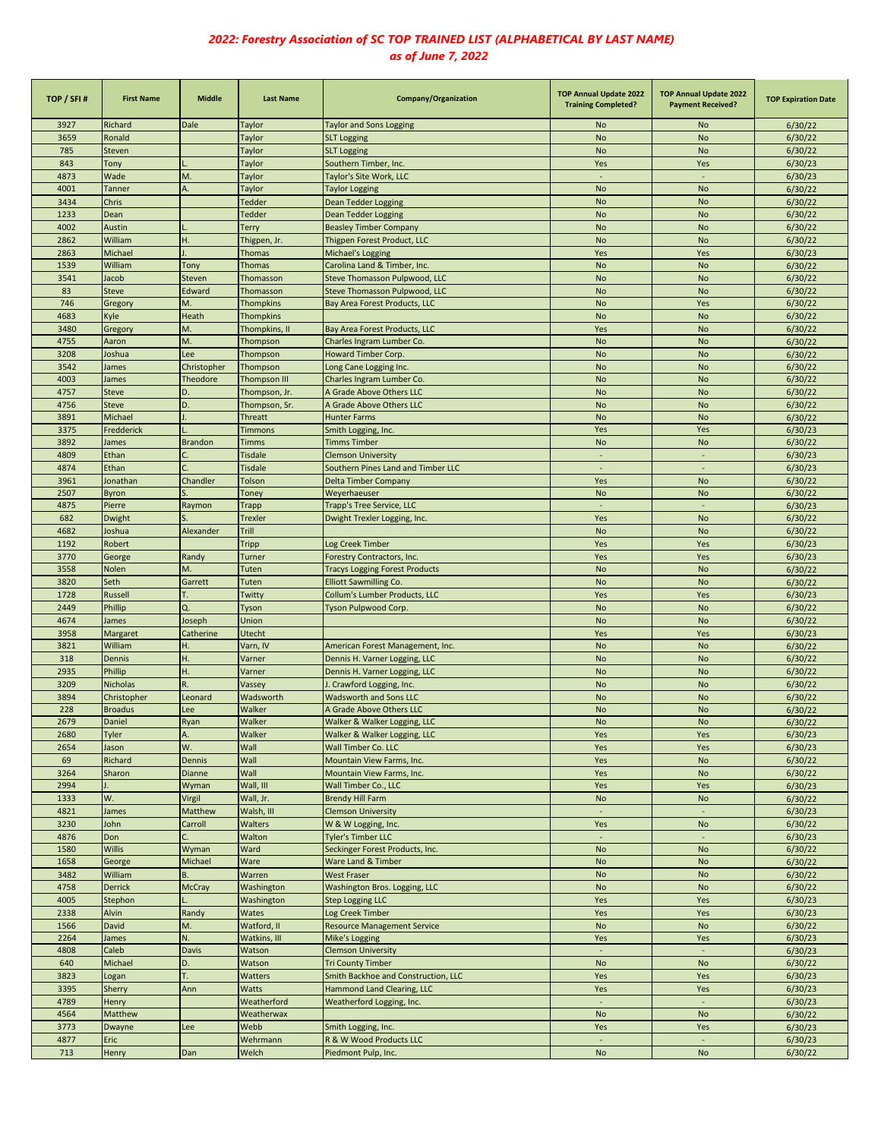| TOP / SFI#   | <b>First Name</b>                                                                                                       | <b>Middle</b>       | <b>Last Name</b>              | <b>Company/Organization</b>                                       | <b>TOP Annual Update 2022</b><br><b>Training Completed?</b> | <b>TOP Annual Update 2022</b><br><b>Payment Received?</b> | <b>TOP Expiration Date</b> |
|--------------|-------------------------------------------------------------------------------------------------------------------------|---------------------|-------------------------------|-------------------------------------------------------------------|-------------------------------------------------------------|-----------------------------------------------------------|----------------------------|
| 3927         | Richard                                                                                                                 | Dale                | Taylor                        | <b>Taylor and Sons Logging</b>                                    | No                                                          | No                                                        | 6/30/22                    |
| 3659         | Ronald                                                                                                                  |                     | Taylor                        | <b>SLT Logging</b>                                                | <b>No</b>                                                   | <b>No</b>                                                 | 6/30/22                    |
| 785          | Steven                                                                                                                  |                     | Taylor                        | <b>SLT Logging</b>                                                | <b>No</b>                                                   | No                                                        | 6/30/22                    |
| 843          | Tony                                                                                                                    |                     | Taylor                        | Southern Timber, Inc.                                             | Yes                                                         | Yes                                                       | 6/30/23                    |
| 4873         | Wade                                                                                                                    | M.                  | Taylor                        | Taylor's Site Work, LLC                                           | $\sim$                                                      | ÷,                                                        | 6/30/23                    |
| 4001         | <b>Tanner</b>                                                                                                           | А.                  | Taylor                        | <b>Taylor Logging</b>                                             | <b>No</b>                                                   | <b>No</b>                                                 | 6/30/22                    |
| 3434         | Chris                                                                                                                   |                     | Tedder                        | <b>Dean Tedder Logging</b>                                        | <b>No</b>                                                   | <b>No</b>                                                 | 6/30/22                    |
| 1233         | Dean                                                                                                                    |                     | Tedder                        | <b>Dean Tedder Logging</b>                                        | <b>No</b>                                                   | <b>No</b>                                                 | 6/30/22                    |
| 4002<br>2862 | Austin<br>William                                                                                                       | Η.                  | Terry                         | <b>Beasley Timber Company</b>                                     | <b>No</b><br><b>No</b>                                      | <b>No</b><br><b>No</b>                                    | 6/30/22                    |
| 2863         | Michael                                                                                                                 |                     | Thigpen, Jr.<br><b>Thomas</b> | Thigpen Forest Product, LLC<br><b>Michael's Logging</b>           | Yes                                                         | Yes                                                       | 6/30/22<br>6/30/23         |
| 1539         | William                                                                                                                 | Tony                | <b>Thomas</b>                 | Carolina Land & Timber, Inc.                                      | <b>No</b>                                                   | <b>No</b>                                                 | 6/30/22                    |
| 3541         | lacob                                                                                                                   | <b>Steven</b>       | Thomasson                     | Steve Thomasson Pulpwood, LLC                                     | <b>No</b>                                                   | <b>No</b>                                                 | 6/30/22                    |
| 83           | <b>Steve</b>                                                                                                            | Edward              | Thomasson                     | Steve Thomasson Pulpwood, LLC                                     | <b>No</b>                                                   | <b>No</b>                                                 | 6/30/22                    |
| 746          | Gregory                                                                                                                 | M.                  | <b>Thompkins</b>              | Bay Area Forest Products, LLC                                     | <b>No</b>                                                   | Yes                                                       | 6/30/22                    |
| 4683         | <yle< td=""><td>Heath</td><td><b>Thompkins</b></td><td></td><td><b>No</b></td><td><b>No</b></td><td>6/30/22</td></yle<> | Heath               | <b>Thompkins</b>              |                                                                   | <b>No</b>                                                   | <b>No</b>                                                 | 6/30/22                    |
| 3480         | Gregory                                                                                                                 | M.                  | Thompkins, II                 | Bay Area Forest Products, LLC                                     | Yes                                                         | <b>No</b>                                                 | 6/30/22                    |
| 4755         | Aaron                                                                                                                   | M.                  | Thompson                      | Charles Ingram Lumber Co.                                         | <b>No</b>                                                   | <b>No</b>                                                 | 6/30/22                    |
| 3208         | Ioshua                                                                                                                  | Lee                 | Thompson                      | Howard Timber Corp.                                               | <b>No</b>                                                   | <b>No</b>                                                 | 6/30/22                    |
| 3542         | lames                                                                                                                   | Christopher         | Thompson                      | Long Cane Logging Inc.                                            | <b>No</b>                                                   | <b>No</b>                                                 | 6/30/22                    |
| 4003         | James                                                                                                                   | <b>Theodore</b>     | <b>Thompson III</b>           | Charles Ingram Lumber Co.                                         | <b>No</b>                                                   | <b>No</b>                                                 | 6/30/22                    |
| 4757         | <b>Steve</b>                                                                                                            | D.                  | Thompson, Jr.                 | A Grade Above Others LLC                                          | <b>No</b>                                                   | No                                                        | 6/30/22                    |
| 4756         | <b>Steve</b>                                                                                                            | D.                  | Thompson, Sr.                 | A Grade Above Others LLC                                          | <b>No</b>                                                   | No                                                        | 6/30/22                    |
| 3891         | Michael                                                                                                                 |                     | Threatt                       | <b>Hunter Farms</b>                                               | <b>No</b>                                                   | <b>No</b>                                                 | 6/30/22                    |
| 3375         | Fredderick                                                                                                              |                     | <b>Timmons</b>                | Smith Logging, Inc.                                               | Yes                                                         | Yes                                                       | 6/30/23                    |
| 3892         | James                                                                                                                   | <b>Brandon</b>      | <b>Timms</b>                  | <b>Timms Timber</b>                                               | No                                                          | <b>No</b>                                                 | 6/30/22                    |
| 4809         | Ethan                                                                                                                   |                     | <b>Tisdale</b>                | <b>Clemson University</b>                                         | ÷.                                                          | $\mathbf{r}$                                              | 6/30/23                    |
| 4874         | Ethan                                                                                                                   |                     | <b>Tisdale</b>                | Southern Pines Land and Timber LLC                                | $\sim$                                                      | $\overline{a}$                                            | 6/30/23                    |
| 3961         | Jonathan                                                                                                                | Chandler            | Tolson                        | <b>Delta Timber Company</b>                                       | Yes                                                         | <b>No</b>                                                 | 6/30/22                    |
| 2507         | <b>Byron</b>                                                                                                            |                     | <b>Toney</b>                  | Weyerhaeuser                                                      | <b>No</b>                                                   | <b>No</b>                                                 | 6/30/22                    |
| 4875         | Pierre                                                                                                                  | Raymon              | Trapp                         | Trapp's Tree Service, LLC                                         | $\sim$                                                      | ÷,                                                        | 6/30/23                    |
| 682          | Dwight                                                                                                                  |                     | <b>Trexler</b>                | Dwight Trexler Logging, Inc.                                      | Yes                                                         | <b>No</b>                                                 | 6/30/22                    |
| 4682         | Joshua                                                                                                                  | Alexander           | Trill                         |                                                                   | <b>No</b>                                                   | <b>No</b>                                                 | 6/30/22                    |
| 1192         | Robert                                                                                                                  |                     | Tripp                         | Log Creek Timber                                                  | Yes                                                         | Yes                                                       | 6/30/23                    |
| 3770         | George                                                                                                                  | Randy               | Turner                        | Forestry Contractors, Inc.                                        | Yes                                                         | Yes                                                       | 6/30/23                    |
| 3558         | Nolen                                                                                                                   | M.                  | <b>Tuten</b>                  | <b>Tracys Logging Forest Products</b>                             | No                                                          | No                                                        | 6/30/22                    |
| 3820         | Seth                                                                                                                    | Garrett             | Tuten                         | <b>Elliott Sawmilling Co.</b>                                     | <b>No</b>                                                   | No                                                        | 6/30/22                    |
| 1728         | Russell                                                                                                                 | т.                  | Twitty                        | Collum's Lumber Products, LLC                                     | Yes                                                         | Yes                                                       | 6/30/23                    |
| 2449<br>4674 | Phillip                                                                                                                 | Q.                  | Tyson<br>Union                | Tyson Pulpwood Corp.                                              | <b>No</b><br><b>No</b>                                      | No<br>No                                                  | 6/30/22                    |
|              | James                                                                                                                   | Joseph<br>Catherine |                               |                                                                   | Yes                                                         | Yes                                                       | 6/30/22                    |
| 3958<br>3821 | Margaret<br>William                                                                                                     | Η.                  | Utecht<br>Varn, IV            |                                                                   | <b>No</b>                                                   | <b>No</b>                                                 | 6/30/23<br>6/30/22         |
| 318          | Dennis                                                                                                                  | Η.                  | Varner                        | American Forest Management, Inc.<br>Dennis H. Varner Logging, LLC | <b>No</b>                                                   | <b>No</b>                                                 | 6/30/22                    |
| 2935         | Phillip                                                                                                                 | Η.                  | Varner                        | Dennis H. Varner Logging, LLC                                     | <b>No</b>                                                   | <b>No</b>                                                 | 6/30/22                    |
| 3209         | <b>Nicholas</b>                                                                                                         | R.                  | Vassey                        | . Crawford Logging, Inc.                                          | <b>No</b>                                                   | <b>No</b>                                                 | 6/30/22                    |
| 3894         | Christopher                                                                                                             | Leonard             | Wadsworth                     | <b>Wadsworth and Sons LLC</b>                                     | <b>No</b>                                                   | <b>No</b>                                                 | 6/30/22                    |
| 228          | <b>Broadus</b>                                                                                                          | Lee                 | Walker                        | A Grade Above Others LLC                                          | No                                                          | <b>No</b>                                                 | 6/30/22                    |
| 2679         | Daniel                                                                                                                  | Ryan                | Walker                        | Walker & Walker Logging, LLC                                      | No                                                          | No                                                        | 6/30/22                    |
| 2680         | Tyler                                                                                                                   | Α.                  | Walker                        | Walker & Walker Logging, LLC                                      | Yes                                                         | Yes                                                       | 6/30/23                    |
| 2654         | lason                                                                                                                   | W.                  | Wall                          | Wall Timber Co. LLC                                               | Yes                                                         | Yes                                                       | 6/30/23                    |
| 69           | Richard                                                                                                                 | Dennis              | Wall                          | Mountain View Farms, Inc.                                         | Yes                                                         | No                                                        | 6/30/22                    |
| 3264         | Sharon                                                                                                                  | Dianne              | Wall                          | Mountain View Farms, Inc.                                         | Yes                                                         | No                                                        | 6/30/22                    |
| 2994         |                                                                                                                         | Wyman               | Wall, III                     | Wall Timber Co., LLC                                              | Yes                                                         | Yes                                                       | 6/30/23                    |
| 1333         | W.                                                                                                                      | Virgil              | Wall, Jr.                     | <b>Brendy Hill Farm</b>                                           | No                                                          | No                                                        | 6/30/22                    |
| 4821         | James                                                                                                                   | Matthew             | Walsh, III                    | <b>Clemson University</b>                                         | $\sim$                                                      | $\blacksquare$                                            | 6/30/23                    |
| 3230         | John                                                                                                                    | Carroll             | Walters                       | W & W Logging, Inc.                                               | Yes                                                         | No                                                        | 6/30/22                    |
| 4876         | Don                                                                                                                     | C.                  | Walton                        | <b>Tyler's Timber LLC</b>                                         | $\sim$                                                      | $\overline{\phantom{a}}$                                  | 6/30/23                    |
| 1580         | <b>Willis</b>                                                                                                           | Wyman               | Ward                          | Seckinger Forest Products, Inc.                                   | <b>No</b>                                                   | <b>No</b>                                                 | 6/30/22                    |
| 1658         | George                                                                                                                  | Michael             | Ware                          | Ware Land & Timber                                                | No                                                          | No                                                        | 6/30/22                    |
| 3482         | William                                                                                                                 | B.                  | Warren                        | <b>West Fraser</b>                                                | No                                                          | <b>No</b>                                                 | 6/30/22                    |
| 4758         | <b>Derrick</b>                                                                                                          | <b>McCray</b>       | Washington<br>Washington      | Washington Bros. Logging, LLC                                     | No                                                          | <b>No</b>                                                 | 6/30/22                    |
| 4005         | <b>Stephon</b>                                                                                                          |                     |                               | <b>Step Logging LLC</b>                                           | Yes                                                         | Yes                                                       | 6/30/23                    |
| 2338<br>1566 | Alvin<br>David                                                                                                          | Randy<br>M.         | Wates<br>Watford, II          | Log Creek Timber<br><b>Resource Management Service</b>            | Yes<br>No                                                   | Yes<br>No                                                 | 6/30/23<br>6/30/22         |
| 2264         | James                                                                                                                   | N.                  | Watkins, III                  | Mike's Logging                                                    | Yes                                                         | Yes                                                       | 6/30/23                    |
| 4808         | Caleb                                                                                                                   | Davis               | Watson                        | <b>Clemson University</b>                                         |                                                             |                                                           | 6/30/23                    |
| 640          | Michael                                                                                                                 | D.                  | Watson                        | <b>Tri County Timber</b>                                          | No                                                          | No                                                        | 6/30/22                    |
| 3823         | Logan                                                                                                                   | Т.                  | Watters                       | Smith Backhoe and Construction, LLC                               | Yes                                                         | Yes                                                       | 6/30/23                    |
| 3395         | Sherry                                                                                                                  | Ann                 | Watts                         | Hammond Land Clearing, LLC                                        | Yes                                                         | Yes                                                       | 6/30/23                    |
| 4789         | Henry                                                                                                                   |                     | Weatherford                   | Weatherford Logging, Inc.                                         | $\sim$                                                      | $\sim$                                                    | 6/30/23                    |
| 4564         | Matthew                                                                                                                 |                     | Weatherwax                    |                                                                   | No                                                          | No                                                        | 6/30/22                    |
| 3773         | Dwayne                                                                                                                  | Lee                 | Webb                          | Smith Logging, Inc.                                               | Yes                                                         | Yes                                                       | 6/30/23                    |
| 4877         | Eric                                                                                                                    |                     | Wehrmann                      | R & W Wood Products LLC                                           | $\omega$                                                    | $\omega$                                                  | 6/30/23                    |
| 713          | Henry                                                                                                                   | Dan                 | Welch                         | Piedmont Pulp, Inc.                                               | $\mathsf{No}$                                               | No                                                        | 6/30/22                    |